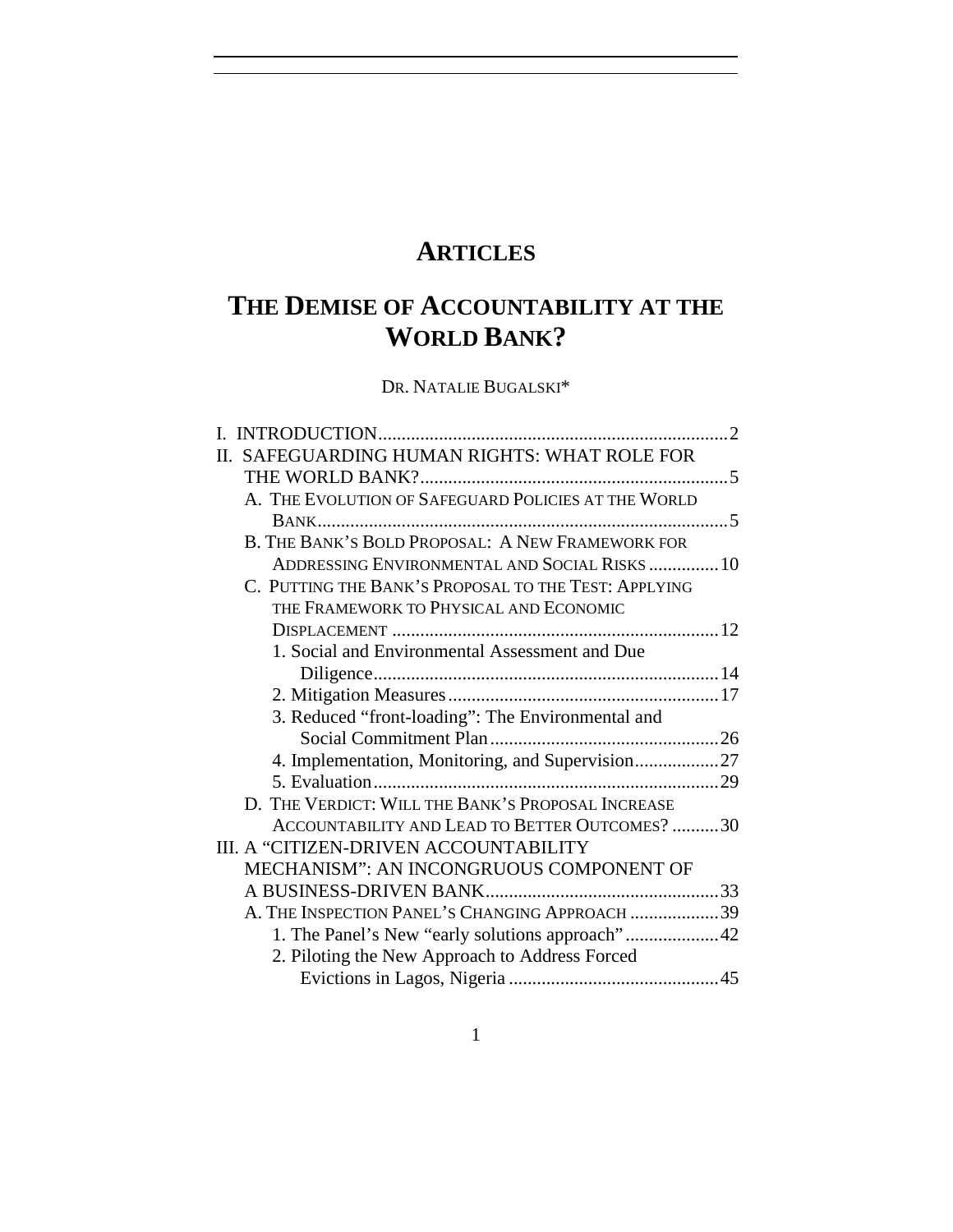# **ARTICLES**

# **THE DEMISE OF ACCOUNTABILITY AT THE WORLD BANK?**

DR. NATALIE BUGALSKI\*

| II. SAFEGUARDING HUMAN RIGHTS: WHAT ROLE FOR         |  |
|------------------------------------------------------|--|
|                                                      |  |
| A. THE EVOLUTION OF SAFEGUARD POLICIES AT THE WORLD  |  |
|                                                      |  |
| B. THE BANK'S BOLD PROPOSAL: A NEW FRAMEWORK FOR     |  |
| ADDRESSING ENVIRONMENTAL AND SOCIAL RISKS10          |  |
| C. PUTTING THE BANK'S PROPOSAL TO THE TEST: APPLYING |  |
| THE FRAMEWORK TO PHYSICAL AND ECONOMIC               |  |
|                                                      |  |
| 1. Social and Environmental Assessment and Due       |  |
|                                                      |  |
|                                                      |  |
| 3. Reduced "front-loading": The Environmental and    |  |
|                                                      |  |
| 4. Implementation, Monitoring, and Supervision27     |  |
|                                                      |  |
| D. THE VERDICT: WILL THE BANK'S PROPOSAL INCREASE    |  |
| ACCOUNTABILITY AND LEAD TO BETTER OUTCOMES? 30       |  |
| III. A "CITIZEN-DRIVEN ACCOUNTABILITY                |  |
| MECHANISM": AN INCONGRUOUS COMPONENT OF              |  |
|                                                      |  |
| A. THE INSPECTION PANEL'S CHANGING APPROACH 39       |  |
| 1. The Panel's New "early solutions approach"42      |  |
| 2. Piloting the New Approach to Address Forced       |  |
|                                                      |  |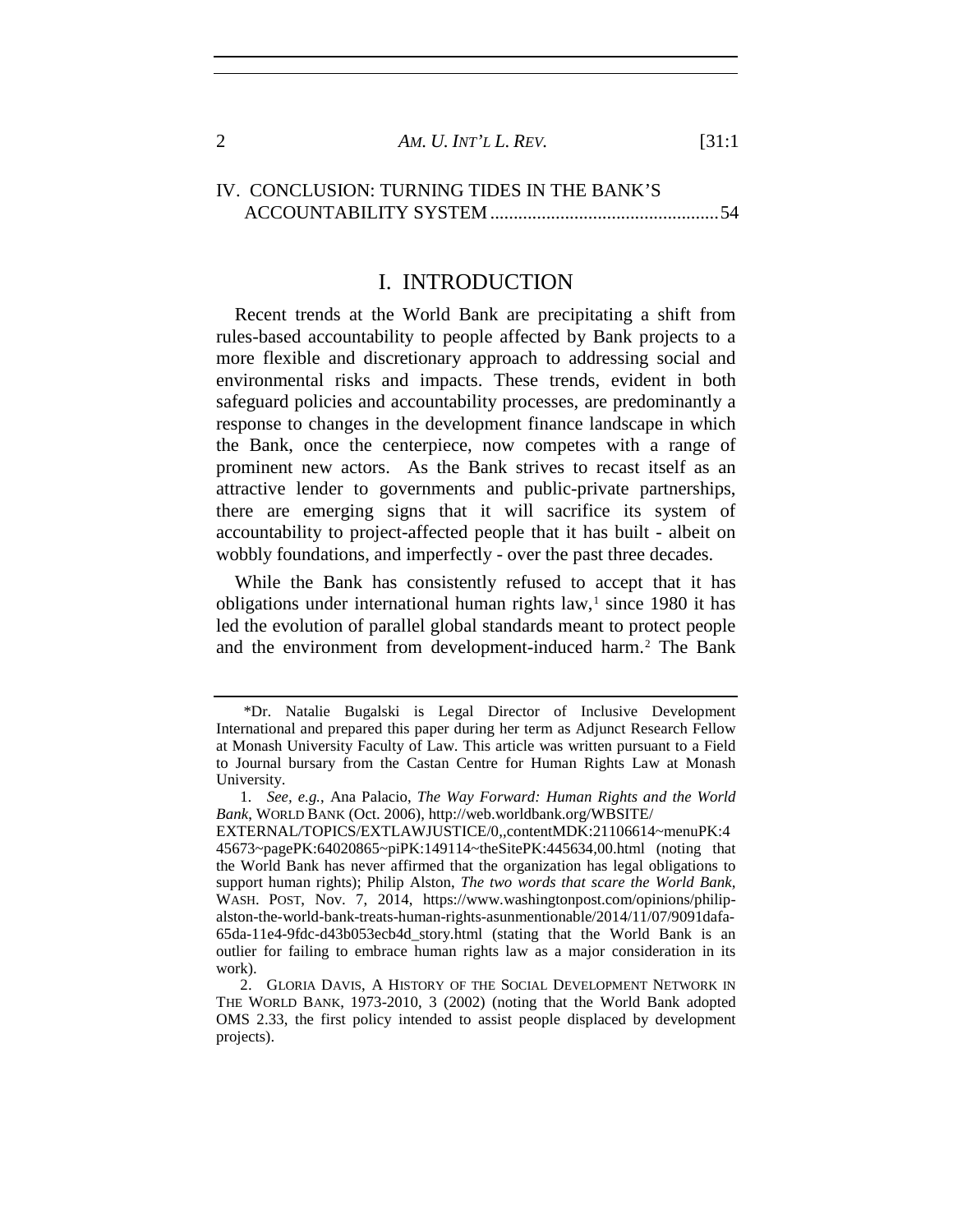| AM. U. INT'L L. REV. | [31:1] |
|----------------------|--------|
|                      |        |

## IV. CONCLUSION: TURNING TIDES IN THE BANK'S ACCOUNTABILITY SYSTEM.................................................54

## I. INTRODUCTION

Recent trends at the World Bank are precipitating a shift from rules-based accountability to people affected by Bank projects to a more flexible and discretionary approach to addressing social and environmental risks and impacts. These trends, evident in both safeguard policies and accountability processes, are predominantly a response to changes in the development finance landscape in which the Bank, once the centerpiece, now competes with a range of prominent new actors. As the Bank strives to recast itself as an attractive lender to governments and public-private partnerships, there are emerging signs that it will sacrifice its system of accountability to project-affected people that it has built - albeit on wobbly foundations, and imperfectly - over the past three decades.

<span id="page-1-2"></span>While the Bank has consistently refused to accept that it has obligations under international human rights law, $<sup>1</sup>$  $<sup>1</sup>$  $<sup>1</sup>$  since 1980 it has</sup> led the evolution of parallel global standards meant to protect people and the environment from development-induced harm.<sup>[2](#page-1-1)</sup> The Bank

EXTERNAL/TOPICS/EXTLAWJUSTICE/0,,contentMDK:21106614~menuPK:4 45673~pagePK:64020865~piPK:149114~theSitePK:445634,00.html (noting that the World Bank has never affirmed that the organization has legal obligations to support human rights); Philip Alston, *The two words that scare the World Bank,* WASH. POST, Nov. 7, 2014, https://www.washingtonpost.com/opinions/philipalston-the-world-bank-treats-human-rights-asunmentionable/2014/11/07/9091dafa-65da-11e4-9fdc-d43b053ecb4d\_story.html (stating that the World Bank is an outlier for failing to embrace human rights law as a major consideration in its work).

<span id="page-1-0"></span> <sup>\*</sup>Dr. Natalie Bugalski is Legal Director of Inclusive Development International and prepared this paper during her term as Adjunct Research Fellow at Monash University Faculty of Law. This article was written pursuant to a Field to Journal bursary from the Castan Centre for Human Rights Law at Monash University.

<sup>1</sup>*. See, e.g.*, Ana Palacio, *The Way Forward: Human Rights and the World Bank*, WORLD BANK (Oct. 2006), http://web.worldbank.org/WBSITE/

<span id="page-1-1"></span><sup>2.</sup> GLORIA DAVIS, A HISTORY OF THE SOCIAL DEVELOPMENT NETWORK IN THE WORLD BANK, 1973-2010, 3 (2002) (noting that the World Bank adopted OMS 2.33, the first policy intended to assist people displaced by development projects).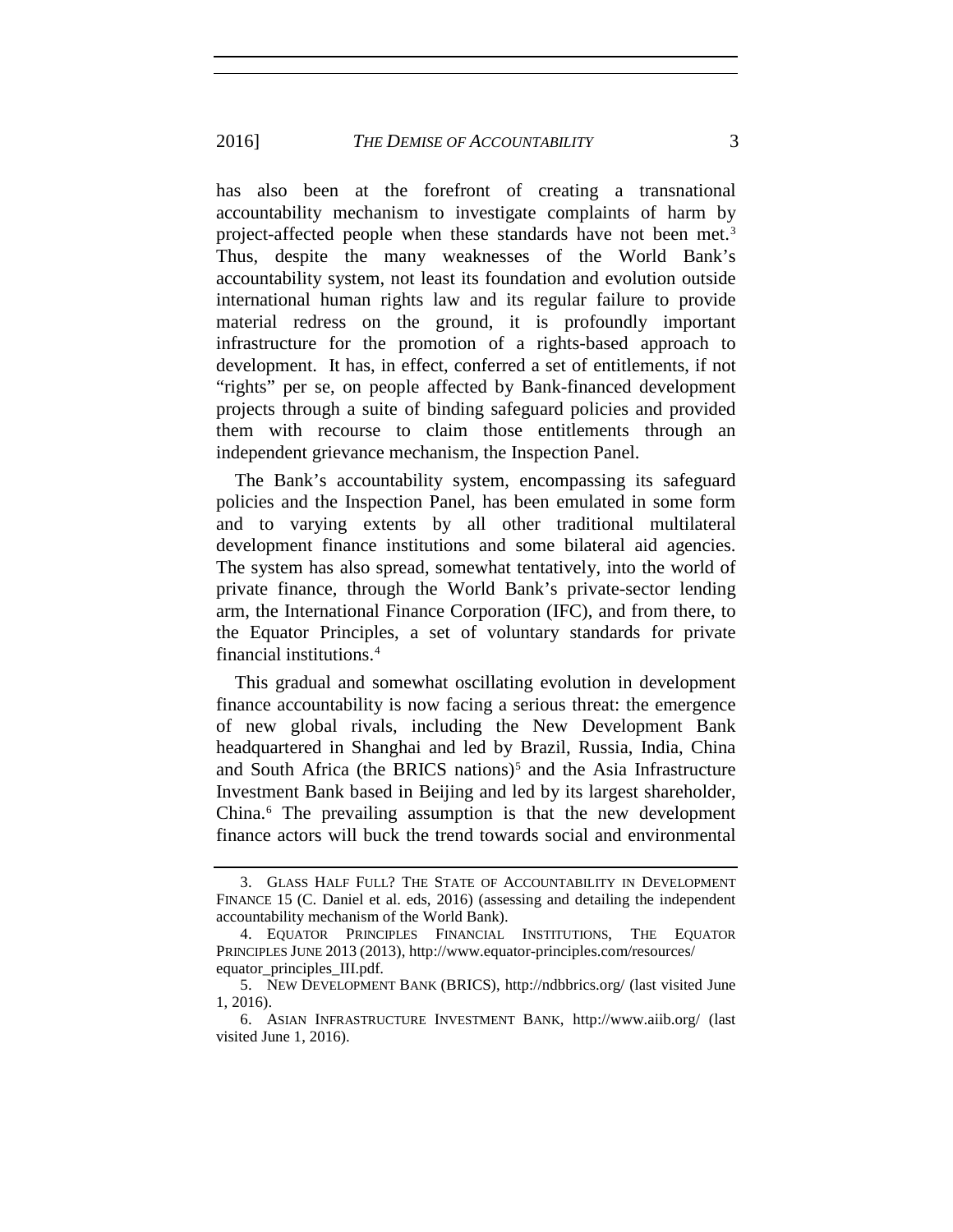#### 2016] *THE DEMISE OF ACCOUNTABILITY* 3

has also been at the forefront of creating a transnational accountability mechanism to investigate complaints of harm by project-affected people when these standards have not been met.<sup>[3](#page-2-0)</sup> Thus, despite the many weaknesses of the World Bank's accountability system, not least its foundation and evolution outside international human rights law and its regular failure to provide material redress on the ground, it is profoundly important infrastructure for the promotion of a rights-based approach to development. It has, in effect, conferred a set of entitlements, if not "rights" per se, on people affected by Bank-financed development projects through a suite of binding safeguard policies and provided them with recourse to claim those entitlements through an independent grievance mechanism, the Inspection Panel.

The Bank's accountability system, encompassing its safeguard policies and the Inspection Panel, has been emulated in some form and to varying extents by all other traditional multilateral development finance institutions and some bilateral aid agencies. The system has also spread, somewhat tentatively, into the world of private finance, through the World Bank's private-sector lending arm, the International Finance Corporation (IFC), and from there, to the Equator Principles, a set of voluntary standards for private financial institutions.[4](#page-2-1)

This gradual and somewhat oscillating evolution in development finance accountability is now facing a serious threat: the emergence of new global rivals, including the New Development Bank headquartered in Shanghai and led by Brazil, Russia, India, China and South Africa (the BRICS nations)<sup>[5](#page-2-2)</sup> and the Asia Infrastructure Investment Bank based in Beijing and led by its largest shareholder, China.[6](#page-2-3) The prevailing assumption is that the new development finance actors will buck the trend towards social and environmental

<span id="page-2-0"></span><sup>3.</sup> GLASS HALF FULL? THE STATE OF ACCOUNTABILITY IN DEVELOPMENT FINANCE 15 (C. Daniel et al. eds, 2016) (assessing and detailing the independent accountability mechanism of the World Bank).

<span id="page-2-1"></span><sup>4.</sup> EQUATOR PRINCIPLES FINANCIAL INSTITUTIONS, THE EQUATOR PRINCIPLES JUNE 2013 (2013), http://www.equator-principles.com/resources/ equator\_principles\_III.pdf.

<span id="page-2-2"></span><sup>5.</sup> NEW DEVELOPMENT BANK (BRICS), http://ndbbrics.org/ (last visited June 1, 2016).

<span id="page-2-3"></span><sup>6.</sup> ASIAN INFRASTRUCTURE INVESTMENT BANK, http://www.aiib.org/ (last visited June 1, 2016).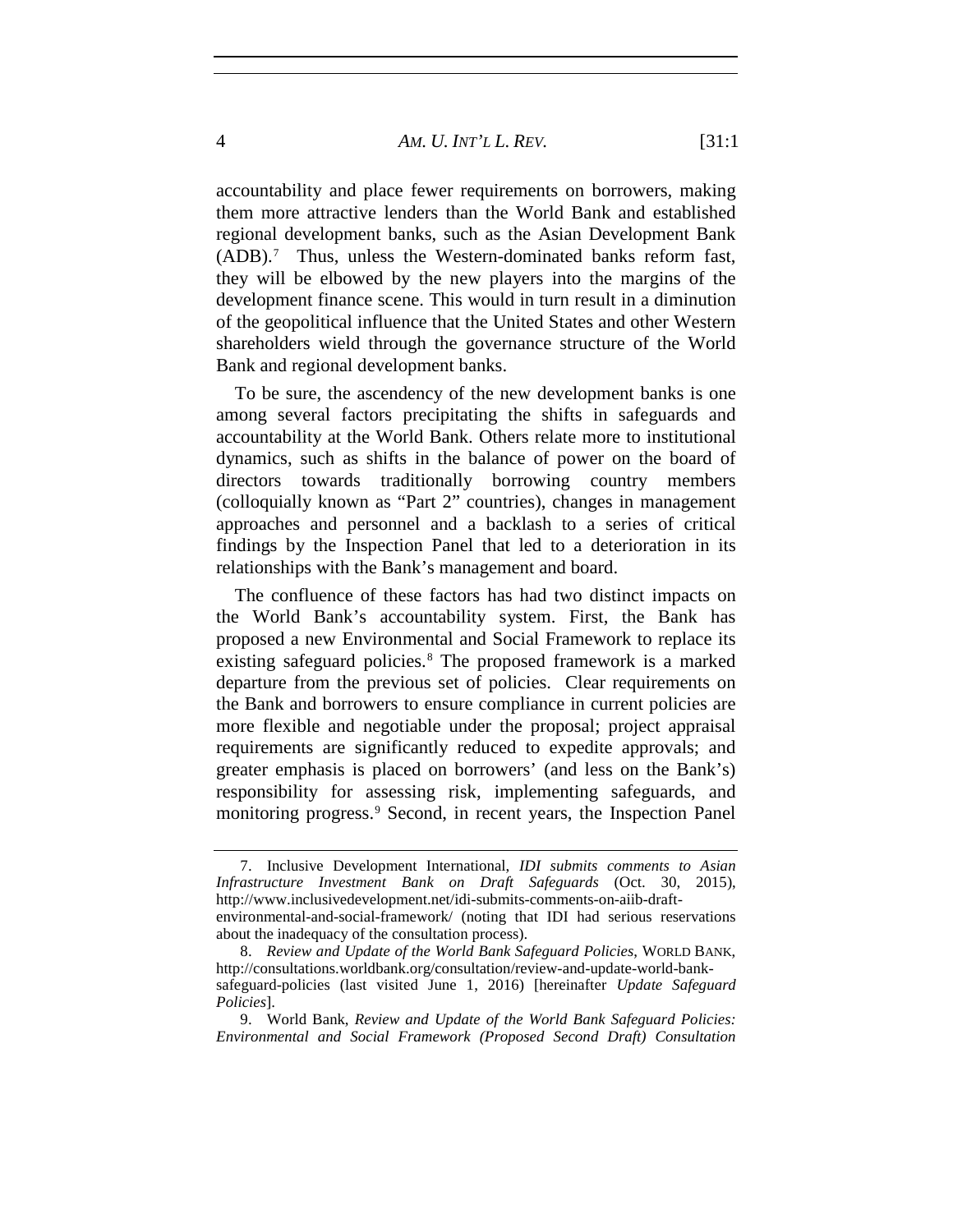#### 4 *AM. U. INT'L L. REV.* [31:1

accountability and place fewer requirements on borrowers, making them more attractive lenders than the World Bank and established regional development banks, such as the Asian Development Bank (ADB).[7](#page-3-0) Thus, unless the Western-dominated banks reform fast, they will be elbowed by the new players into the margins of the development finance scene. This would in turn result in a diminution of the geopolitical influence that the United States and other Western shareholders wield through the governance structure of the World Bank and regional development banks.

To be sure, the ascendency of the new development banks is one among several factors precipitating the shifts in safeguards and accountability at the World Bank. Others relate more to institutional dynamics, such as shifts in the balance of power on the board of directors towards traditionally borrowing country members (colloquially known as "Part 2" countries), changes in management approaches and personnel and a backlash to a series of critical findings by the Inspection Panel that led to a deterioration in its relationships with the Bank's management and board.

The confluence of these factors has had two distinct impacts on the World Bank's accountability system. First, the Bank has proposed a new Environmental and Social Framework to replace its existing safeguard policies.[8](#page-3-1) The proposed framework is a marked departure from the previous set of policies. Clear requirements on the Bank and borrowers to ensure compliance in current policies are more flexible and negotiable under the proposal; project appraisal requirements are significantly reduced to expedite approvals; and greater emphasis is placed on borrowers' (and less on the Bank's) responsibility for assessing risk, implementing safeguards, and monitoring progress.<sup>[9](#page-3-2)</sup> Second, in recent years, the Inspection Panel

<span id="page-3-0"></span><sup>7.</sup> Inclusive Development International, *IDI submits comments to Asian Infrastructure Investment Bank on Draft Safeguards* (Oct. 30, 2015), http://www.inclusivedevelopment.net/idi-submits-comments-on-aiib-draftenvironmental-and-social-framework/ (noting that IDI had serious reservations

about the inadequacy of the consultation process).

<span id="page-3-1"></span><sup>8.</sup> *Review and Update of the World Bank Safeguard Policies*, WORLD BANK, http://consultations.worldbank.org/consultation/review-and-update-world-banksafeguard-policies (last visited June 1, 2016) [hereinafter *Update Safeguard Policies*].

<span id="page-3-2"></span><sup>9.</sup> World Bank, *Review and Update of the World Bank Safeguard Policies: Environmental and Social Framework (Proposed Second Draft) Consultation*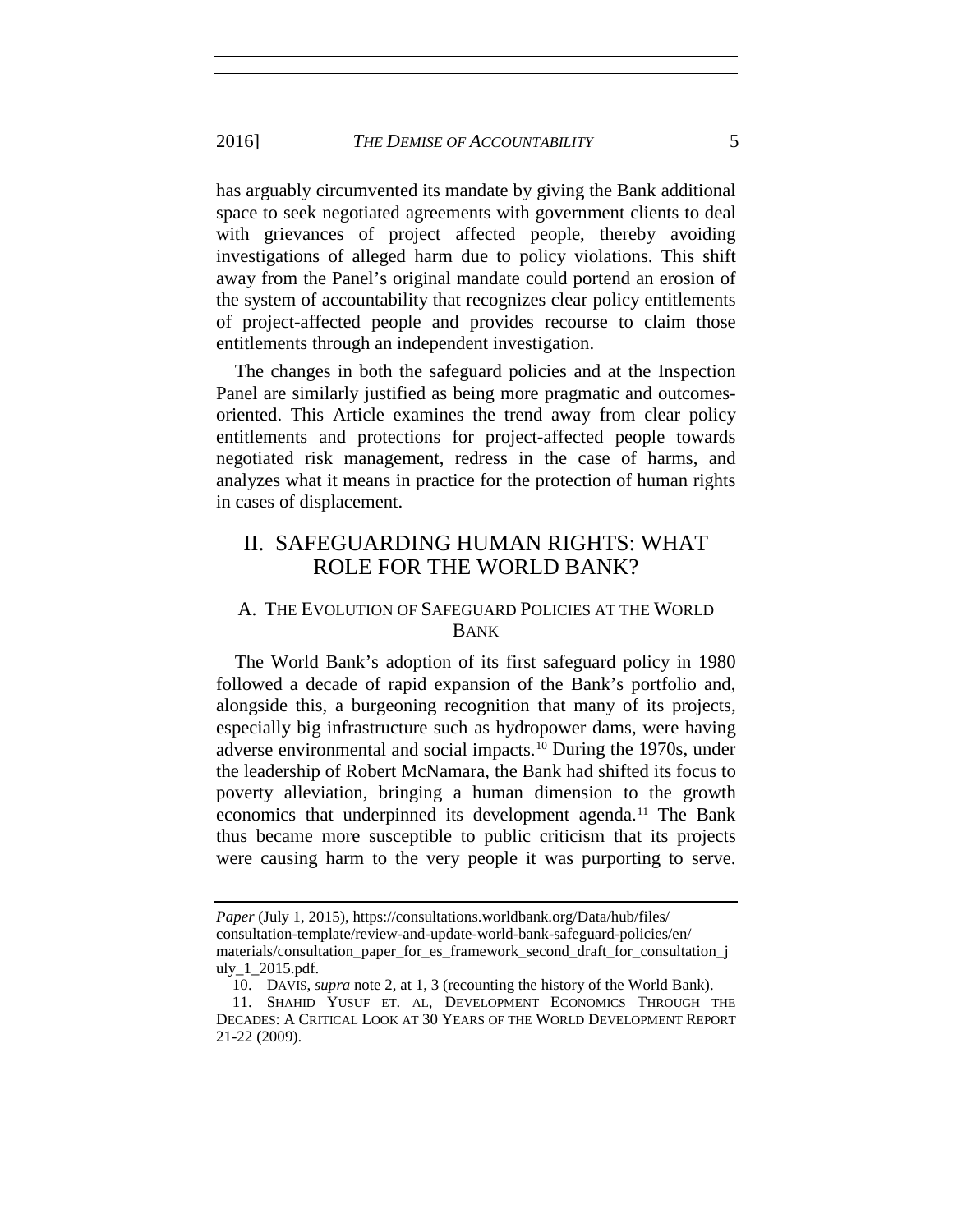has arguably circumvented its mandate by giving the Bank additional space to seek negotiated agreements with government clients to deal with grievances of project affected people, thereby avoiding investigations of alleged harm due to policy violations. This shift away from the Panel's original mandate could portend an erosion of the system of accountability that recognizes clear policy entitlements of project-affected people and provides recourse to claim those entitlements through an independent investigation.

The changes in both the safeguard policies and at the Inspection Panel are similarly justified as being more pragmatic and outcomesoriented. This Article examines the trend away from clear policy entitlements and protections for project-affected people towards negotiated risk management, redress in the case of harms, and analyzes what it means in practice for the protection of human rights in cases of displacement.

# II. SAFEGUARDING HUMAN RIGHTS: WHAT ROLE FOR THE WORLD BANK?

## A. THE EVOLUTION OF SAFEGUARD POLICIES AT THE WORLD BANK

The World Bank's adoption of its first safeguard policy in 1980 followed a decade of rapid expansion of the Bank's portfolio and, alongside this, a burgeoning recognition that many of its projects, especially big infrastructure such as hydropower dams, were having adverse environmental and social impacts.[10](#page-4-0) During the 1970s, under the leadership of Robert McNamara, the Bank had shifted its focus to poverty alleviation, bringing a human dimension to the growth economics that underpinned its development agenda.<sup>[11](#page-4-1)</sup> The Bank thus became more susceptible to public criticism that its projects were causing harm to the very people it was purporting to serve.

*Paper* (July 1, 2015), https://consultations.worldbank.org/Data/hub/files/ consultation-template/review-and-update-world-bank-safeguard-policies/en/ materials/consultation\_paper\_for\_es\_framework\_second\_draft\_for\_consultation\_j uly\_1\_2015.pdf.

<sup>10.</sup> DAVIS, *supra* note [2,](#page-1-2) at 1, 3 (recounting the history of the World Bank).

<span id="page-4-1"></span><span id="page-4-0"></span><sup>11.</sup> SHAHID YUSUF ET. AL, DEVELOPMENT ECONOMICS THROUGH THE DECADES: A CRITICAL LOOK AT 30 YEARS OF THE WORLD DEVELOPMENT REPORT 21-22 (2009).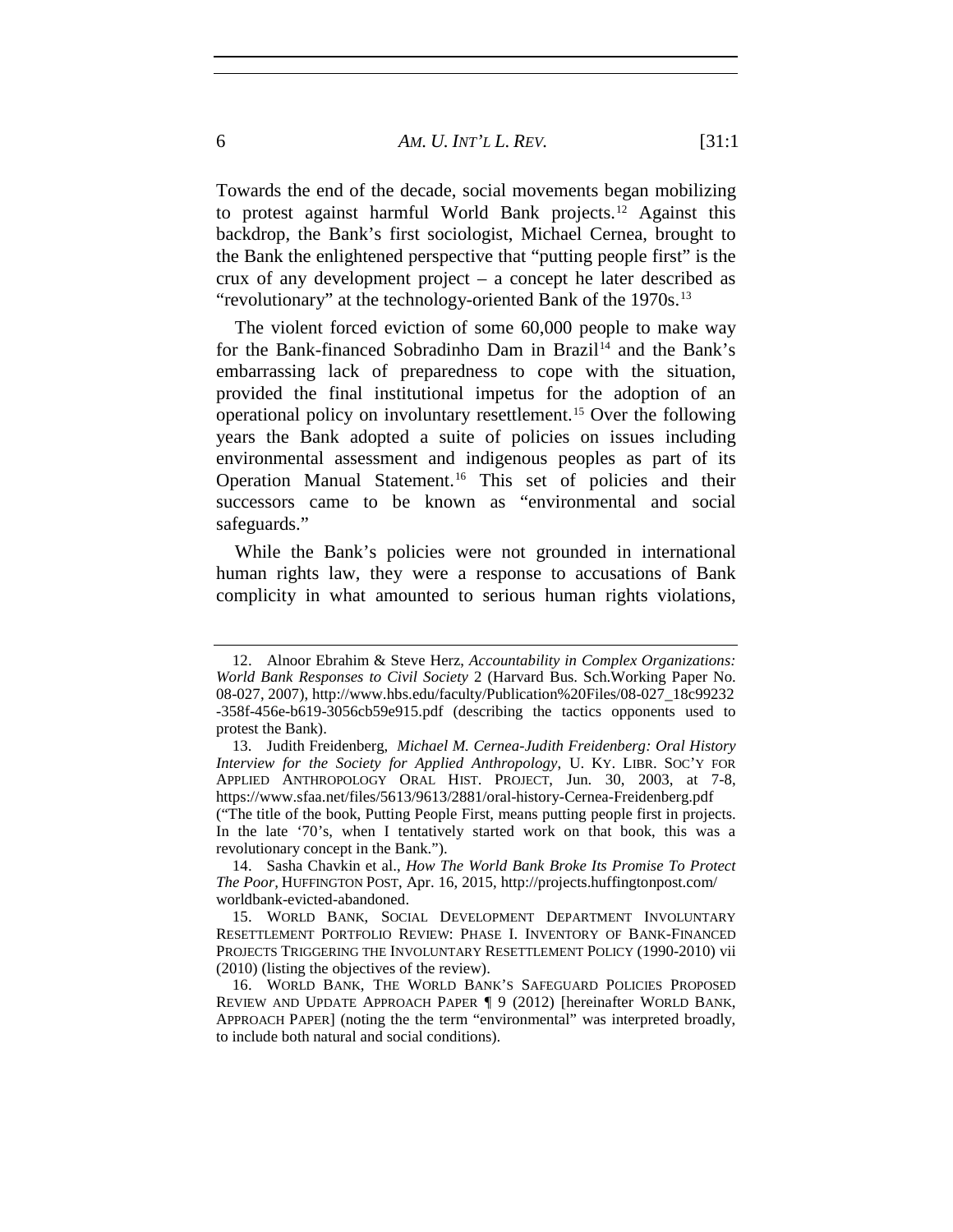#### 6 *AM. U. INT'L L. REV.* [31:1

Towards the end of the decade, social movements began mobilizing to protest against harmful World Bank projects.<sup>[12](#page-5-0)</sup> Against this backdrop, the Bank's first sociologist, Michael Cernea, brought to the Bank the enlightened perspective that "putting people first" is the crux of any development project – a concept he later described as "revolutionary" at the technology-oriented Bank of the 1970s.<sup>[13](#page-5-1)</sup>

The violent forced eviction of some 60,000 people to make way for the Bank-financed Sobradinho Dam in Brazil<sup>[14](#page-5-2)</sup> and the Bank's embarrassing lack of preparedness to cope with the situation, provided the final institutional impetus for the adoption of an operational policy on involuntary resettlement.[15](#page-5-3) Over the following years the Bank adopted a suite of policies on issues including environmental assessment and indigenous peoples as part of its Operation Manual Statement.<sup>[16](#page-5-4)</sup> This set of policies and their successors came to be known as "environmental and social safeguards."

While the Bank's policies were not grounded in international human rights law, they were a response to accusations of Bank complicity in what amounted to serious human rights violations,

<span id="page-5-0"></span><sup>12.</sup> Alnoor Ebrahim & Steve Herz, *Accountability in Complex Organizations: World Bank Responses to Civil Society* 2 (Harvard Bus. Sch.Working Paper No. 08-027, 2007), http://www.hbs.edu/faculty/Publication%20Files/08-027\_18c99232 -358f-456e-b619-3056cb59e915.pdf (describing the tactics opponents used to protest the Bank).

<span id="page-5-1"></span><sup>13.</sup> Judith Freidenberg, *Michael M. Cernea-Judith Freidenberg: Oral History Interview for the Society for Applied Anthropology*, U. KY. LIBR. SOC'Y FOR APPLIED ANTHROPOLOGY ORAL HIST. PROJECT, Jun. 30, 2003, at 7-8, https://www.sfaa.net/files/5613/9613/2881/oral-history-Cernea-Freidenberg.pdf ("The title of the book, Putting People First, means putting people first in projects. In the late '70's, when I tentatively started work on that book, this was a

<span id="page-5-2"></span>revolutionary concept in the Bank."). 14. Sasha Chavkin et al., *How The World Bank Broke Its Promise To Protect The Poor,* HUFFINGTON POST, Apr. 16, 2015, http://projects.huffingtonpost.com/

worldbank-evicted-abandoned. 15. WORLD BANK, SOCIAL DEVELOPMENT DEPARTMENT INVOLUNTARY

<span id="page-5-3"></span>RESETTLEMENT PORTFOLIO REVIEW: PHASE I. INVENTORY OF BANK-FINANCED PROJECTS TRIGGERING THE INVOLUNTARY RESETTLEMENT POLICY (1990-2010) vii (2010) (listing the objectives of the review).

<span id="page-5-4"></span><sup>16.</sup> WORLD BANK, THE WORLD BANK'S SAFEGUARD POLICIES PROPOSED REVIEW AND UPDATE APPROACH PAPER ¶ 9 (2012) [hereinafter WORLD BANK, APPROACH PAPER] (noting the the term "environmental" was interpreted broadly, to include both natural and social conditions).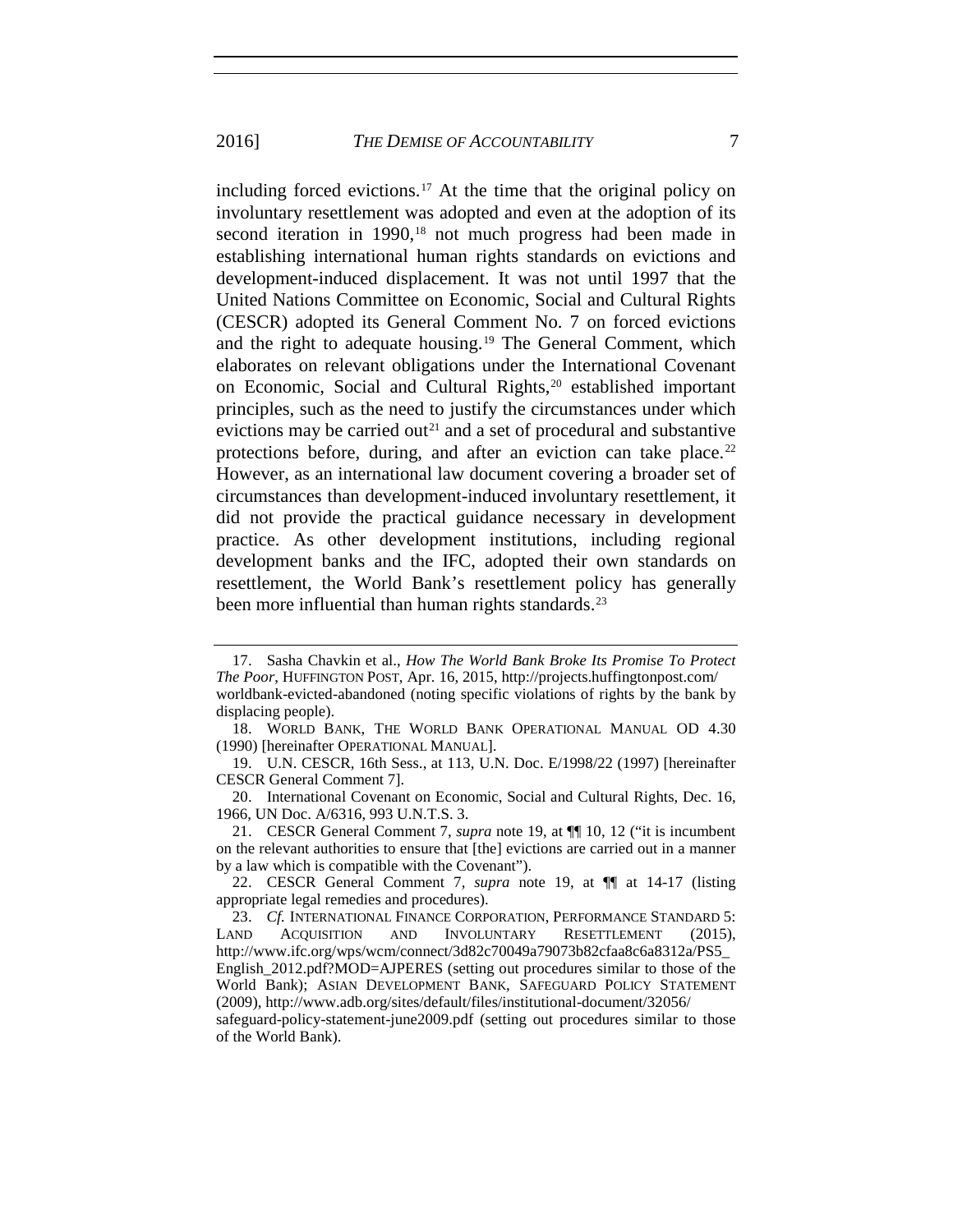<span id="page-6-8"></span><span id="page-6-0"></span>including forced evictions.<sup>[17](#page-6-1)</sup> At the time that the original policy on involuntary resettlement was adopted and even at the adoption of its second iteration in 1990,<sup>[18](#page-6-2)</sup> not much progress had been made in establishing international human rights standards on evictions and development-induced displacement. It was not until 1997 that the United Nations Committee on Economic, Social and Cultural Rights (CESCR) adopted its General Comment No. 7 on forced evictions and the right to adequate housing.[19](#page-6-3) The General Comment, which elaborates on relevant obligations under the International Covenant on Economic, Social and Cultural Rights,<sup>[20](#page-6-4)</sup> established important principles, such as the need to justify the circumstances under which evictions may be carried out<sup>[21](#page-6-5)</sup> and a set of procedural and substantive protections before, during, and after an eviction can take place.<sup>[22](#page-6-6)</sup> However, as an international law document covering a broader set of circumstances than development-induced involuntary resettlement, it did not provide the practical guidance necessary in development practice. As other development institutions, including regional development banks and the IFC, adopted their own standards on resettlement, the World Bank's resettlement policy has generally been more influential than human rights standards.<sup>[23](#page-6-7)</sup>

<span id="page-6-1"></span><sup>17.</sup> Sasha Chavkin et al., *How The World Bank Broke Its Promise To Protect The Poor*, HUFFINGTON POST, Apr. 16, 2015, http://projects.huffingtonpost.com/ worldbank-evicted-abandoned (noting specific violations of rights by the bank by displacing people).

<span id="page-6-2"></span><sup>18.</sup> WORLD BANK, THE WORLD BANK OPERATIONAL MANUAL OD 4.30 (1990) [hereinafter OPERATIONAL MANUAL].

<span id="page-6-3"></span><sup>19.</sup> U.N. CESCR, 16th Sess., at 113, U.N. Doc. E/1998/22 (1997) [hereinafter CESCR General Comment 7].

<span id="page-6-4"></span><sup>20.</sup> International Covenant on Economic, Social and Cultural Rights, Dec. 16, 1966, UN Doc. A/6316, 993 U.N.T.S. 3.

<span id="page-6-5"></span><sup>21.</sup> CESCR General Comment 7, *supra* note [19,](#page-6-0) at ¶¶ 10, 12 ("it is incumbent on the relevant authorities to ensure that [the] evictions are carried out in a manner by a law which is compatible with the Covenant").

<span id="page-6-6"></span><sup>22.</sup> CESCR General Comment 7, *supra* note [19,](#page-6-0) at ¶¶ at 14-17 (listing appropriate legal remedies and procedures).

<span id="page-6-7"></span><sup>23.</sup> *Cf.* INTERNATIONAL FINANCE CORPORATION, PERFORMANCE STANDARD 5:<br>AND ACQUISITION AND INVOLUNTARY RESETTLEMENT (2015), LAND ACQUISITION AND INVOLUNTARY RESETTLEMENT (2015), http://www.ifc.org/wps/wcm/connect/3d82c70049a79073b82cfaa8c6a8312a/PS5\_ English\_2012.pdf?MOD=AJPERES (setting out procedures similar to those of the World Bank); ASIAN DEVELOPMENT BANK, SAFEGUARD POLICY STATEMENT (2009), http://www.adb.org/sites/default/files/institutional-document/32056/

safeguard-policy-statement-june2009.pdf (setting out procedures similar to those of the World Bank).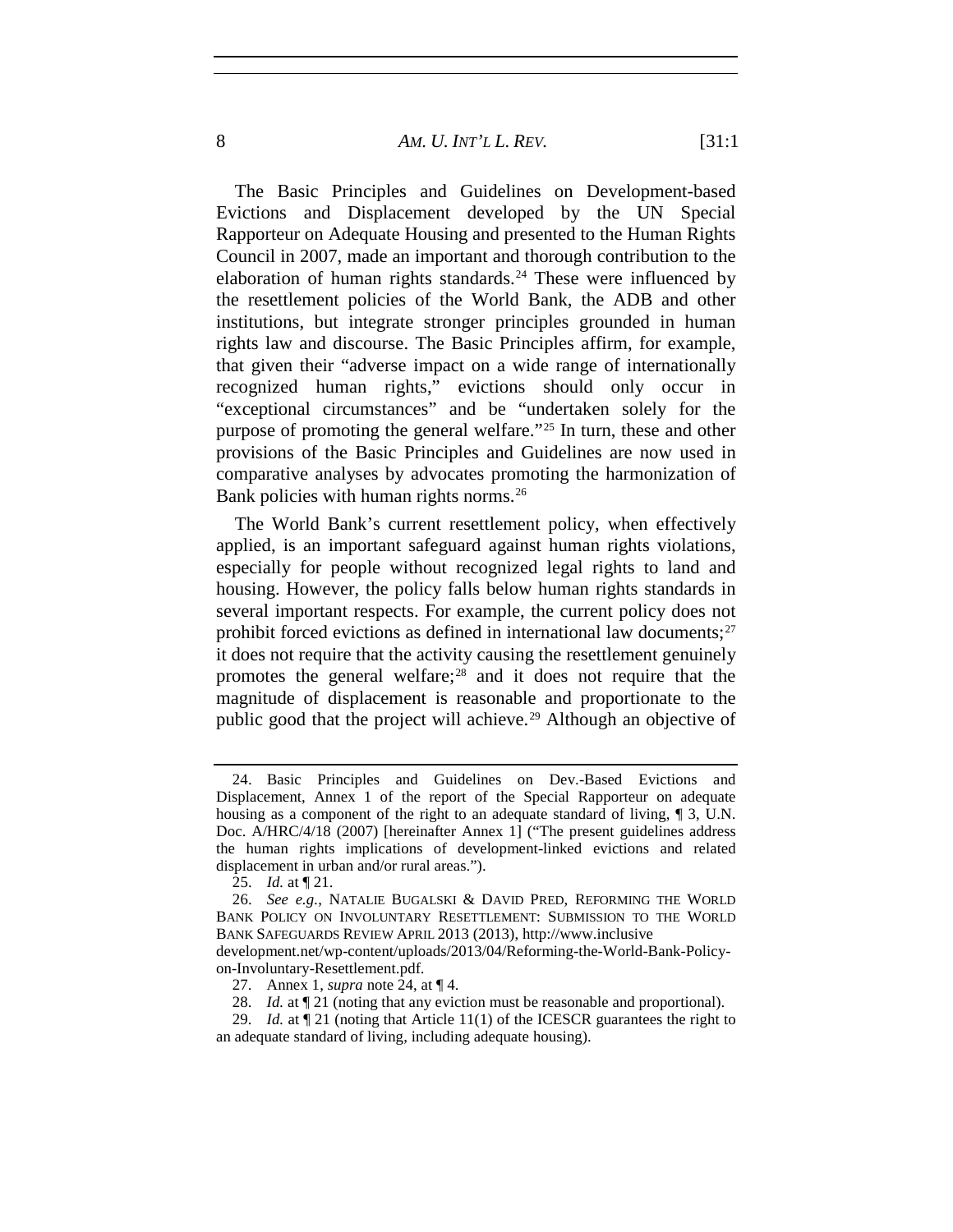#### 8 *AM. U. INT'L L. REV.* [31:1

The Basic Principles and Guidelines on Development-based Evictions and Displacement developed by the UN Special Rapporteur on Adequate Housing and presented to the Human Rights Council in 2007, made an important and thorough contribution to the elaboration of human rights standards.<sup>[24](#page-7-0)</sup> These were influenced by the resettlement policies of the World Bank, the ADB and other institutions, but integrate stronger principles grounded in human rights law and discourse. The Basic Principles affirm, for example, that given their "adverse impact on a wide range of internationally recognized human rights," evictions should only occur in "exceptional circumstances" and be "undertaken solely for the purpose of promoting the general welfare."[25](#page-7-1) In turn, these and other provisions of the Basic Principles and Guidelines are now used in comparative analyses by advocates promoting the harmonization of Bank policies with human rights norms.<sup>[26](#page-7-2)</sup>

<span id="page-7-6"></span>The World Bank's current resettlement policy, when effectively applied, is an important safeguard against human rights violations, especially for people without recognized legal rights to land and housing. However, the policy falls below human rights standards in several important respects. For example, the current policy does not prohibit forced evictions as defined in international law documents; $27$ it does not require that the activity causing the resettlement genuinely promotes the general welfare; $^{28}$  $^{28}$  $^{28}$  and it does not require that the magnitude of displacement is reasonable and proportionate to the public good that the project will achieve.<sup>[29](#page-7-5)</sup> Although an objective of

<span id="page-7-0"></span><sup>24.</sup> Basic Principles and Guidelines on Dev.-Based Evictions and Displacement, Annex 1 of the report of the Special Rapporteur on adequate housing as a component of the right to an adequate standard of living, ¶ 3, U.N. Doc. A/HRC/4/18 (2007) [hereinafter Annex 1] ("The present guidelines address the human rights implications of development-linked evictions and related displacement in urban and/or rural areas.").

<sup>25.</sup> *Id.* at ¶ 21.

<span id="page-7-2"></span><span id="page-7-1"></span><sup>26.</sup> *See e.g.*, NATALIE BUGALSKI & DAVID PRED, REFORMING THE WORLD BANK POLICY ON INVOLUNTARY RESETTLEMENT: SUBMISSION TO THE WORLD BANK SAFEGUARDS REVIEW APRIL 2013 (2013), http://www.inclusive development.net/wp-content/uploads/2013/04/Reforming-the-World-Bank-Policyon-Involuntary-Resettlement.pdf.

<sup>27.</sup> Annex 1, *supra* note 24, at ¶ 4.

<sup>28.</sup> *Id.* at  $\P$  21 (noting that any eviction must be reasonable and proportional).

<span id="page-7-5"></span><span id="page-7-4"></span><span id="page-7-3"></span><sup>29.</sup> *Id.* at ¶ 21 (noting that Article 11(1) of the ICESCR guarantees the right to an adequate standard of living, including adequate housing).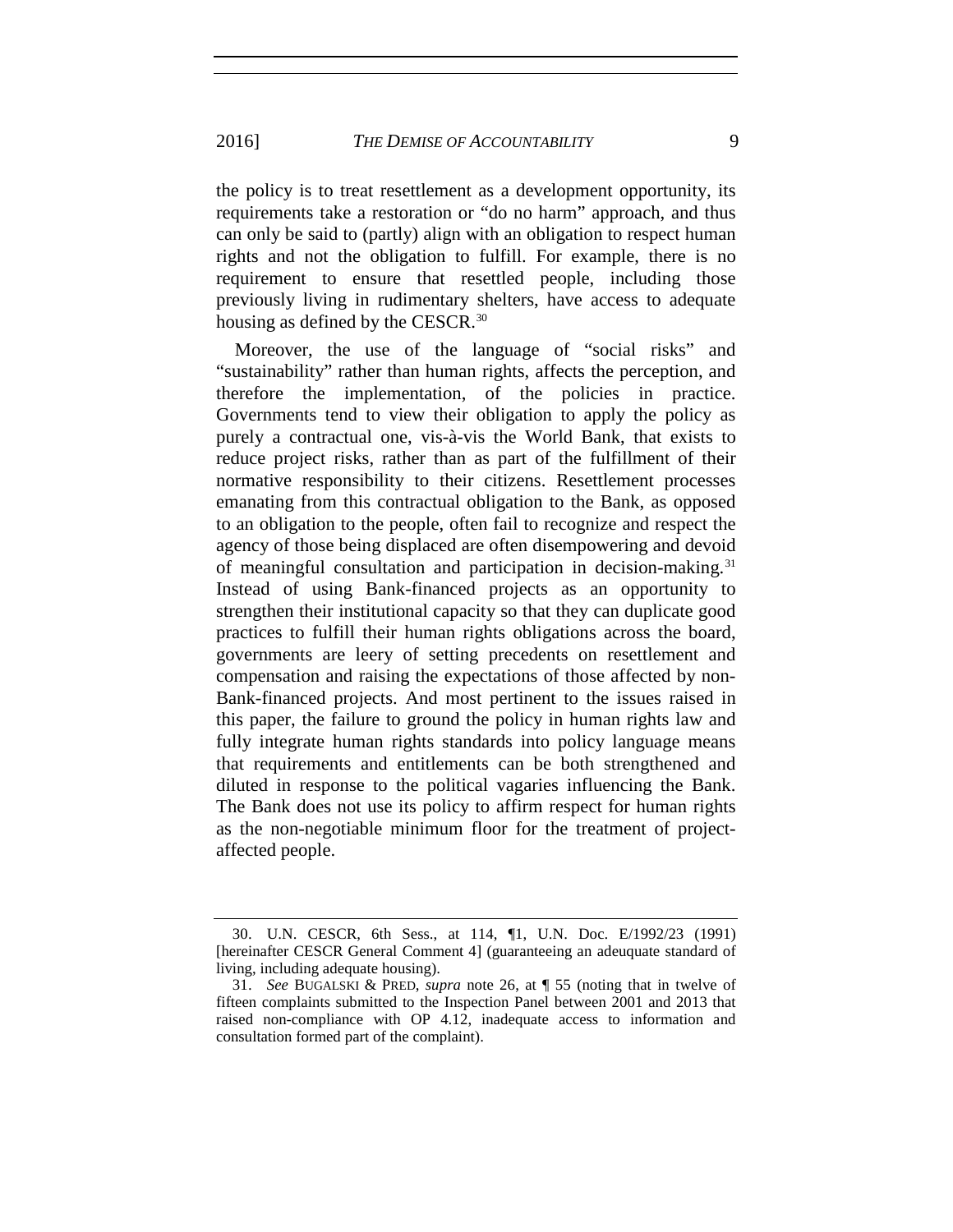the policy is to treat resettlement as a development opportunity, its requirements take a restoration or "do no harm" approach, and thus can only be said to (partly) align with an obligation to respect human rights and not the obligation to fulfill. For example, there is no requirement to ensure that resettled people, including those previously living in rudimentary shelters, have access to adequate housing as defined by the CESCR.<sup>[30](#page-8-0)</sup>

Moreover, the use of the language of "social risks" and "sustainability" rather than human rights, affects the perception, and therefore the implementation, of the policies in practice. Governments tend to view their obligation to apply the policy as purely a contractual one, vis-à-vis the World Bank, that exists to reduce project risks, rather than as part of the fulfillment of their normative responsibility to their citizens. Resettlement processes emanating from this contractual obligation to the Bank, as opposed to an obligation to the people, often fail to recognize and respect the agency of those being displaced are often disempowering and devoid of meaningful consultation and participation in decision-making.[31](#page-8-1) Instead of using Bank-financed projects as an opportunity to strengthen their institutional capacity so that they can duplicate good practices to fulfill their human rights obligations across the board, governments are leery of setting precedents on resettlement and compensation and raising the expectations of those affected by non-Bank-financed projects. And most pertinent to the issues raised in this paper, the failure to ground the policy in human rights law and fully integrate human rights standards into policy language means that requirements and entitlements can be both strengthened and diluted in response to the political vagaries influencing the Bank. The Bank does not use its policy to affirm respect for human rights as the non-negotiable minimum floor for the treatment of projectaffected people.

<span id="page-8-0"></span><sup>30.</sup> U.N. CESCR, 6th Sess., at 114, ¶1, U.N. Doc. E/1992/23 (1991) [hereinafter CESCR General Comment 4] (guaranteeing an adeuquate standard of living, including adequate housing).

<span id="page-8-1"></span><sup>31.</sup> *See* BUGALSKI & PRED, *supra* note [26,](#page-7-6) at ¶ 55 (noting that in twelve of fifteen complaints submitted to the Inspection Panel between 2001 and 2013 that raised non-compliance with OP 4.12, inadequate access to information and consultation formed part of the complaint).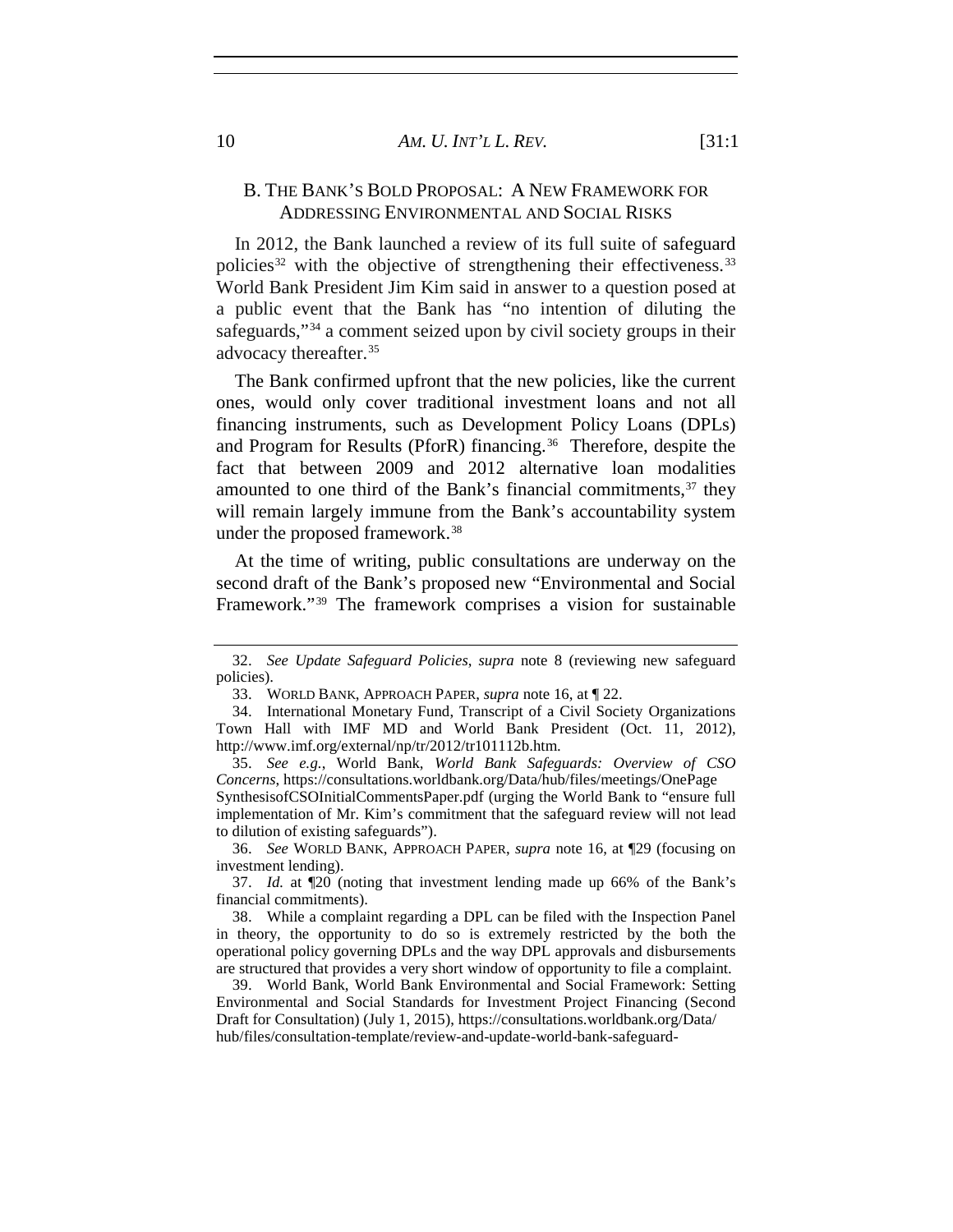## B. THE BANK'S BOLD PROPOSAL: A NEW FRAMEWORK FOR ADDRESSING ENVIRONMENTAL AND SOCIAL RISKS

In 2012, the Bank launched a review of its full suite of safeguard policies<sup>[32](#page-9-0)</sup> with the objective of strengthening their effectiveness.<sup>[33](#page-9-1)</sup> World Bank President Jim Kim said in answer to a question posed at a public event that the Bank has "no intention of diluting the safeguards,"[34](#page-9-2) a comment seized upon by civil society groups in their advocacy thereafter.[35](#page-9-3)

The Bank confirmed upfront that the new policies, like the current ones, would only cover traditional investment loans and not all financing instruments, such as Development Policy Loans (DPLs) and Program for Results (PforR) financing.<sup>36</sup> Therefore, despite the fact that between 2009 and 2012 alternative loan modalities amounted to one third of the Bank's financial commitments,<sup>[37](#page-9-5)</sup> they will remain largely immune from the Bank's accountability system under the proposed framework.[38](#page-9-6)

<span id="page-9-8"></span>At the time of writing, public consultations are underway on the second draft of the Bank's proposed new "Environmental and Social Framework."[39](#page-9-7) The framework comprises a vision for sustainable

<span id="page-9-3"></span>35. *See e.g.*, World Bank, *World Bank Safeguards: Overview of CSO Concerns*, https://consultations.worldbank.org/Data/hub/files/meetings/OnePage

SynthesisofCSOInitialCommentsPaper.pdf (urging the World Bank to "ensure full implementation of Mr. Kim's commitment that the safeguard review will not lead to dilution of existing safeguards").

<span id="page-9-4"></span>36. *See* WORLD BANK, APPROACH PAPER, *supra* note 16, at ¶29 (focusing on investment lending).

<span id="page-9-5"></span>37. *Id.* at ¶20 (noting that investment lending made up 66% of the Bank's financial commitments).

<span id="page-9-6"></span>38. While a complaint regarding a DPL can be filed with the Inspection Panel in theory, the opportunity to do so is extremely restricted by the both the operational policy governing DPLs and the way DPL approvals and disbursements are structured that provides a very short window of opportunity to file a complaint.

<span id="page-9-7"></span>39. World Bank, World Bank Environmental and Social Framework: Setting Environmental and Social Standards for Investment Project Financing (Second Draft for Consultation) (July 1, 2015), https://consultations.worldbank.org/Data/ hub/files/consultation-template/review-and-update-world-bank-safeguard-

<span id="page-9-0"></span><sup>32.</sup> *See Update Safeguard Policies*, *supra* note 8 (reviewing new safeguard policies).

<sup>33.</sup> WORLD BANK, APPROACH PAPER, *supra* note 16, at ¶ 22.

<span id="page-9-2"></span><span id="page-9-1"></span><sup>34.</sup> International Monetary Fund, Transcript of a Civil Society Organizations Town Hall with IMF MD and World Bank President (Oct. 11, 2012), http://www.imf.org/external/np/tr/2012/tr101112b.htm.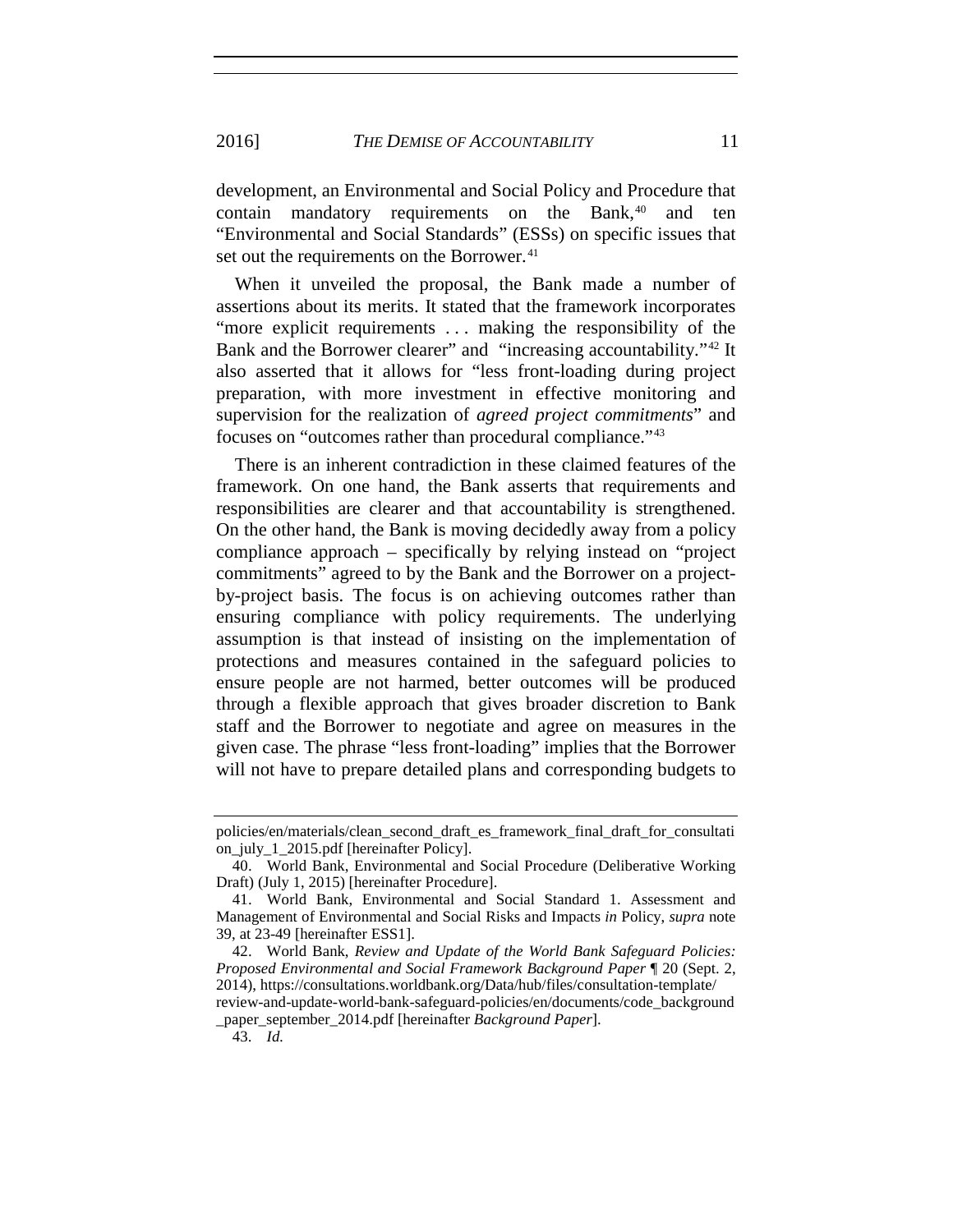<span id="page-10-5"></span>development, an Environmental and Social Policy and Procedure that contain mandatory requirements on the Bank,<sup>[40](#page-10-0)</sup> and ten "Environmental and Social Standards" (ESSs) on specific issues that set out the requirements on the Borrower.<sup>[41](#page-10-1)</sup>

<span id="page-10-6"></span><span id="page-10-4"></span>When it unveiled the proposal, the Bank made a number of assertions about its merits. It stated that the framework incorporates "more explicit requirements ... making the responsibility of the Bank and the Borrower clearer" and "increasing accountability."<sup>[42](#page-10-2)</sup> It also asserted that it allows for "less front-loading during project preparation, with more investment in effective monitoring and supervision for the realization of *agreed project commitments*" and focuses on "outcomes rather than procedural compliance."[43](#page-10-3)

There is an inherent contradiction in these claimed features of the framework. On one hand, the Bank asserts that requirements and responsibilities are clearer and that accountability is strengthened. On the other hand, the Bank is moving decidedly away from a policy compliance approach – specifically by relying instead on "project commitments" agreed to by the Bank and the Borrower on a projectby-project basis. The focus is on achieving outcomes rather than ensuring compliance with policy requirements. The underlying assumption is that instead of insisting on the implementation of protections and measures contained in the safeguard policies to ensure people are not harmed, better outcomes will be produced through a flexible approach that gives broader discretion to Bank staff and the Borrower to negotiate and agree on measures in the given case. The phrase "less front-loading" implies that the Borrower will not have to prepare detailed plans and corresponding budgets to

policies/en/materials/clean\_second\_draft\_es\_framework\_final\_draft\_for\_consultati on\_july\_1\_2015.pdf [hereinafter Policy].

<span id="page-10-0"></span><sup>40.</sup> World Bank, Environmental and Social Procedure (Deliberative Working Draft) (July 1, 2015) [hereinafter Procedure].

<span id="page-10-1"></span><sup>41.</sup> World Bank, Environmental and Social Standard 1. Assessment and Management of Environmental and Social Risks and Impacts *in* Policy, *supra* note 39, at 23-49 [hereinafter ESS1].

<span id="page-10-2"></span><sup>42.</sup> World Bank, *Review and Update of the World Bank Safeguard Policies: Proposed Environmental and Social Framework Background Paper* ¶ 20 (Sept. 2, 2014), https://consultations.worldbank.org/Data/hub/files/consultation-template/ review-and-update-world-bank-safeguard-policies/en/documents/code\_background

<span id="page-10-3"></span>\_paper\_september\_2014.pdf [hereinafter *Background Paper*].

<sup>43.</sup> *Id.*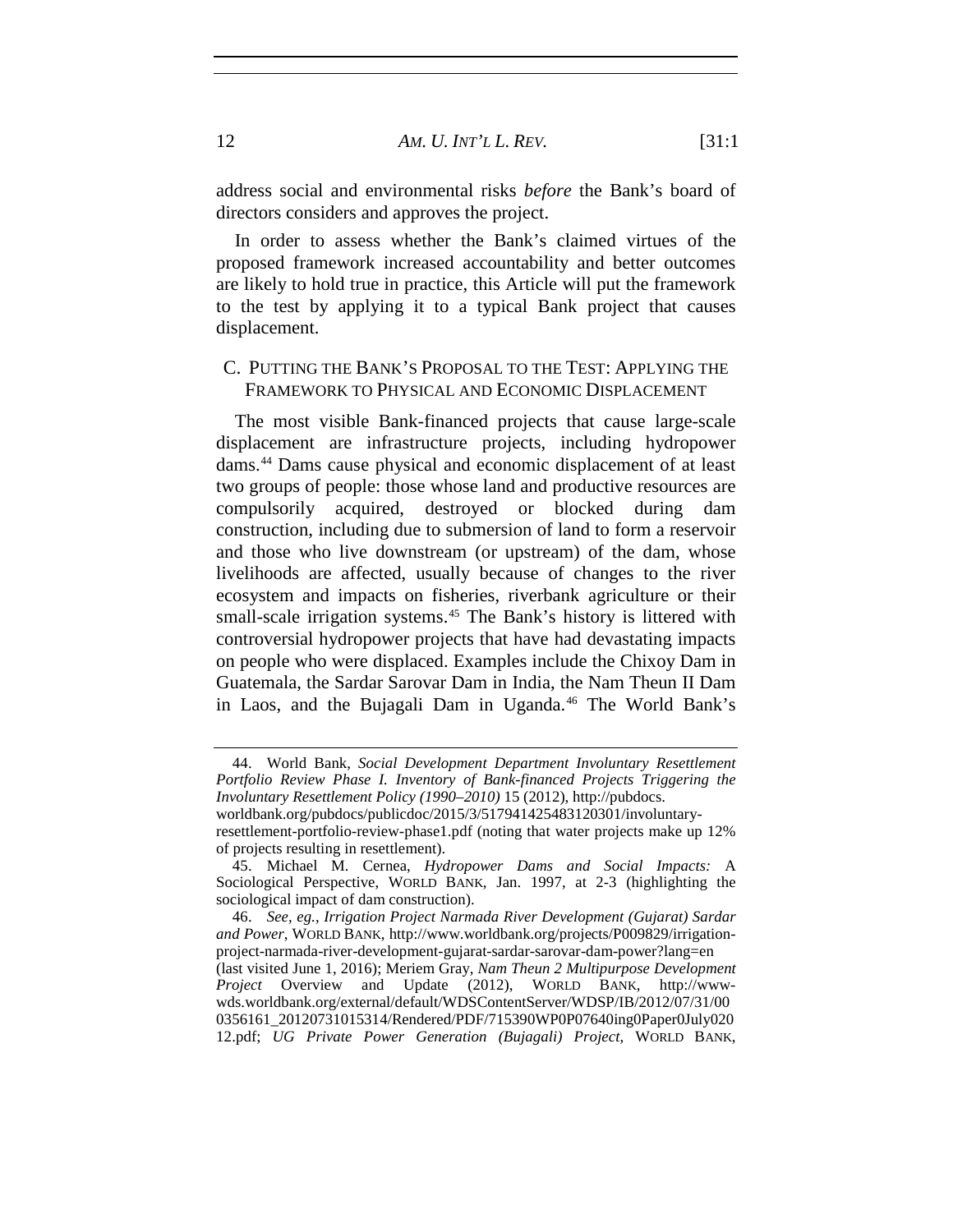address social and environmental risks *before* the Bank's board of directors considers and approves the project.

In order to assess whether the Bank's claimed virtues of the proposed framework increased accountability and better outcomes are likely to hold true in practice, this Article will put the framework to the test by applying it to a typical Bank project that causes displacement.

## C. PUTTING THE BANK'S PROPOSAL TO THE TEST: APPLYING THE FRAMEWORK TO PHYSICAL AND ECONOMIC DISPLACEMENT

The most visible Bank-financed projects that cause large-scale displacement are infrastructure projects, including hydropower dams.[44](#page-11-0) Dams cause physical and economic displacement of at least two groups of people: those whose land and productive resources are compulsorily acquired, destroyed or blocked during dam construction, including due to submersion of land to form a reservoir and those who live downstream (or upstream) of the dam, whose livelihoods are affected, usually because of changes to the river ecosystem and impacts on fisheries, riverbank agriculture or their small-scale irrigation systems.<sup>[45](#page-11-1)</sup> The Bank's history is littered with controversial hydropower projects that have had devastating impacts on people who were displaced. Examples include the Chixoy Dam in Guatemala, the Sardar Sarovar Dam in India, the Nam Theun II Dam in Laos, and the Bujagali Dam in Uganda.<sup>[46](#page-11-2)</sup> The World Bank's

<span id="page-11-0"></span><sup>44.</sup> World Bank, *Social Development Department Involuntary Resettlement Portfolio Review Phase I. Inventory of Bank-financed Projects Triggering the Involuntary Resettlement Policy (1990–2010)* 15 (2012), http://pubdocs.

worldbank.org/pubdocs/publicdoc/2015/3/517941425483120301/involuntaryresettlement-portfolio-review-phase1.pdf (noting that water projects make up 12% of projects resulting in resettlement).

<span id="page-11-1"></span><sup>45.</sup> Michael M. Cernea, *Hydropower Dams and Social Impacts:* A Sociological Perspective, WORLD BANK, Jan. 1997, at 2-3 (highlighting the sociological impact of dam construction).

<span id="page-11-2"></span><sup>46.</sup> *See, eg.*, *Irrigation Project Narmada River Development (Gujarat) Sardar and Power*, WORLD BANK, [http://www.worldbank.org/projects/P009829/irrigation](http://www.worldbank.org/projects/P009829/irrigation-project-narmada-river-development-gujarat-sardar-sarovar-dam-power?lang=en)[project-narmada-river-development-gujarat-sardar-sarovar-dam-power?lang=en](http://www.worldbank.org/projects/P009829/irrigation-project-narmada-river-development-gujarat-sardar-sarovar-dam-power?lang=en) (last visited June 1, 2016); Meriem Gray, *Nam Theun 2 Multipurpose Development Project* Overview and Update (2012), WORLD BANK, http://wwwwds.worldbank.org/external/default/WDSContentServer/WDSP/IB/2012/07/31/00 0356161\_20120731015314/Rendered/PDF/715390WP0P07640ing0Paper0July020 12.pdf; *UG Private Power Generation (Bujagali) Project*, WORLD BANK,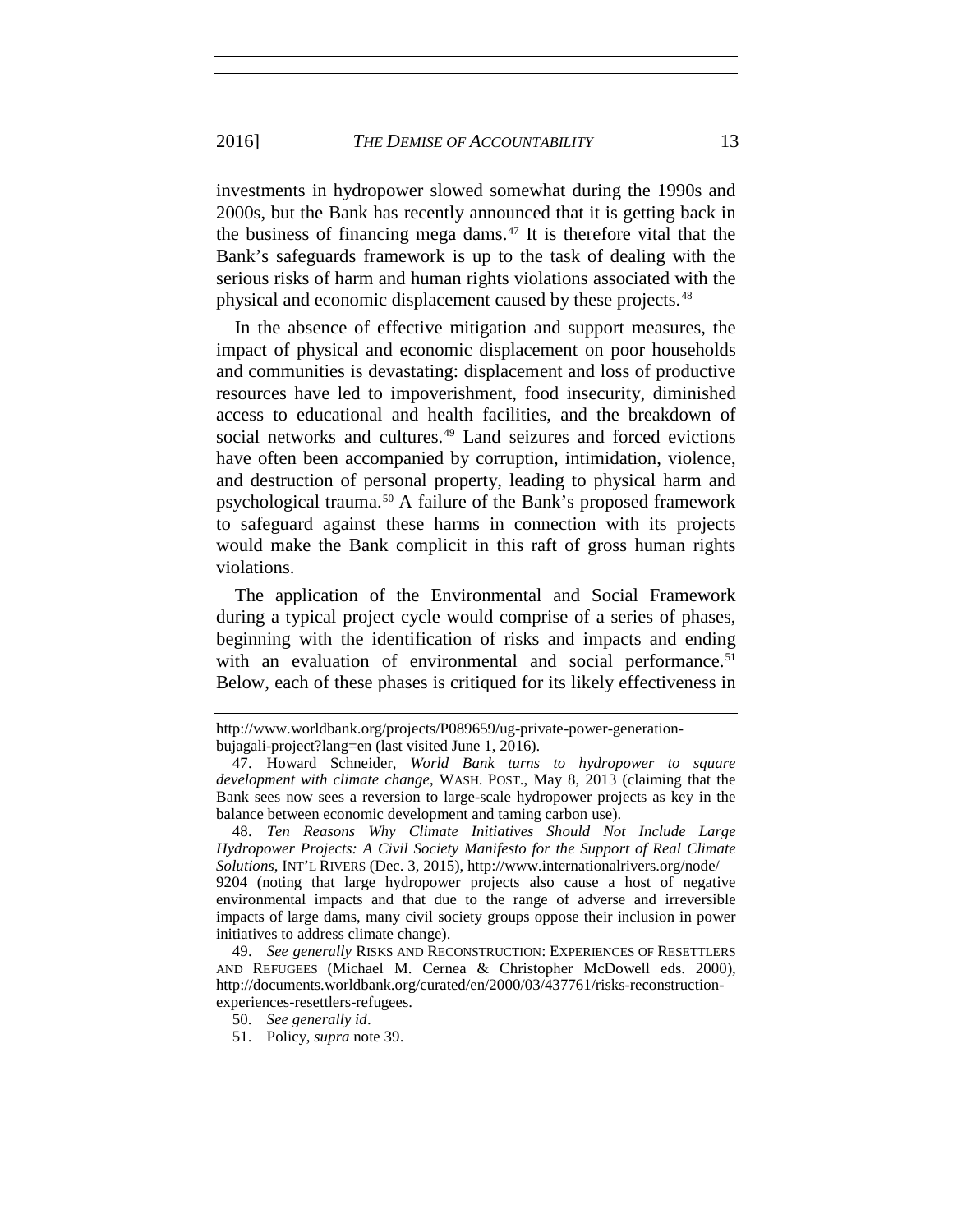investments in hydropower slowed somewhat during the 1990s and 2000s, but the Bank has recently announced that it is getting back in the business of financing mega dams. $47$  It is therefore vital that the Bank's safeguards framework is up to the task of dealing with the serious risks of harm and human rights violations associated with the physical and economic displacement caused by these projects.<sup>[48](#page-12-1)</sup>

In the absence of effective mitigation and support measures, the impact of physical and economic displacement on poor households and communities is devastating: displacement and loss of productive resources have led to impoverishment, food insecurity, diminished access to educational and health facilities, and the breakdown of social networks and cultures.<sup>[49](#page-12-2)</sup> Land seizures and forced evictions have often been accompanied by corruption, intimidation, violence, and destruction of personal property, leading to physical harm and psychological trauma.[50](#page-12-3) A failure of the Bank's proposed framework to safeguard against these harms in connection with its projects would make the Bank complicit in this raft of gross human rights violations.

The application of the Environmental and Social Framework during a typical project cycle would comprise of a series of phases, beginning with the identification of risks and impacts and ending with an evaluation of environmental and social performance.<sup>51</sup> Below, each of these phases is critiqued for its likely effectiveness in

http://www.worldbank.org/projects/P089659/ug-private-power-generationbujagali-project?lang=en (last visited June 1, 2016).

<span id="page-12-0"></span><sup>47.</sup> Howard Schneider, *World Bank turns to hydropower to square development with climate change*, WASH. POST., May 8, 2013 (claiming that the Bank sees now sees a reversion to large-scale hydropower projects as key in the balance between economic development and taming carbon use).

<span id="page-12-1"></span><sup>48.</sup> *Ten Reasons Why Climate Initiatives Should Not Include Large Hydropower Projects: A Civil Society Manifesto for the Support of Real Climate Solutions*, INT'L RIVERS (Dec. 3, 2015), http://www.internationalrivers.org/node/ 9204 (noting that large hydropower projects also cause a host of negative environmental impacts and that due to the range of adverse and irreversible impacts of large dams, many civil society groups oppose their inclusion in power initiatives to address climate change).

<span id="page-12-3"></span><span id="page-12-2"></span><sup>49.</sup> *See generally* RISKS AND RECONSTRUCTION: EXPERIENCES OF RESETTLERS AND REFUGEES (Michael M. Cernea & Christopher McDowell eds. 2000), http://documents.worldbank.org/curated/en/2000/03/437761/risks-reconstructionexperiences-resettlers-refugees.

<span id="page-12-4"></span><sup>50.</sup> *See generally id*.

<sup>51.</sup> Policy, *supra* note [39.](#page-9-8)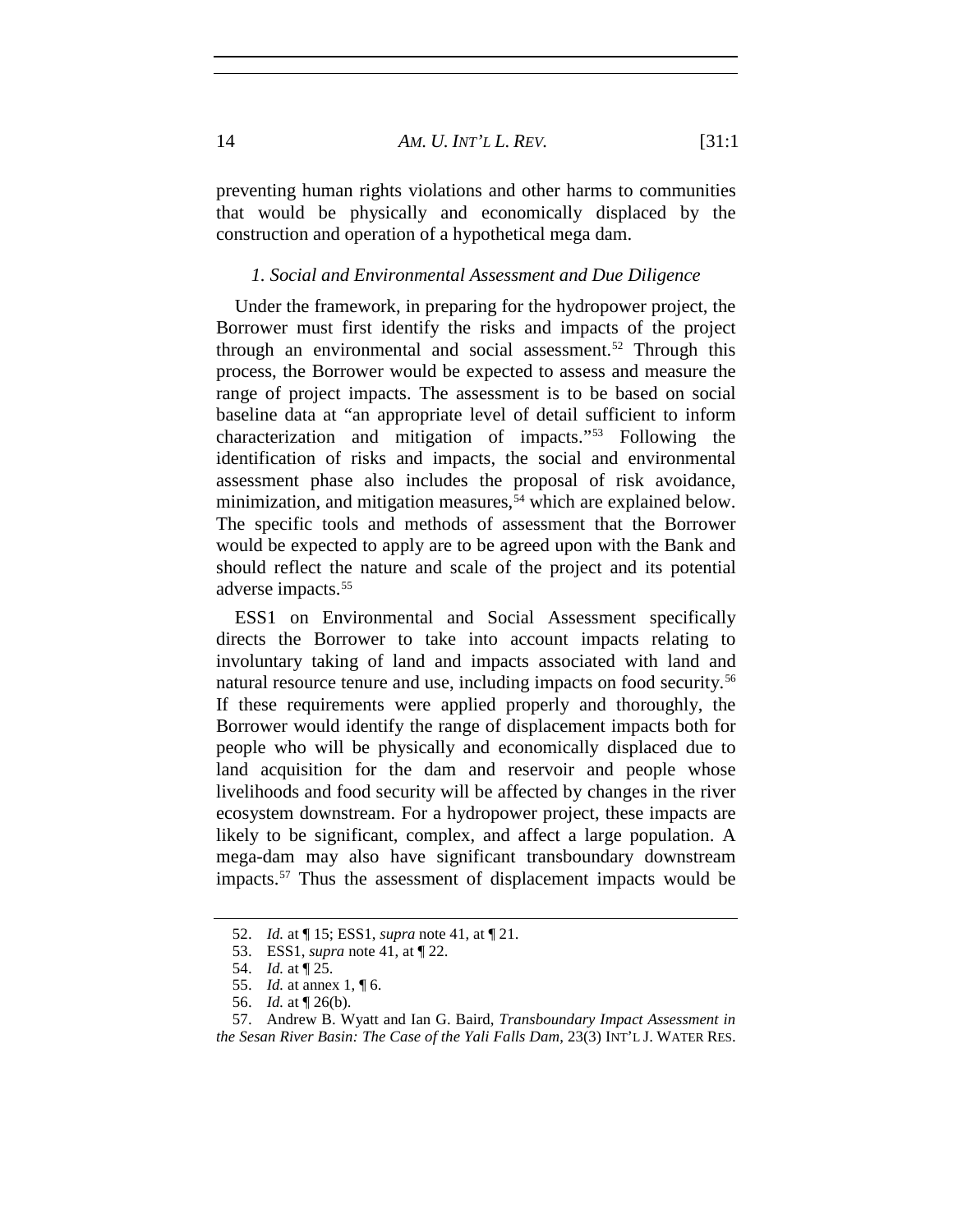preventing human rights violations and other harms to communities that would be physically and economically displaced by the construction and operation of a hypothetical mega dam.

#### *1. Social and Environmental Assessment and Due Diligence*

Under the framework, in preparing for the hydropower project, the Borrower must first identify the risks and impacts of the project through an environmental and social assessment.<sup>[52](#page-13-0)</sup> Through this process, the Borrower would be expected to assess and measure the range of project impacts. The assessment is to be based on social baseline data at "an appropriate level of detail sufficient to inform characterization and mitigation of impacts."[53](#page-13-1) Following the identification of risks and impacts, the social and environmental assessment phase also includes the proposal of risk avoidance, minimization, and mitigation measures,<sup>[54](#page-13-2)</sup> which are explained below. The specific tools and methods of assessment that the Borrower would be expected to apply are to be agreed upon with the Bank and should reflect the nature and scale of the project and its potential adverse impacts.<sup>[55](#page-13-3)</sup>

ESS1 on Environmental and Social Assessment specifically directs the Borrower to take into account impacts relating to involuntary taking of land and impacts associated with land and natural resource tenure and use, including impacts on food security.<sup>[56](#page-13-4)</sup> If these requirements were applied properly and thoroughly, the Borrower would identify the range of displacement impacts both for people who will be physically and economically displaced due to land acquisition for the dam and reservoir and people whose livelihoods and food security will be affected by changes in the river ecosystem downstream. For a hydropower project, these impacts are likely to be significant, complex, and affect a large population. A mega-dam may also have significant transboundary downstream impacts.[57](#page-13-5) Thus the assessment of displacement impacts would be

<span id="page-13-1"></span><span id="page-13-0"></span><sup>52.</sup> *Id.* at ¶ 15; ESS1, *supra* note [41,](#page-10-4) at ¶ 21.

<sup>53.</sup> ESS1, *supra* not[e 41,](#page-10-4) at ¶ 22.

<sup>54.</sup> *Id.* at ¶ 25.

<sup>55.</sup> *Id.* at annex 1, ¶ 6.

<sup>56.</sup> *Id.* at ¶ 26(b).

<sup>57.</sup> Andrew B. Wyatt and Ian G. Baird, *Transboundary Impact Assessment in* 

<span id="page-13-5"></span><span id="page-13-4"></span><span id="page-13-3"></span><span id="page-13-2"></span>*the Sesan River Basin: The Case of the Yali Falls Dam*, 23(3) INT'L J. WATER RES.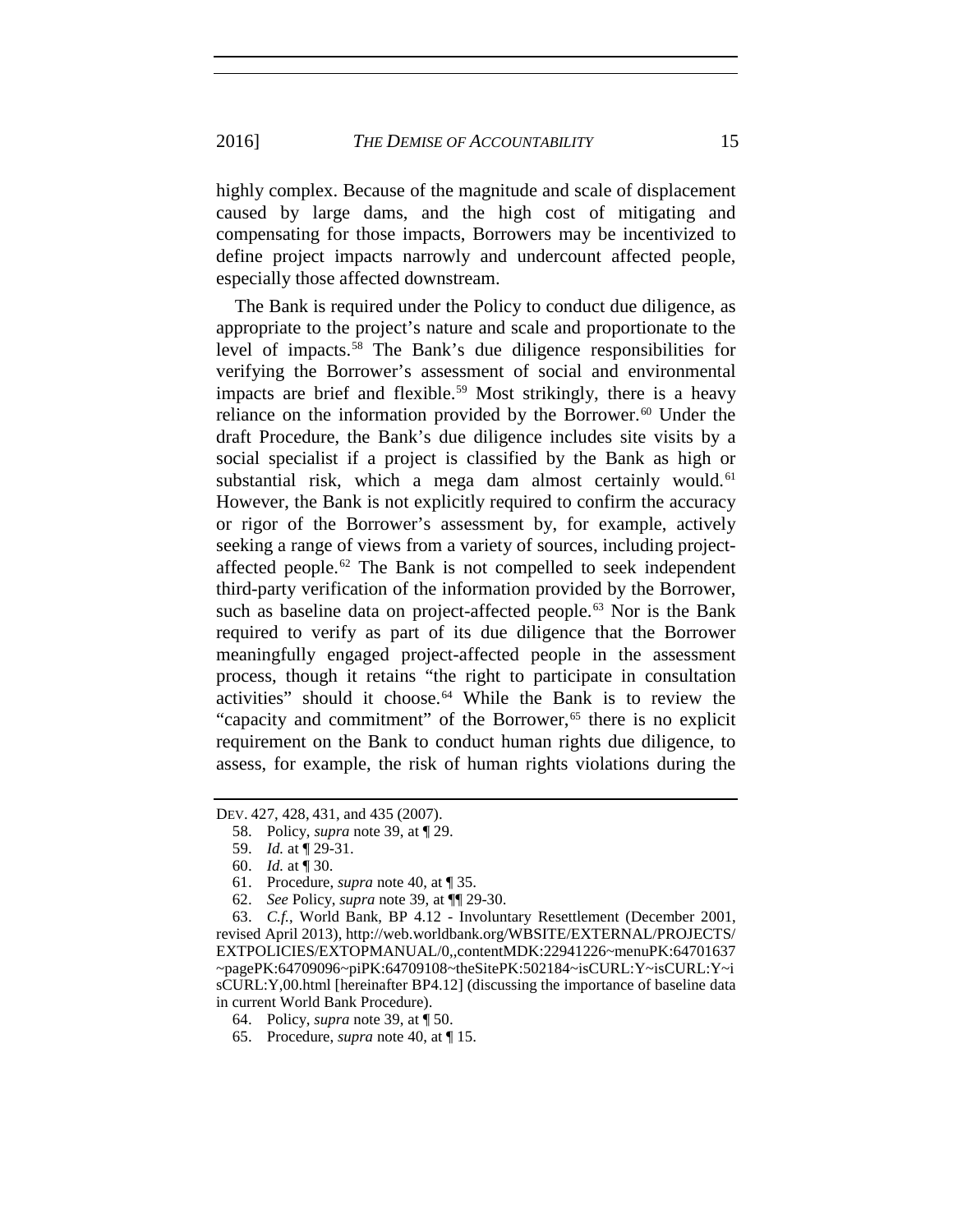2016] *THE DEMISE OF ACCOUNTABILITY* 15

highly complex. Because of the magnitude and scale of displacement caused by large dams, and the high cost of mitigating and compensating for those impacts, Borrowers may be incentivized to define project impacts narrowly and undercount affected people, especially those affected downstream.

The Bank is required under the Policy to conduct due diligence, as appropriate to the project's nature and scale and proportionate to the level of impacts.[58](#page-14-0) The Bank's due diligence responsibilities for verifying the Borrower's assessment of social and environmental impacts are brief and flexible.<sup>[59](#page-14-1)</sup> Most strikingly, there is a heavy reliance on the information provided by the Borrower.<sup>[60](#page-14-2)</sup> Under the draft Procedure, the Bank's due diligence includes site visits by a social specialist if a project is classified by the Bank as high or substantial risk, which a mega dam almost certainly would.<sup>[61](#page-14-3)</sup> However, the Bank is not explicitly required to confirm the accuracy or rigor of the Borrower's assessment by, for example, actively seeking a range of views from a variety of sources, including projectaffected people.[62](#page-14-4) The Bank is not compelled to seek independent third-party verification of the information provided by the Borrower, such as baseline data on project-affected people.<sup>[63](#page-14-5)</sup> Nor is the Bank required to verify as part of its due diligence that the Borrower meaningfully engaged project-affected people in the assessment process, though it retains "the right to participate in consultation activities" should it choose.[64](#page-14-6) While the Bank is to review the "capacity and commitment" of the Borrower,<sup>[65](#page-14-7)</sup> there is no explicit requirement on the Bank to conduct human rights due diligence, to assess, for example, the risk of human rights violations during the

- 58. Policy, *supra* note [39,](#page-9-8) at ¶ 29.
- 59. *Id.* at ¶ 29-31.
- 60. *Id.* at ¶ 30.
- 61. Procedure, *supra* note [40,](#page-10-5) at ¶ 35.
- 62. *See* Policy, *supra* note [39,](#page-9-8) at ¶¶ 29-30.

<span id="page-14-5"></span><span id="page-14-4"></span><span id="page-14-3"></span><span id="page-14-2"></span>63. *C.f.*, World Bank, BP 4.12 - Involuntary Resettlement (December 2001, revised April 2013), http://web.worldbank.org/WBSITE/EXTERNAL/PROJECTS/ EXTPOLICIES/EXTOPMANUAL/0,,contentMDK:22941226~menuPK:64701637 ~pagePK:64709096~piPK:64709108~theSitePK:502184~isCURL:Y~isCURL:Y~i sCURL:Y,00.html [hereinafter BP4.12] (discussing the importance of baseline data in current World Bank Procedure).

<span id="page-14-7"></span>65. Procedure, *supra* note [40,](#page-10-5) at ¶ 15.

<span id="page-14-1"></span><span id="page-14-0"></span>DEV. 427, 428, 431, and 435 (2007).

<span id="page-14-6"></span><sup>64.</sup> Policy, *supra* note [39,](#page-9-8) at ¶ 50.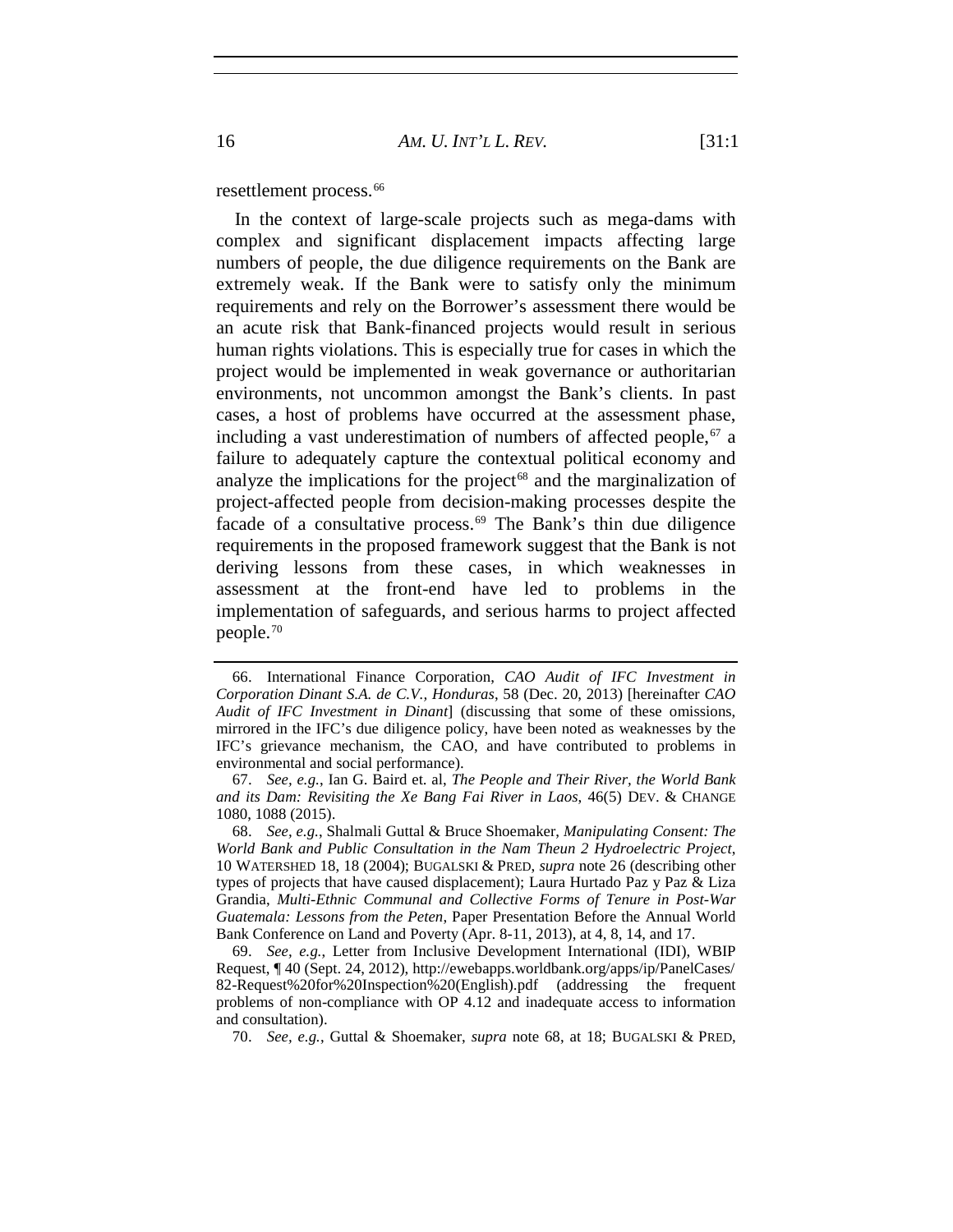resettlement process.<sup>[66](#page-15-1)</sup>

In the context of large-scale projects such as mega-dams with complex and significant displacement impacts affecting large numbers of people, the due diligence requirements on the Bank are extremely weak. If the Bank were to satisfy only the minimum requirements and rely on the Borrower's assessment there would be an acute risk that Bank-financed projects would result in serious human rights violations. This is especially true for cases in which the project would be implemented in weak governance or authoritarian environments, not uncommon amongst the Bank's clients. In past cases, a host of problems have occurred at the assessment phase, including a vast underestimation of numbers of affected people,  $67$  a failure to adequately capture the contextual political economy and analyze the implications for the project<sup> $68$ </sup> and the marginalization of project-affected people from decision-making processes despite the facade of a consultative process.<sup>[69](#page-15-4)</sup> The Bank's thin due diligence requirements in the proposed framework suggest that the Bank is not deriving lessons from these cases, in which weaknesses in assessment at the front-end have led to problems in the implementation of safeguards, and serious harms to project affected people.[70](#page-15-5)

<span id="page-15-1"></span><span id="page-15-0"></span><sup>66.</sup> International Finance Corporation, *CAO Audit of IFC Investment in Corporation Dinant S.A. de C.V., Honduras*, 58 (Dec. 20, 2013) [hereinafter *CAO Audit of IFC Investment in Dinant*] (discussing that some of these omissions, mirrored in the IFC's due diligence policy, have been noted as weaknesses by the IFC's grievance mechanism, the CAO, and have contributed to problems in environmental and social performance).

<span id="page-15-2"></span><sup>67.</sup> *See, e.g.*, Ian G. Baird et. al, *The People and Their River, the World Bank and its Dam: Revisiting the Xe Bang Fai River in Laos*, 46(5) DEV. & CHANGE 1080, 1088 (2015).

<span id="page-15-3"></span><sup>68.</sup> *See, e.g.*, Shalmali Guttal & Bruce Shoemaker, *Manipulating Consent: The World Bank and Public Consultation in the Nam Theun 2 Hydroelectric Project*, 10 WATERSHED 18, 18 (2004); BUGALSKI & PRED, *supra* note [26](#page-7-6) (describing other types of projects that have caused displacement); Laura Hurtado Paz y Paz & Liza Grandia, *Multi-Ethnic Communal and Collective Forms of Tenure in Post-War Guatemala: Lessons from the Peten*, Paper Presentation Before the Annual World Bank Conference on Land and Poverty (Apr. 8-11, 2013), at 4, 8, 14, and 17.

<span id="page-15-4"></span><sup>69.</sup> *See, e.g.*, Letter from Inclusive Development International (IDI), WBIP Request, ¶ 40 (Sept. 24, 2012), http://ewebapps.worldbank.org/apps/ip/PanelCases/ 82-Request%20for%20Inspection%20(English).p[df](http://ewebapps.worldbank.org/apps/ip/PanelCases/82-Request%20for%20Inspection%20(English).pdf) (addressing the frequent problems of non-compliance with OP 4.12 and inadequate access to information and consultation).

<span id="page-15-5"></span><sup>70.</sup> *See, e.g.*, Guttal & Shoemaker, *supra* note [68,](#page-15-0) at 18; BUGALSKI & PRED,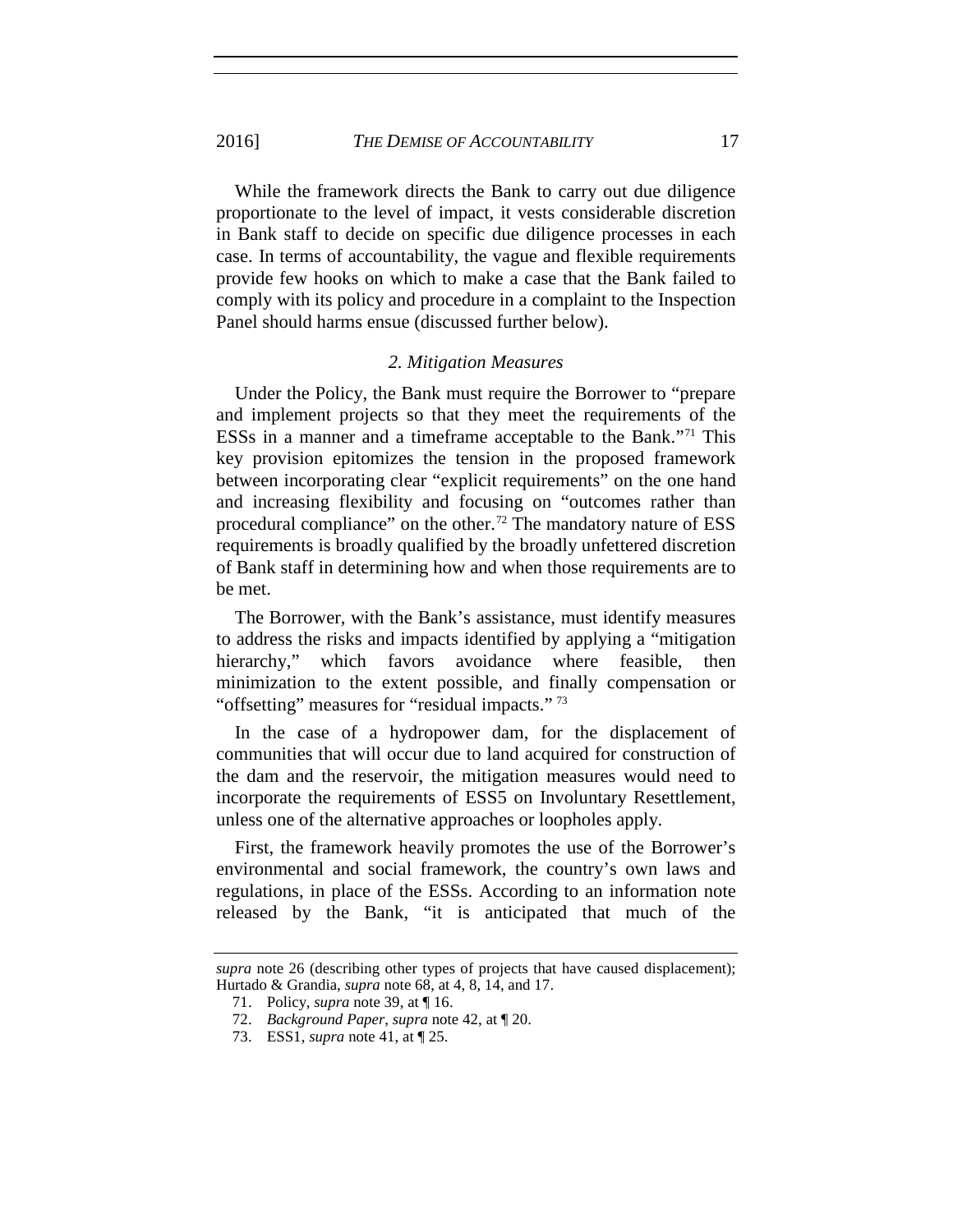#### 2016] *THE DEMISE OF ACCOUNTABILITY* 17

While the framework directs the Bank to carry out due diligence proportionate to the level of impact, it vests considerable discretion in Bank staff to decide on specific due diligence processes in each case. In terms of accountability, the vague and flexible requirements provide few hooks on which to make a case that the Bank failed to comply with its policy and procedure in a complaint to the Inspection Panel should harms ensue (discussed further below).

#### *2. Mitigation Measures*

Under the Policy, the Bank must require the Borrower to "prepare and implement projects so that they meet the requirements of the ESSs in a manner and a timeframe acceptable to the Bank."[71](#page-16-0) This key provision epitomizes the tension in the proposed framework between incorporating clear "explicit requirements" on the one hand and increasing flexibility and focusing on "outcomes rather than procedural compliance" on the other.<sup>[72](#page-16-1)</sup> The mandatory nature of ESS requirements is broadly qualified by the broadly unfettered discretion of Bank staff in determining how and when those requirements are to be met.

The Borrower, with the Bank's assistance, must identify measures to address the risks and impacts identified by applying a "mitigation hierarchy," which favors avoidance where feasible, then minimization to the extent possible, and finally compensation or "offsetting" measures for "residual impacts." [73](#page-16-2)

In the case of a hydropower dam, for the displacement of communities that will occur due to land acquired for construction of the dam and the reservoir, the mitigation measures would need to incorporate the requirements of ESS5 on Involuntary Resettlement, unless one of the alternative approaches or loopholes apply.

First, the framework heavily promotes the use of the Borrower's environmental and social framework, the country's own laws and regulations, in place of the ESSs. According to an information note released by the Bank, "it is anticipated that much of the

<span id="page-16-2"></span><span id="page-16-1"></span><span id="page-16-0"></span>*supra* note [26](#page-7-6) (describing other types of projects that have caused displacement); Hurtado & Grandia, *supra* note [68,](#page-15-0) at 4, 8, 14, and 17.

<sup>71.</sup> Policy, *supra* note [39,](#page-9-8) at ¶ 16.

<sup>72.</sup> *Background Paper*, *supra* note [42,](#page-10-6) at ¶ 20.

<sup>73.</sup> ESS1, *supra* not[e 41,](#page-10-4) at ¶ 25.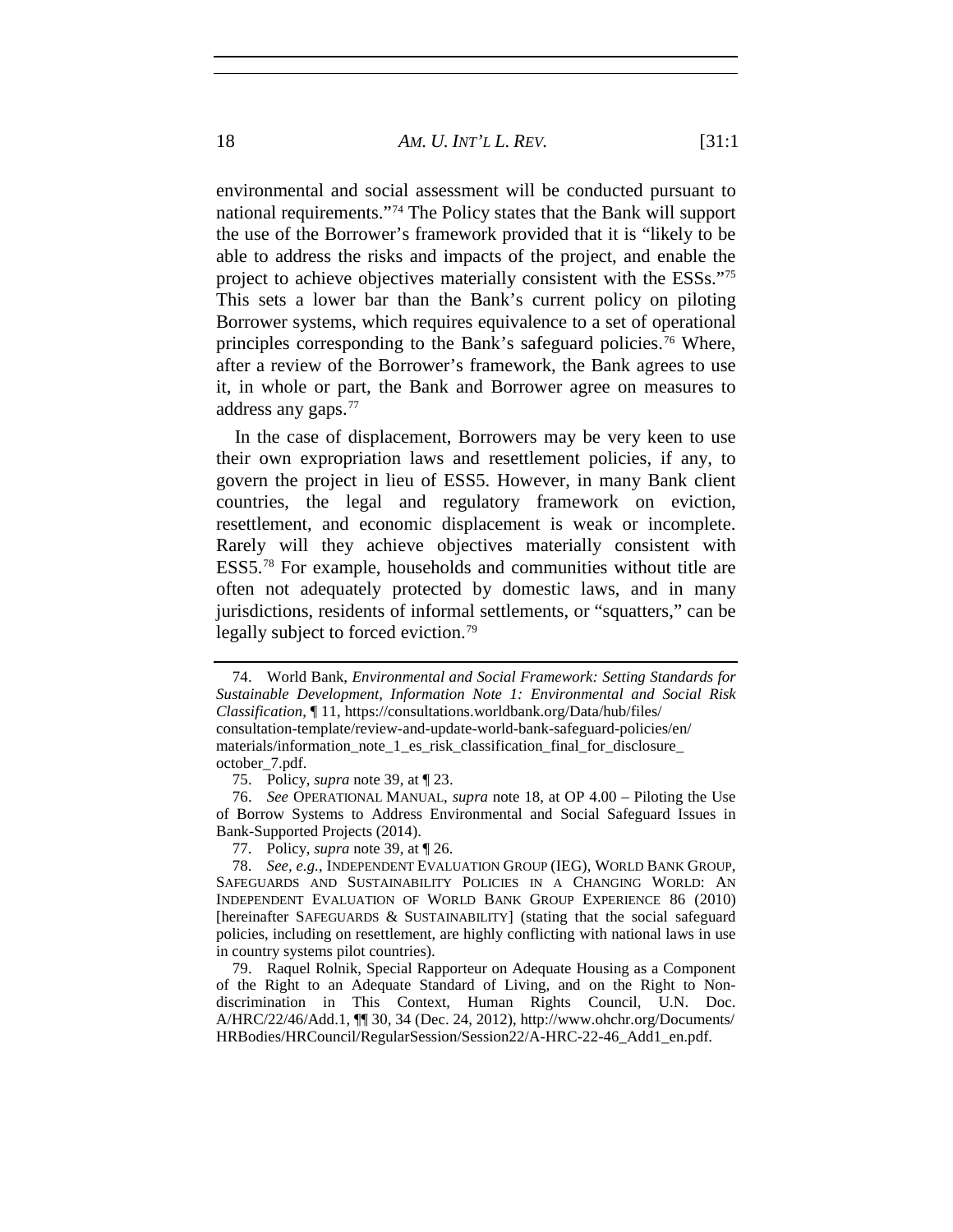environmental and social assessment will be conducted pursuant to national requirements."[74](#page-17-0) The Policy states that the Bank will support the use of the Borrower's framework provided that it is "likely to be able to address the risks and impacts of the project, and enable the project to achieve objectives materially consistent with the ESSs."[75](#page-17-1) This sets a lower bar than the Bank's current policy on piloting Borrower systems, which requires equivalence to a set of operational principles corresponding to the Bank's safeguard policies.[76](#page-17-2) Where, after a review of the Borrower's framework, the Bank agrees to use it, in whole or part, the Bank and Borrower agree on measures to address any gaps.[77](#page-17-3)

In the case of displacement, Borrowers may be very keen to use their own expropriation laws and resettlement policies, if any, to govern the project in lieu of ESS5. However, in many Bank client countries, the legal and regulatory framework on eviction, resettlement, and economic displacement is weak or incomplete. Rarely will they achieve objectives materially consistent with ESS5.[78](#page-17-4) For example, households and communities without title are often not adequately protected by domestic laws, and in many jurisdictions, residents of informal settlements, or "squatters," can be legally subject to forced eviction.<sup>[79](#page-17-5)</sup>

77. Policy, *supra* note [39,](#page-9-8) at ¶ 26.

<span id="page-17-6"></span><span id="page-17-0"></span><sup>74.</sup> World Bank, *Environmental and Social Framework: Setting Standards for Sustainable Development, Information Note 1: Environmental and Social Risk Classification*, ¶ 11, https://consultations.worldbank.org/Data/hub/files/ consultation-template/review-and-update-world-bank-safeguard-policies/en/ materials/information\_note\_1\_es\_risk\_classification\_final\_for\_disclosure\_ october\_7.pdf.

<sup>75.</sup> Policy, *supra* note [39,](#page-9-8) at ¶ 23.

<span id="page-17-2"></span><span id="page-17-1"></span><sup>76.</sup> *See* OPERATIONAL MANUAL, *supra* note 18, at OP 4.00 – Piloting the Use of Borrow Systems to Address Environmental and Social Safeguard Issues in Bank-Supported Projects (2014).

<span id="page-17-4"></span><span id="page-17-3"></span><sup>78.</sup> *See, e.g.*, INDEPENDENT EVALUATION GROUP (IEG), WORLD BANK GROUP, SAFEGUARDS AND SUSTAINABILITY POLICIES IN A CHANGING WORLD: AN INDEPENDENT EVALUATION OF WORLD BANK GROUP EXPERIENCE 86 (2010) [hereinafter SAFEGUARDS & SUSTAINABILITY] (stating that the social safeguard policies, including on resettlement, are highly conflicting with national laws in use in country systems pilot countries).

<span id="page-17-5"></span><sup>79.</sup> Raquel Rolnik, Special Rapporteur on Adequate Housing as a Component of the Right to an Adequate Standard of Living, and on the Right to Nondiscrimination in This Context, Human Rights Council, U.N. Doc. A/HRC/22/46/Add.1, ¶¶ 30, 34 (Dec. 24, 2012), http://www.ohchr.org/Documents/ HRBodies/HRCouncil/RegularSession/Session22/A-HRC-22-46\_Add1\_en.pdf.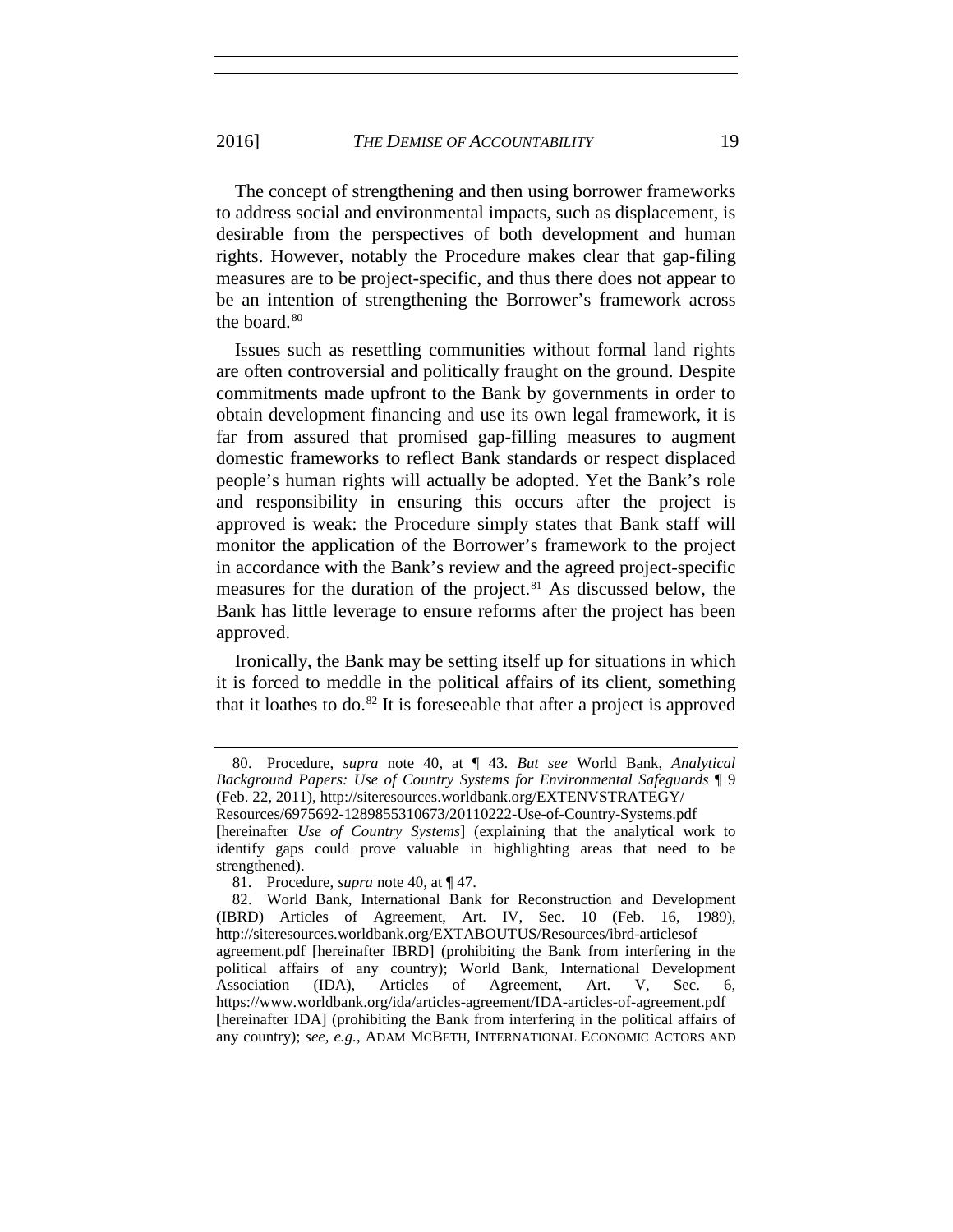The concept of strengthening and then using borrower frameworks to address social and environmental impacts, such as displacement, is desirable from the perspectives of both development and human rights. However, notably the Procedure makes clear that gap-filing measures are to be project-specific, and thus there does not appear to be an intention of strengthening the Borrower's framework across the board. $80$ 

Issues such as resettling communities without formal land rights are often controversial and politically fraught on the ground. Despite commitments made upfront to the Bank by governments in order to obtain development financing and use its own legal framework, it is far from assured that promised gap-filling measures to augment domestic frameworks to reflect Bank standards or respect displaced people's human rights will actually be adopted. Yet the Bank's role and responsibility in ensuring this occurs after the project is approved is weak: the Procedure simply states that Bank staff will monitor the application of the Borrower's framework to the project in accordance with the Bank's review and the agreed project-specific measures for the duration of the project.[81](#page-18-1) As discussed below, the Bank has little leverage to ensure reforms after the project has been approved.

Ironically, the Bank may be setting itself up for situations in which it is forced to meddle in the political affairs of its client, something that it loathes to do. $82$  It is foreseeable that after a project is approved

<span id="page-18-0"></span><sup>80.</sup> Procedure, *supra* note [40,](#page-10-5) at ¶ 43. *But see* World Bank, *Analytical Background Papers: Use of Country Systems for Environmental Safeguards* ¶ 9 (Feb. 22, 2011), http://siteresources.worldbank.org/EXTENVSTRATEGY/ Resources/6975692-1289855310673/20110222-Use-of-Country-Systems.pdf

<sup>[</sup>hereinafter *Use of Country Systems*] (explaining that the analytical work to identify gaps could prove valuable in highlighting areas that need to be strengthened).

<sup>81.</sup> Procedure, *supra* note [40,](#page-10-5) at ¶ 47.

<span id="page-18-2"></span><span id="page-18-1"></span><sup>82.</sup> World Bank, International Bank for Reconstruction and Development (IBRD) Articles of Agreement, Art. IV, Sec. 10 (Feb. 16, 1989), http://siteresources.worldbank.org/EXTABOUTUS/Resources/ibrd-articlesof agreement.pdf [hereinafter IBRD] (prohibiting the Bank from interfering in the political affairs of any country); World Bank, International Development Association (IDA), Articles of Agreement, Art. V, Sec. 6, https://www.worldbank.org/ida/articles-agreement/IDA-articles-of-agreement.pdf [hereinafter IDA] (prohibiting the Bank from interfering in the political affairs of any country); *see, e.g.*, ADAM MCBETH, INTERNATIONAL ECONOMIC ACTORS AND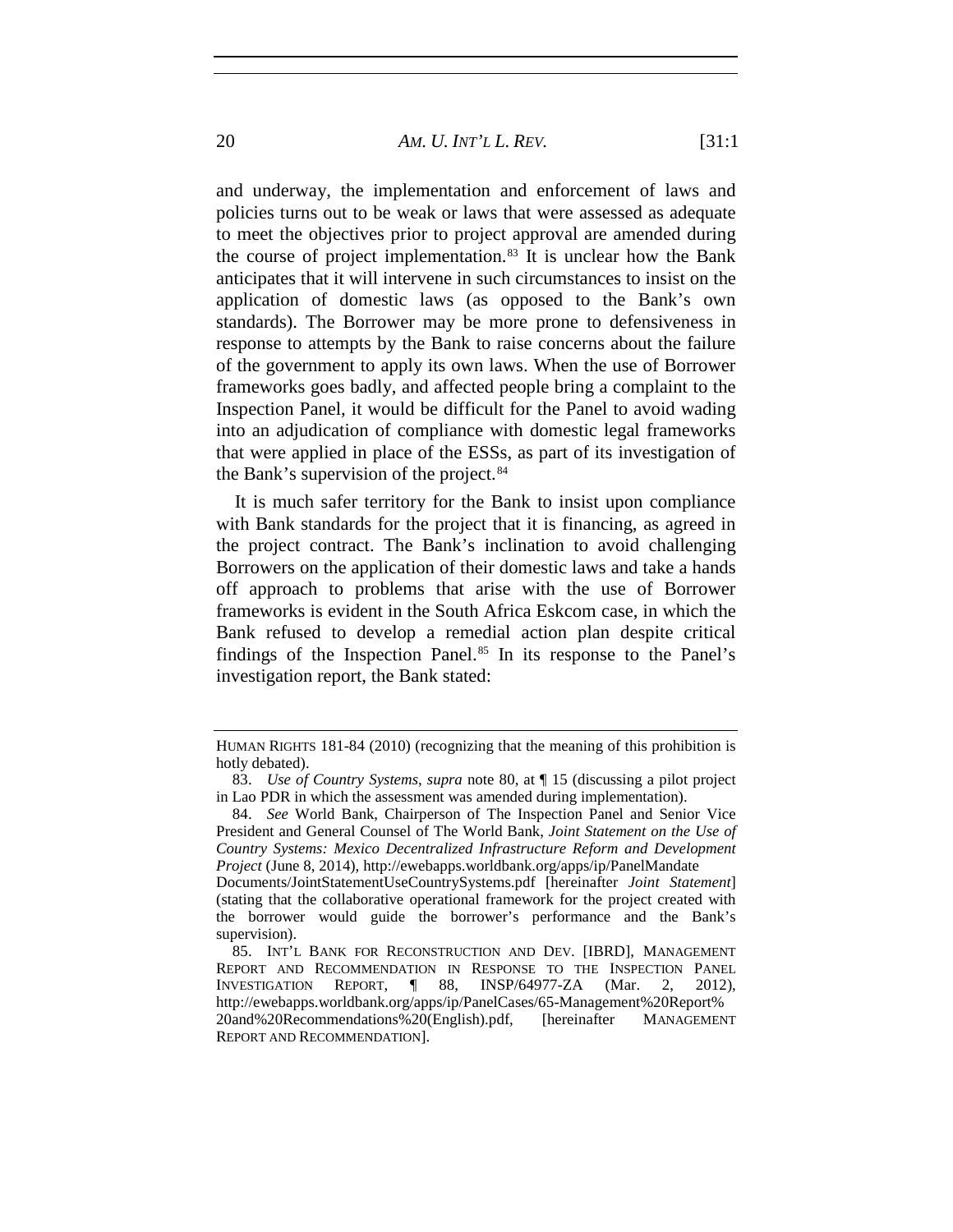20 *AM. U. INT'L L. REV.* [31:1

and underway, the implementation and enforcement of laws and policies turns out to be weak or laws that were assessed as adequate to meet the objectives prior to project approval are amended during the course of project implementation. $83$  It is unclear how the Bank anticipates that it will intervene in such circumstances to insist on the application of domestic laws (as opposed to the Bank's own standards). The Borrower may be more prone to defensiveness in response to attempts by the Bank to raise concerns about the failure of the government to apply its own laws. When the use of Borrower frameworks goes badly, and affected people bring a complaint to the Inspection Panel, it would be difficult for the Panel to avoid wading into an adjudication of compliance with domestic legal frameworks that were applied in place of the ESSs, as part of its investigation of the Bank's supervision of the project.<sup>[84](#page-19-1)</sup>

It is much safer territory for the Bank to insist upon compliance with Bank standards for the project that it is financing, as agreed in the project contract. The Bank's inclination to avoid challenging Borrowers on the application of their domestic laws and take a hands off approach to problems that arise with the use of Borrower frameworks is evident in the South Africa Eskcom case, in which the Bank refused to develop a remedial action plan despite critical findings of the Inspection Panel.<sup>[85](#page-19-2)</sup> In its response to the Panel's investigation report, the Bank stated:

HUMAN RIGHTS 181-84 (2010) (recognizing that the meaning of this prohibition is hotly debated).

<span id="page-19-0"></span><sup>83.</sup> *Use of Country Systems*, *supra* note 80, at ¶ 15 (discussing a pilot project in Lao PDR in which the assessment was amended during implementation).

<span id="page-19-1"></span><sup>84.</sup> *See* World Bank, Chairperson of The Inspection Panel and Senior Vice President and General Counsel of The World Bank, *Joint Statement on the Use of Country Systems: Mexico Decentralized Infrastructure Reform and Development Project* (June 8, 2014), http://ewebapps.worldbank.org/apps/ip/PanelMandate

Documents/JointStatementUseCountrySystems.pdf [hereinafter *Joint Statement*] (stating that the collaborative operational framework for the project created with the borrower would guide the borrower's performance and the Bank's supervision).

<span id="page-19-2"></span><sup>85.</sup> INT'L BANK FOR RECONSTRUCTION AND DEV. [IBRD], MANAGEMENT REPORT AND RECOMMENDATION IN RESPONSE TO THE INSPECTION PANEL INVESTIGATION REPORT, ¶ 88, INSP/64977-ZA (Mar. 2, 2012), http://ewebapps.worldbank.org/apps/ip/PanelCases/65-Management%20Report% 20and%20Recommendations%20(English).pdf, [hereinafter MANAGEMENT REPORT AND RECOMMENDATION].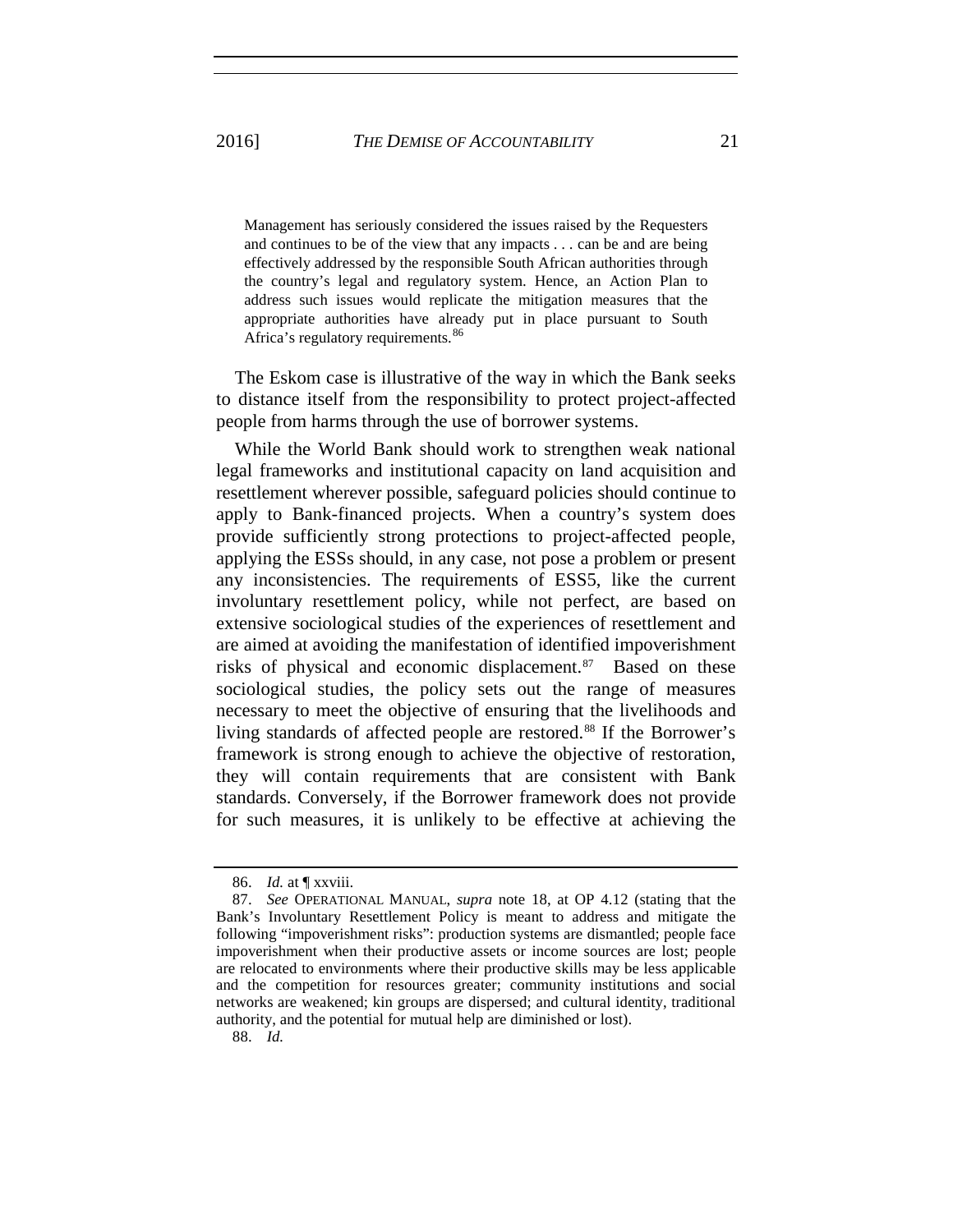Management has seriously considered the issues raised by the Requesters and continues to be of the view that any impacts . . . can be and are being effectively addressed by the responsible South African authorities through the country's legal and regulatory system. Hence, an Action Plan to address such issues would replicate the mitigation measures that the appropriate authorities have already put in place pursuant to South Africa's regulatory requirements.<sup>[86](#page-20-0)</sup>

The Eskom case is illustrative of the way in which the Bank seeks to distance itself from the responsibility to protect project-affected people from harms through the use of borrower systems.

While the World Bank should work to strengthen weak national legal frameworks and institutional capacity on land acquisition and resettlement wherever possible, safeguard policies should continue to apply to Bank-financed projects. When a country's system does provide sufficiently strong protections to project-affected people, applying the ESSs should, in any case, not pose a problem or present any inconsistencies. The requirements of ESS5, like the current involuntary resettlement policy, while not perfect, are based on extensive sociological studies of the experiences of resettlement and are aimed at avoiding the manifestation of identified impoverishment risks of physical and economic displacement.<sup>[87](#page-20-1)</sup> Based on these sociological studies, the policy sets out the range of measures necessary to meet the objective of ensuring that the livelihoods and living standards of affected people are restored.<sup>[88](#page-20-2)</sup> If the Borrower's framework is strong enough to achieve the objective of restoration, they will contain requirements that are consistent with Bank standards. Conversely, if the Borrower framework does not provide for such measures, it is unlikely to be effective at achieving the

<span id="page-20-2"></span>88. *Id.*

<sup>86.</sup> *Id.* at ¶ xxviii.

<span id="page-20-1"></span><span id="page-20-0"></span><sup>87.</sup> *See* OPERATIONAL MANUAL, *supra* note [18,](#page-6-8) at OP 4.12 (stating that the Bank's Involuntary Resettlement Policy is meant to address and mitigate the following "impoverishment risks": production systems are dismantled; people face impoverishment when their productive assets or income sources are lost; people are relocated to environments where their productive skills may be less applicable and the competition for resources greater; community institutions and social networks are weakened; kin groups are dispersed; and cultural identity, traditional authority, and the potential for mutual help are diminished or lost).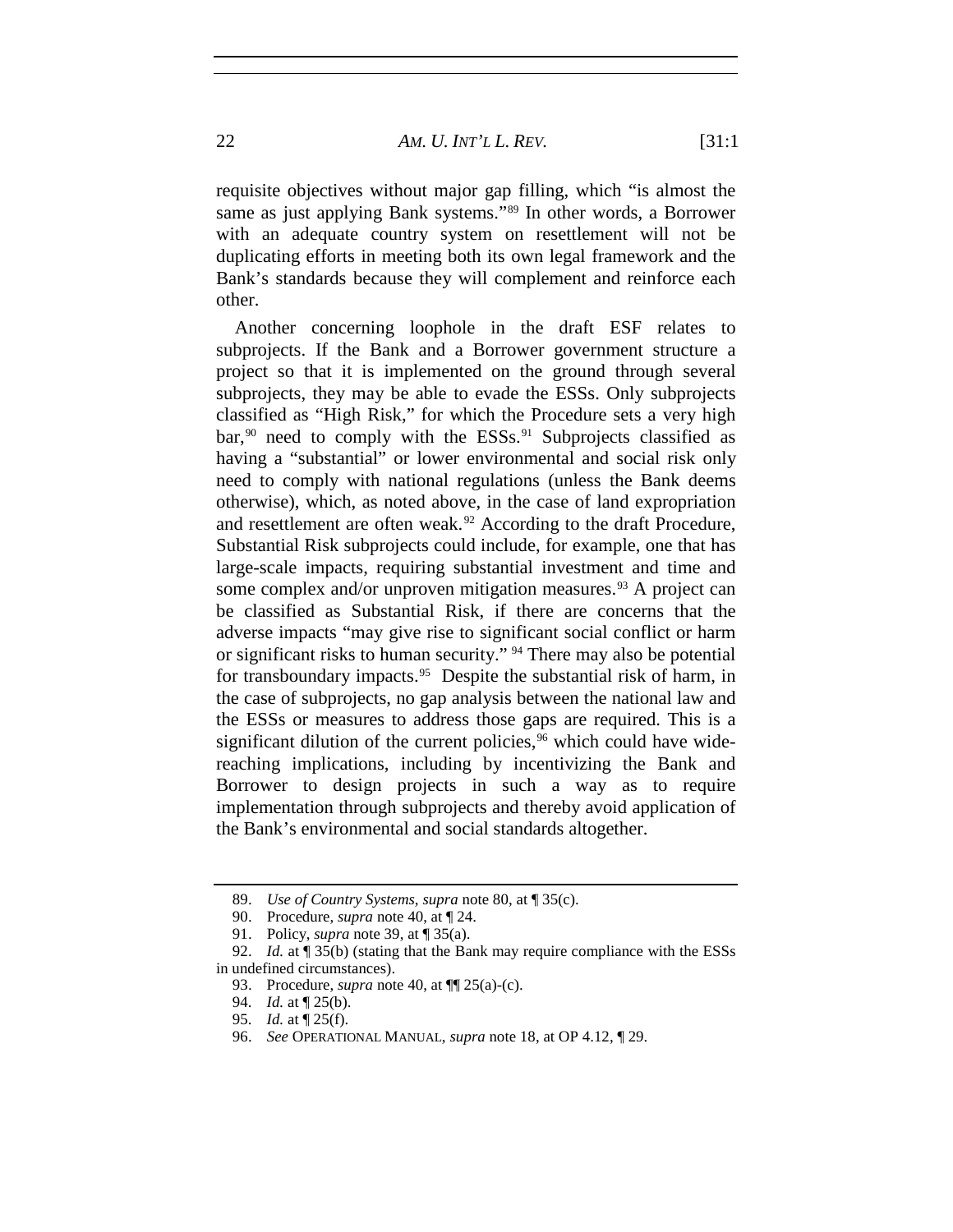requisite objectives without major gap filling, which "is almost the same as just applying Bank systems."<sup>[89](#page-21-0)</sup> In other words, a Borrower with an adequate country system on resettlement will not be duplicating efforts in meeting both its own legal framework and the Bank's standards because they will complement and reinforce each other.

Another concerning loophole in the draft ESF relates to subprojects. If the Bank and a Borrower government structure a project so that it is implemented on the ground through several subprojects, they may be able to evade the ESSs. Only subprojects classified as "High Risk," for which the Procedure sets a very high bar,<sup>[90](#page-21-1)</sup> need to comply with the ESSs.<sup>[91](#page-21-2)</sup> Subprojects classified as having a "substantial" or lower environmental and social risk only need to comply with national regulations (unless the Bank deems otherwise), which, as noted above, in the case of land expropriation and resettlement are often weak.<sup>[92](#page-21-3)</sup> According to the draft Procedure, Substantial Risk subprojects could include, for example, one that has large-scale impacts, requiring substantial investment and time and some complex and/or unproven mitigation measures.<sup>[93](#page-21-4)</sup> A project can be classified as Substantial Risk, if there are concerns that the adverse impacts "may give rise to significant social conflict or harm or significant risks to human security." [94](#page-21-5) There may also be potential for transboundary impacts.<sup>95</sup> Despite the substantial risk of harm, in the case of subprojects, no gap analysis between the national law and the ESSs or measures to address those gaps are required. This is a significant dilution of the current policies,  $96$  which could have widereaching implications, including by incentivizing the Bank and Borrower to design projects in such a way as to require implementation through subprojects and thereby avoid application of the Bank's environmental and social standards altogether.

<sup>89.</sup> *Use of Country Systems*, *supra* note 80, at ¶ 35(c).

<sup>90.</sup> Procedure, *supra* note [40,](#page-10-5) at ¶ 24.

<sup>91.</sup> Policy, *supra* note [39,](#page-9-8) at ¶ 35(a).

<span id="page-21-6"></span><span id="page-21-5"></span><span id="page-21-4"></span><span id="page-21-3"></span><span id="page-21-2"></span><span id="page-21-1"></span><span id="page-21-0"></span><sup>92.</sup> *Id.* at ¶ 35(b) (stating that the Bank may require compliance with the ESSs in undefined circumstances).

<sup>93.</sup> Procedure, *supra* note [40,](#page-10-5) at ¶¶ 25(a)-(c).

<sup>94.</sup> *Id.* at ¶ 25(b).

<sup>95.</sup> *Id.* at ¶ 25(f).

<span id="page-21-7"></span><sup>96.</sup> *See* OPERATIONAL MANUAL, *supra* note [18,](#page-6-8) at OP 4.12, ¶ 29.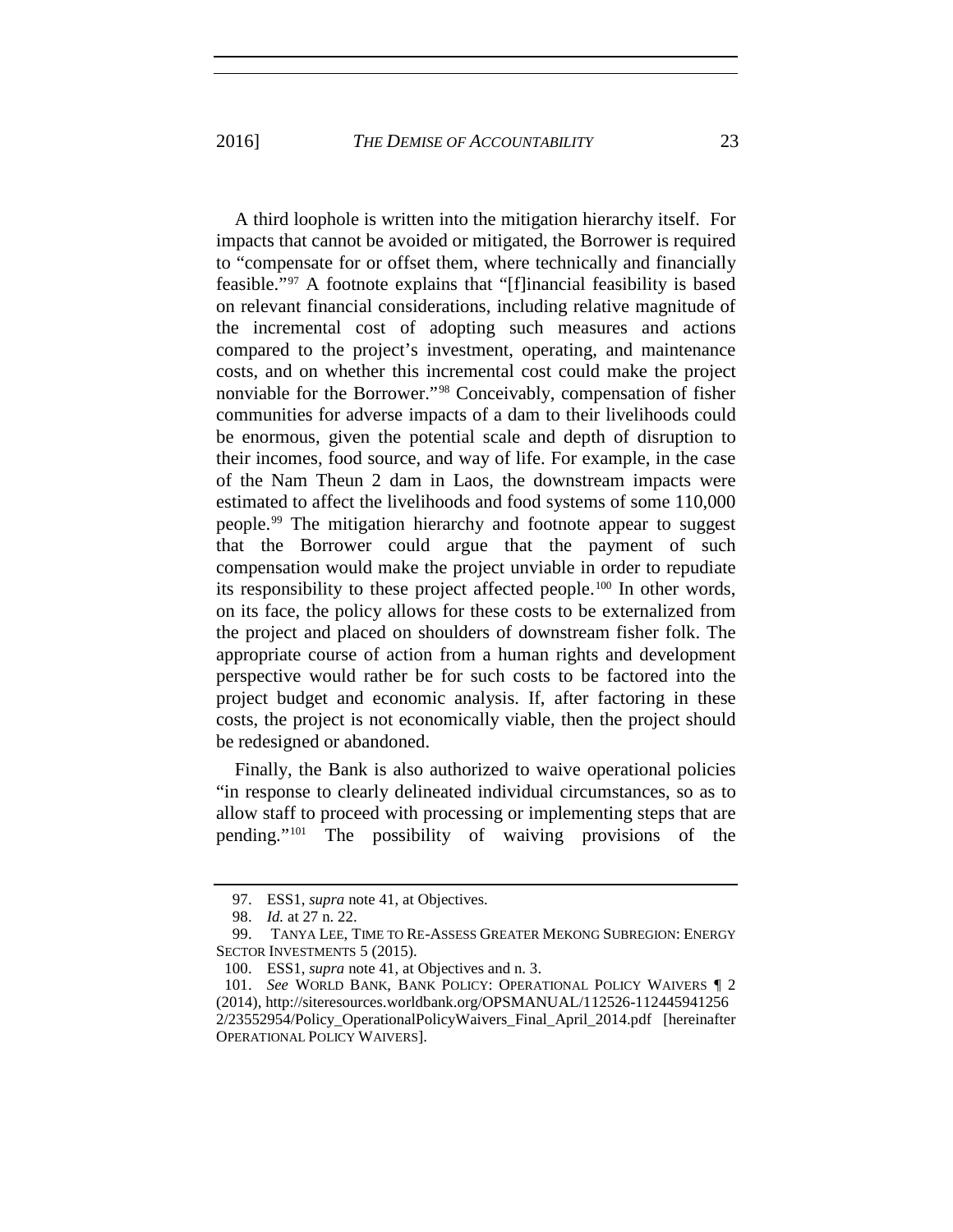A third loophole is written into the mitigation hierarchy itself. For impacts that cannot be avoided or mitigated, the Borrower is required to "compensate for or offset them, where technically and financially feasible."[97](#page-22-0) A footnote explains that "[f]inancial feasibility is based on relevant financial considerations, including relative magnitude of the incremental cost of adopting such measures and actions compared to the project's investment, operating, and maintenance costs, and on whether this incremental cost could make the project nonviable for the Borrower."[98](#page-22-1) Conceivably, compensation of fisher communities for adverse impacts of a dam to their livelihoods could be enormous, given the potential scale and depth of disruption to their incomes, food source, and way of life. For example, in the case of the Nam Theun 2 dam in Laos, the downstream impacts were estimated to affect the livelihoods and food systems of some 110,000 people.[99](#page-22-2) The mitigation hierarchy and footnote appear to suggest that the Borrower could argue that the payment of such compensation would make the project unviable in order to repudiate its responsibility to these project affected people.[100](#page-22-3) In other words, on its face, the policy allows for these costs to be externalized from the project and placed on shoulders of downstream fisher folk. The appropriate course of action from a human rights and development perspective would rather be for such costs to be factored into the project budget and economic analysis. If, after factoring in these costs, the project is not economically viable, then the project should be redesigned or abandoned.

Finally, the Bank is also authorized to waive operational policies "in response to clearly delineated individual circumstances, so as to allow staff to proceed with processing or implementing steps that are pending."[101](#page-22-4) The possibility of waiving provisions of the

<span id="page-22-5"></span><sup>97.</sup> ESS1, *supra* not[e 41,](#page-10-4) at Objectives.

<sup>98.</sup> *Id.* at 27 n. 22.

<span id="page-22-2"></span><span id="page-22-1"></span><span id="page-22-0"></span><sup>99.</sup> TANYA LEE, TIME TO RE-ASSESS GREATER MEKONG SUBREGION: ENERGY SECTOR INVESTMENTS 5 (2015).

<sup>100.</sup> ESS1, *supra* not[e 41,](#page-10-4) at Objectives and n. 3.

<span id="page-22-4"></span><span id="page-22-3"></span><sup>101.</sup> *See* WORLD BANK, BANK POLICY: OPERATIONAL POLICY WAIVERS ¶ 2 (2014), http://siteresources.worldbank.org/OPSMANUAL/112526-112445941256 2/23552954/Policy\_OperationalPolicyWaivers\_Final\_April\_2014.pdf [hereinafter OPERATIONAL POLICY WAIVERS].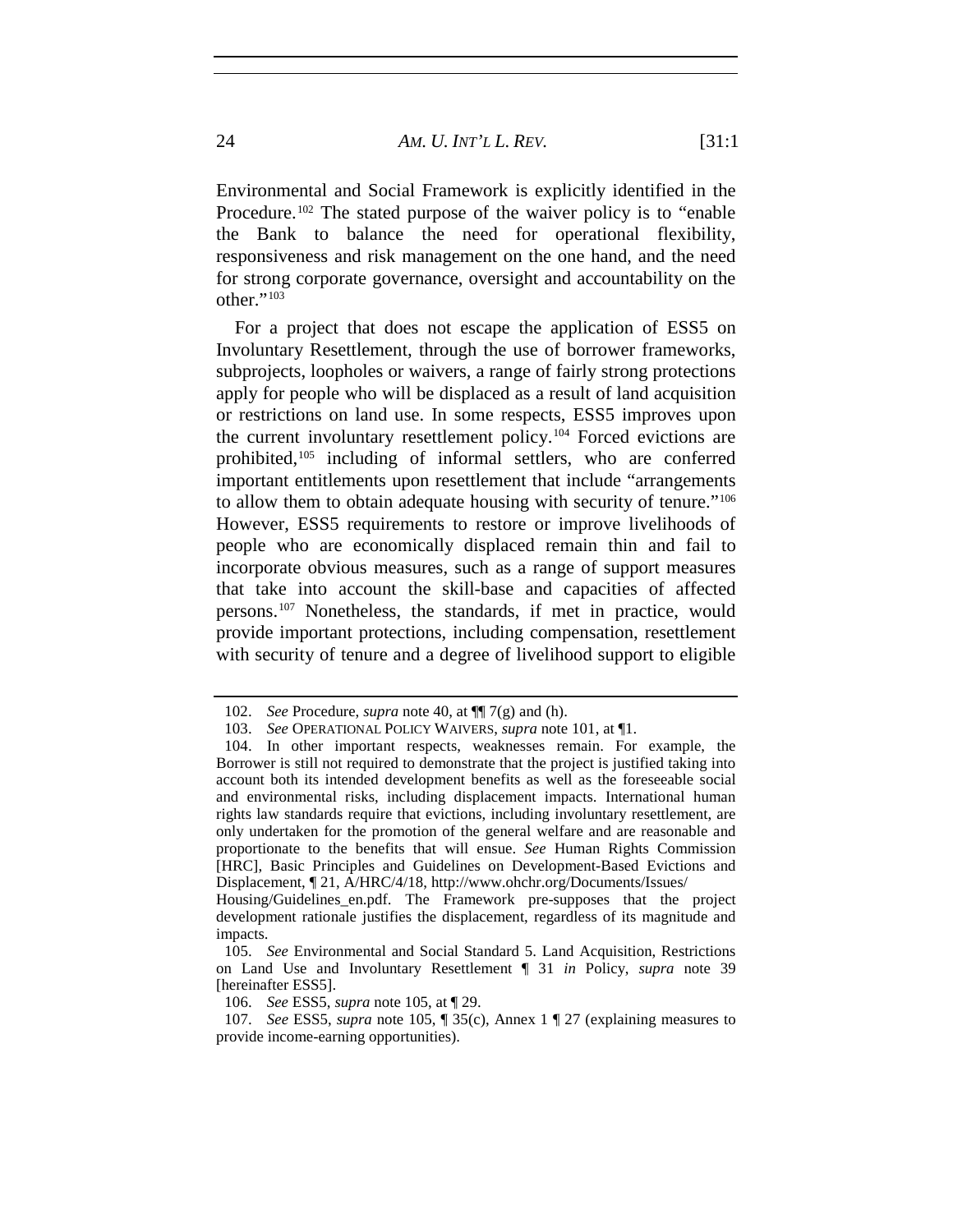Environmental and Social Framework is explicitly identified in the Procedure.<sup>[102](#page-23-1)</sup> The stated purpose of the waiver policy is to "enable" the Bank to balance the need for operational flexibility, responsiveness and risk management on the one hand, and the need for strong corporate governance, oversight and accountability on the other."<sup>[103](#page-23-2)</sup>

<span id="page-23-0"></span>For a project that does not escape the application of ESS5 on Involuntary Resettlement, through the use of borrower frameworks, subprojects, loopholes or waivers, a range of fairly strong protections apply for people who will be displaced as a result of land acquisition or restrictions on land use. In some respects, ESS5 improves upon the current involuntary resettlement policy.[104](#page-23-3) Forced evictions are prohibited,<sup>[105](#page-23-4)</sup> including of informal settlers, who are conferred important entitlements upon resettlement that include "arrangements to allow them to obtain adequate housing with security of tenure."[106](#page-23-5) However, ESS5 requirements to restore or improve livelihoods of people who are economically displaced remain thin and fail to incorporate obvious measures, such as a range of support measures that take into account the skill-base and capacities of affected persons.[107](#page-23-6) Nonetheless, the standards, if met in practice, would provide important protections, including compensation, resettlement with security of tenure and a degree of livelihood support to eligible

<sup>102.</sup> *See* Procedure, *supra* note [40,](#page-10-5) at ¶¶ 7(g) and (h).

<sup>103.</sup> *See* OPERATIONAL POLICY WAIVERS, *supra* not[e 101,](#page-22-5) at ¶1.

<span id="page-23-3"></span><span id="page-23-2"></span><span id="page-23-1"></span><sup>104.</sup> In other important respects, weaknesses remain. For example, the Borrower is still not required to demonstrate that the project is justified taking into account both its intended development benefits as well as the foreseeable social and environmental risks, including displacement impacts. International human rights law standards require that evictions, including involuntary resettlement, are only undertaken for the promotion of the general welfare and are reasonable and proportionate to the benefits that will ensue. *See* Human Rights Commission [HRC], Basic Principles and Guidelines on Development-Based Evictions and Displacement, ¶ 21, A/HRC/4/18, http://www.ohchr.org/Documents/Issues/

Housing/Guidelines\_en.pdf. The Framework pre-supposes that the project development rationale justifies the displacement, regardless of its magnitude and impacts.

<span id="page-23-4"></span><sup>105.</sup> *See* Environmental and Social Standard 5. Land Acquisition, Restrictions on Land Use and Involuntary Resettlement ¶ 31 *in* Policy, *supra* note [39](#page-9-8) [hereinafter ESS5].

<sup>106.</sup> *See* ESS5, *supra* note [105,](#page-23-0) at ¶ 29.

<span id="page-23-6"></span><span id="page-23-5"></span><sup>107.</sup> *See* ESS5, *supra* note [105,](#page-23-0) ¶ 35(c), Annex 1 ¶ 27 (explaining measures to provide income-earning opportunities).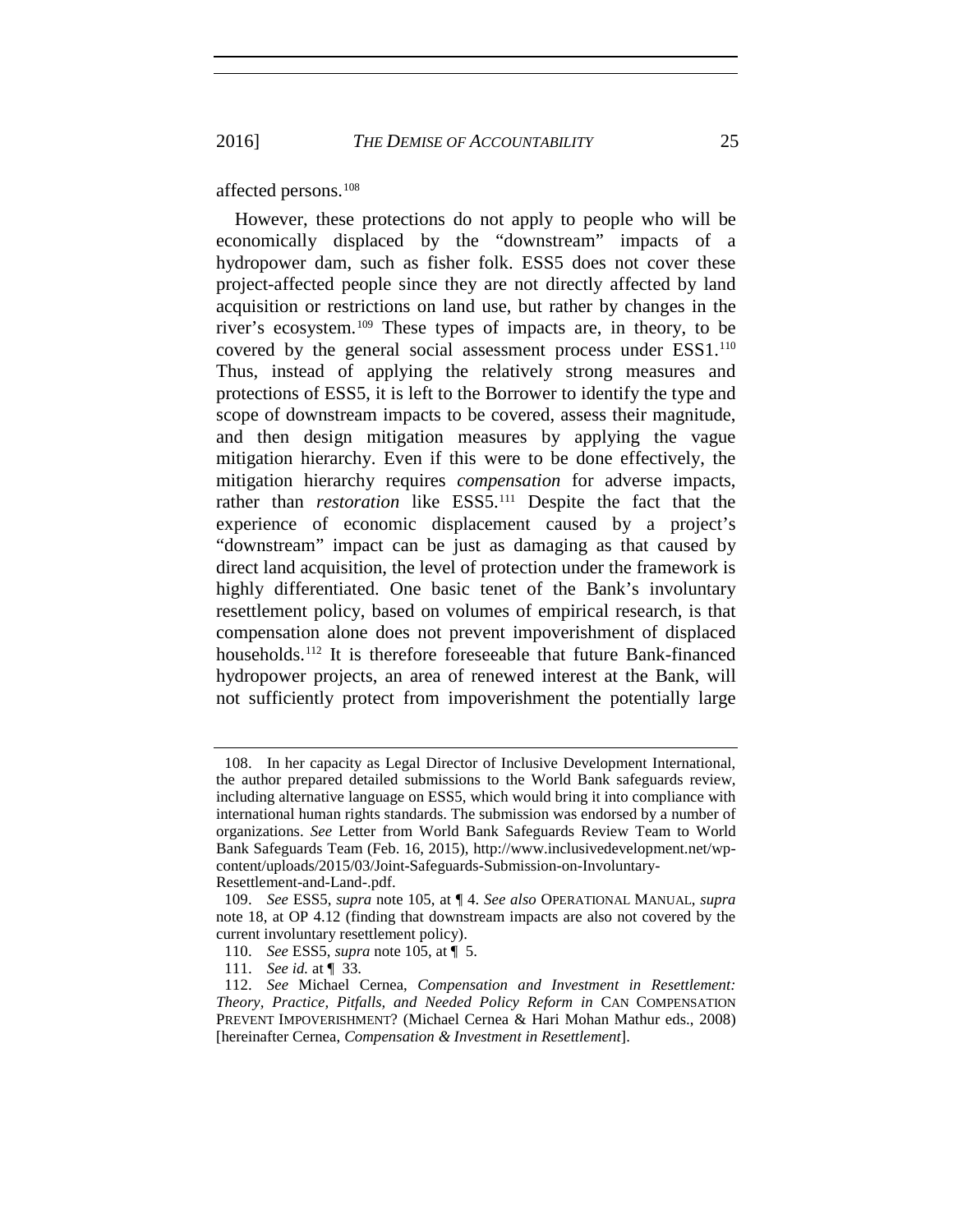2016] *THE DEMISE OF ACCOUNTABILITY* 25

affected persons.[108](#page-24-0)

However, these protections do not apply to people who will be economically displaced by the "downstream" impacts of a hydropower dam, such as fisher folk. ESS5 does not cover these project-affected people since they are not directly affected by land acquisition or restrictions on land use, but rather by changes in the river's ecosystem.[109](#page-24-1) These types of impacts are, in theory, to be covered by the general social assessment process under ESS1.<sup>[110](#page-24-2)</sup> Thus, instead of applying the relatively strong measures and protections of ESS5, it is left to the Borrower to identify the type and scope of downstream impacts to be covered, assess their magnitude, and then design mitigation measures by applying the vague mitigation hierarchy. Even if this were to be done effectively, the mitigation hierarchy requires *compensation* for adverse impacts, rather than *restoration* like ESS5.[111](#page-24-3) Despite the fact that the experience of economic displacement caused by a project's "downstream" impact can be just as damaging as that caused by direct land acquisition, the level of protection under the framework is highly differentiated. One basic tenet of the Bank's involuntary resettlement policy, based on volumes of empirical research, is that compensation alone does not prevent impoverishment of displaced households.<sup>[112](#page-24-4)</sup> It is therefore foreseeable that future Bank-financed hydropower projects, an area of renewed interest at the Bank, will not sufficiently protect from impoverishment the potentially large

<span id="page-24-0"></span><sup>108.</sup> In her capacity as Legal Director of Inclusive Development International, the author prepared detailed submissions to the World Bank safeguards review, including alternative language on ESS5, which would bring it into compliance with international human rights standards. The submission was endorsed by a number of organizations. *See* Letter from World Bank Safeguards Review Team to World Bank Safeguards Team (Feb. 16, 2015), http://www.inclusivedevelopment.net/wpcontent/uploads/2015/03/Joint-Safeguards-Submission-on-Involuntary-Resettlement-and-Land-.pdf.

<sup>109.</sup> *See* ESS5, *supra* note [105,](#page-23-0) at ¶ 4. *See also* OPERATIONAL MANUAL, *supra*

<span id="page-24-1"></span>note 18, at OP 4.12 (finding that downstream impacts are also not covered by the current involuntary resettlement policy).

<sup>110.</sup> *See* ESS5, *supra* note [105,](#page-23-0) at ¶ 5.

<sup>111.</sup> *See id.* at ¶ 33.

<span id="page-24-4"></span><span id="page-24-3"></span><span id="page-24-2"></span><sup>112.</sup> *See* Michael Cernea, *Compensation and Investment in Resettlement: Theory, Practice, Pitfalls, and Needed Policy Reform in* CAN COMPENSATION PREVENT IMPOVERISHMENT? (Michael Cernea & Hari Mohan Mathur eds., 2008) [hereinafter Cernea, *Compensation & Investment in Resettlement*].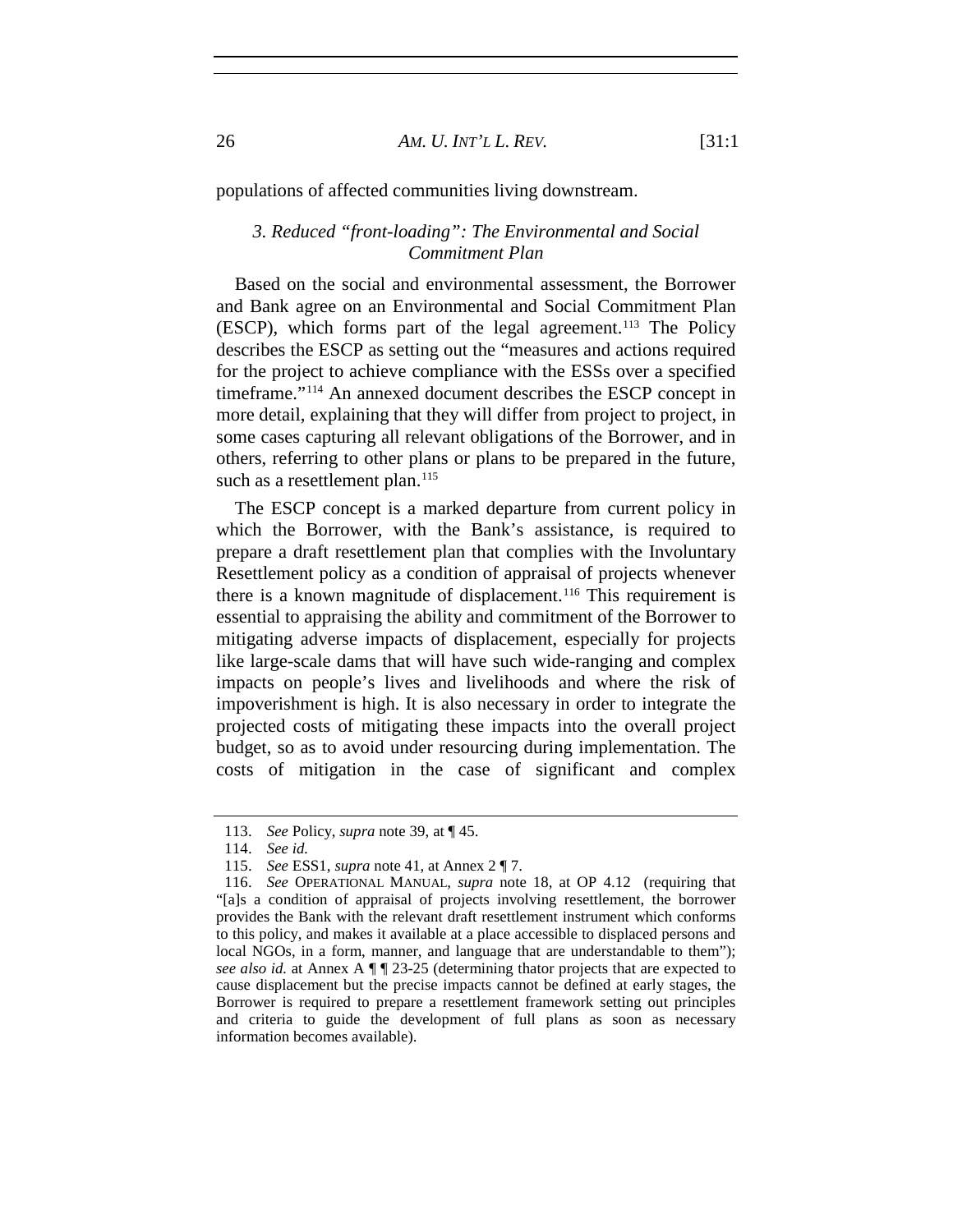populations of affected communities living downstream.

### *3. Reduced "front-loading": The Environmental and Social Commitment Plan*

Based on the social and environmental assessment, the Borrower and Bank agree on an Environmental and Social Commitment Plan (ESCP), which forms part of the legal agreement.[113](#page-25-0) The Policy describes the ESCP as setting out the "measures and actions required for the project to achieve compliance with the ESSs over a specified timeframe."[114](#page-25-1) An annexed document describes the ESCP concept in more detail, explaining that they will differ from project to project, in some cases capturing all relevant obligations of the Borrower, and in others, referring to other plans or plans to be prepared in the future, such as a resettlement plan.<sup>[115](#page-25-2)</sup>

The ESCP concept is a marked departure from current policy in which the Borrower, with the Bank's assistance, is required to prepare a draft resettlement plan that complies with the Involuntary Resettlement policy as a condition of appraisal of projects whenever there is a known magnitude of displacement.[116](#page-25-3) This requirement is essential to appraising the ability and commitment of the Borrower to mitigating adverse impacts of displacement, especially for projects like large-scale dams that will have such wide-ranging and complex impacts on people's lives and livelihoods and where the risk of impoverishment is high. It is also necessary in order to integrate the projected costs of mitigating these impacts into the overall project budget, so as to avoid under resourcing during implementation. The costs of mitigation in the case of significant and complex

<sup>113.</sup> *See* Policy, *supra* note [39,](#page-9-8) at ¶ 45.

<sup>114.</sup> *See id.*

<sup>115.</sup> *See* ESS1, *supra* note [41,](#page-10-4) at Annex 2 ¶ 7.

<span id="page-25-3"></span><span id="page-25-2"></span><span id="page-25-1"></span><span id="page-25-0"></span><sup>116.</sup> *See* OPERATIONAL MANUAL, *supra* note 18, at OP 4.12 (requiring that "[a]s a condition of appraisal of projects involving resettlement, the borrower provides the Bank with the relevant draft resettlement instrument which conforms to this policy, and makes it available at a place accessible to displaced persons and local NGOs, in a form, manner, and language that are understandable to them"); *see also id.* at Annex A ¶ ¶ 23-25 (determining thator projects that are expected to cause displacement but the precise impacts cannot be defined at early stages, the Borrower is required to prepare a resettlement framework setting out principles and criteria to guide the development of full plans as soon as necessary information becomes available).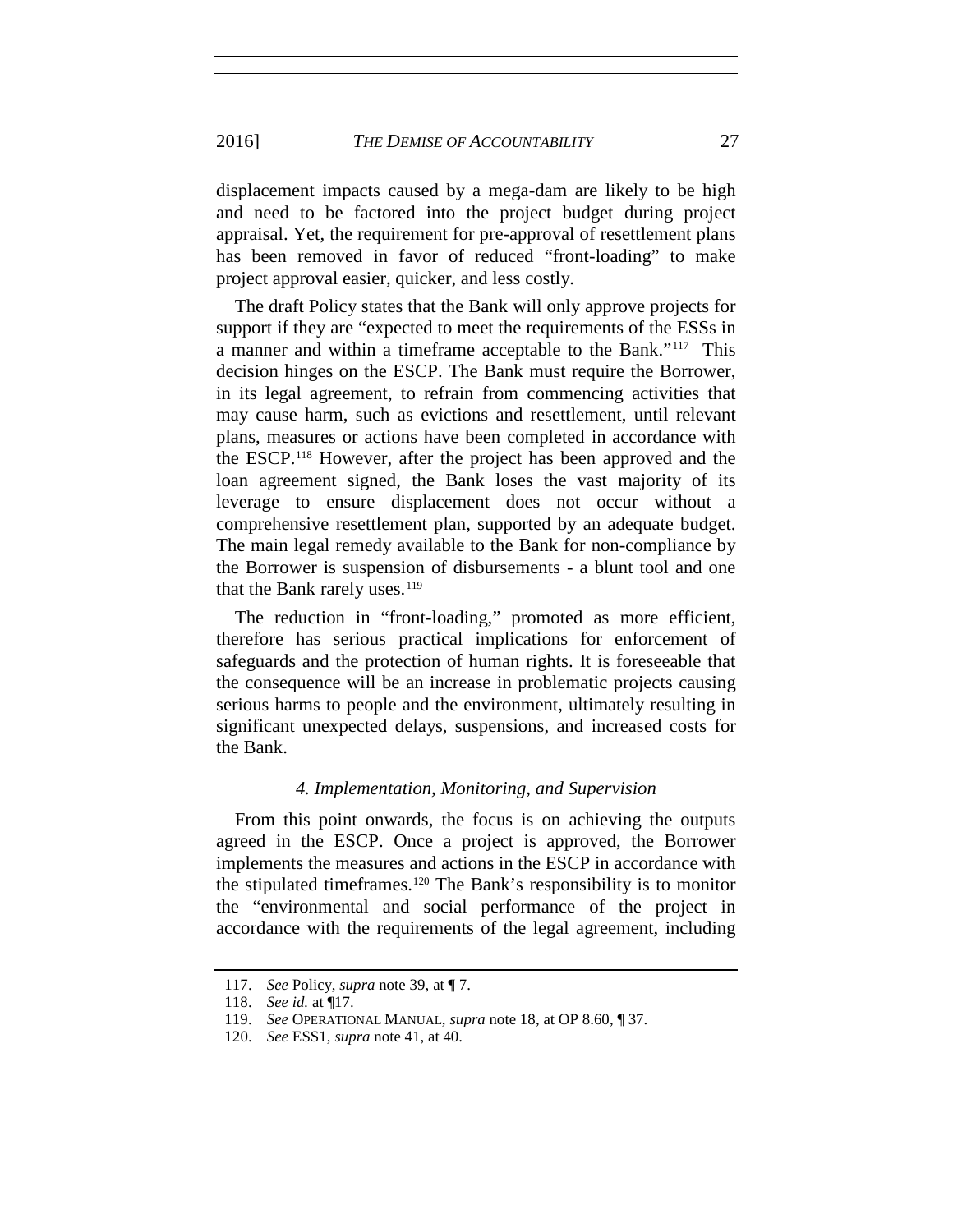displacement impacts caused by a mega-dam are likely to be high and need to be factored into the project budget during project appraisal. Yet, the requirement for pre-approval of resettlement plans has been removed in favor of reduced "front-loading" to make project approval easier, quicker, and less costly.

The draft Policy states that the Bank will only approve projects for support if they are "expected to meet the requirements of the ESSs in a manner and within a timeframe acceptable to the Bank."[117](#page-26-0) This decision hinges on the ESCP. The Bank must require the Borrower, in its legal agreement, to refrain from commencing activities that may cause harm, such as evictions and resettlement, until relevant plans, measures or actions have been completed in accordance with the ESCP.[118](#page-26-1) However, after the project has been approved and the loan agreement signed, the Bank loses the vast majority of its leverage to ensure displacement does not occur without a comprehensive resettlement plan, supported by an adequate budget. The main legal remedy available to the Bank for non-compliance by the Borrower is suspension of disbursements - a blunt tool and one that the Bank rarely uses.<sup>[119](#page-26-2)</sup>

The reduction in "front-loading," promoted as more efficient, therefore has serious practical implications for enforcement of safeguards and the protection of human rights. It is foreseeable that the consequence will be an increase in problematic projects causing serious harms to people and the environment, ultimately resulting in significant unexpected delays, suspensions, and increased costs for the Bank.

#### *4. Implementation, Monitoring, and Supervision*

From this point onwards, the focus is on achieving the outputs agreed in the ESCP. Once a project is approved, the Borrower implements the measures and actions in the ESCP in accordance with the stipulated timeframes.[120](#page-26-3) The Bank's responsibility is to monitor the "environmental and social performance of the project in accordance with the requirements of the legal agreement, including

<span id="page-26-1"></span><span id="page-26-0"></span><sup>117.</sup> *See* Policy, *supra* note [39,](#page-9-8) at ¶ 7.

<sup>118.</sup> *See id.* at ¶17.

<sup>119.</sup> *See* OPERATIONAL MANUAL, *supra* note [18,](#page-6-8) at OP 8.60, ¶ 37.

<span id="page-26-3"></span><span id="page-26-2"></span><sup>120.</sup> *See* ESS1, *supra* note [41,](#page-10-4) at 40.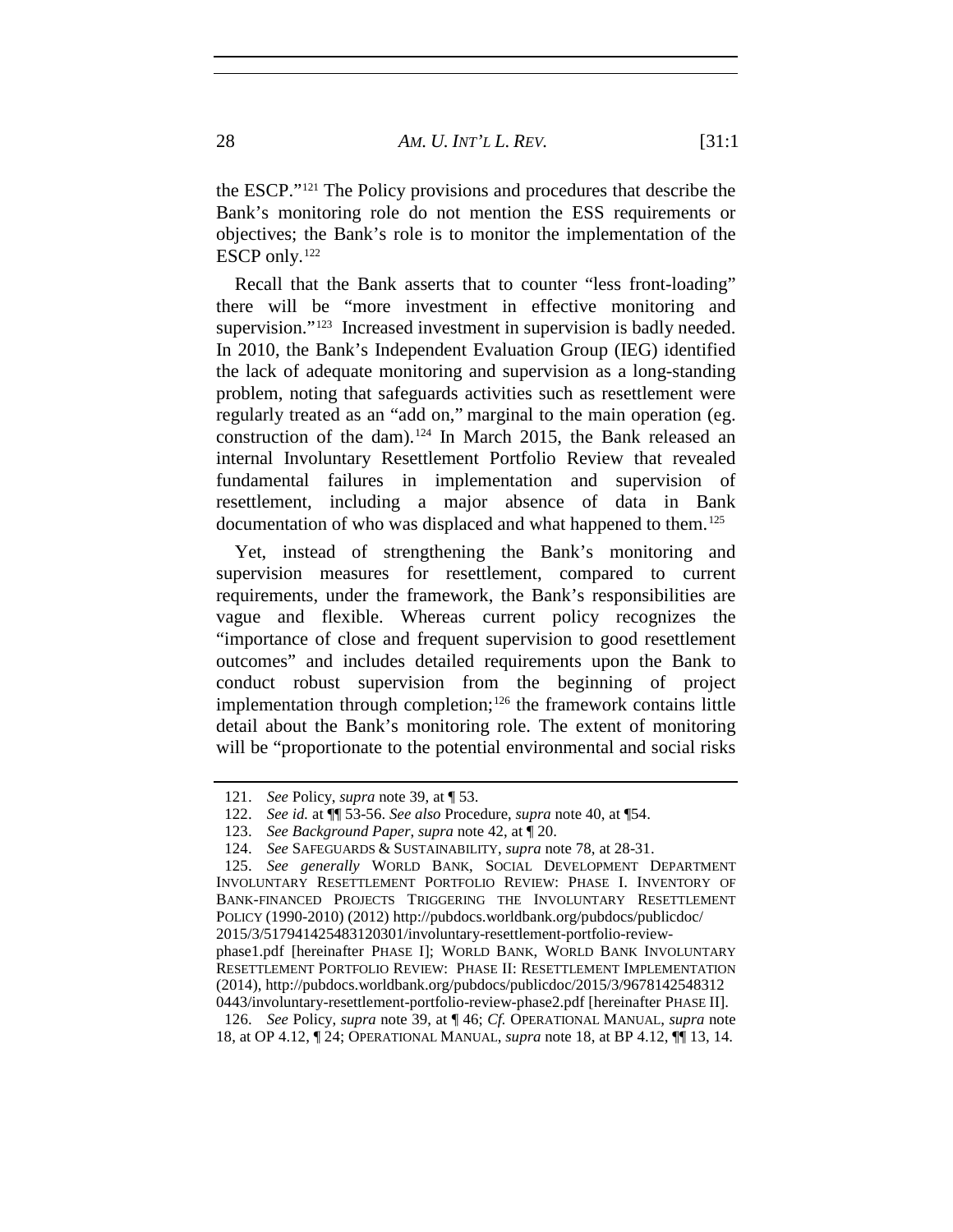the ESCP."[121](#page-27-0) The Policy provisions and procedures that describe the Bank's monitoring role do not mention the ESS requirements or objectives; the Bank's role is to monitor the implementation of the ESCP only.<sup>[122](#page-27-1)</sup>

Recall that the Bank asserts that to counter "less front-loading" there will be "more investment in effective monitoring and supervision."<sup>123</sup> Increased investment in supervision is badly needed. In 2010, the Bank's Independent Evaluation Group (IEG) identified the lack of adequate monitoring and supervision as a long-standing problem, noting that safeguards activities such as resettlement were regularly treated as an "add on," marginal to the main operation (eg. construction of the dam).<sup>[124](#page-27-3)</sup> In March 2015, the Bank released an internal Involuntary Resettlement Portfolio Review that revealed fundamental failures in implementation and supervision of resettlement, including a major absence of data in Bank documentation of who was displaced and what happened to them.<sup>[125](#page-27-4)</sup>

Yet, instead of strengthening the Bank's monitoring and supervision measures for resettlement, compared to current requirements, under the framework, the Bank's responsibilities are vague and flexible. Whereas current policy recognizes the "importance of close and frequent supervision to good resettlement outcomes" and includes detailed requirements upon the Bank to conduct robust supervision from the beginning of project implementation through completion; [126](#page-27-5) the framework contains little detail about the Bank's monitoring role. The extent of monitoring will be "proportionate to the potential environmental and social risks

<span id="page-27-0"></span><sup>121.</sup> *See* Policy, *supra* note [39,](#page-9-8) at ¶ 53.

<sup>122.</sup> *See id.* at ¶¶ 53-56. *See also* Procedure, *supra* note [40,](#page-10-5) at ¶54.

<sup>123.</sup> *See Background Paper*, *supra* note 42, at ¶ 20.

<sup>124.</sup> *See* SAFEGUARDS & SUSTAINABILITY, *supra* note [78,](#page-17-6) at 28-31.

<span id="page-27-4"></span><span id="page-27-3"></span><span id="page-27-2"></span><span id="page-27-1"></span><sup>125.</sup> *See generally* WORLD BANK, SOCIAL DEVELOPMENT DEPARTMENT INVOLUNTARY RESETTLEMENT PORTFOLIO REVIEW: PHASE I. INVENTORY OF BANK-FINANCED PROJECTS TRIGGERING THE INVOLUNTARY RESETTLEMENT POLICY (1990-2010) (2012) http://pubdocs.worldbank.org/pubdocs/publicdoc/ 2015/3/517941425483120301/involuntary-resettlement-portfolio-reviewphase1.pdf [hereinafter PHASE I]; WORLD BANK, WORLD BANK INVOLUNTARY RESETTLEMENT PORTFOLIO REVIEW: PHASE II: RESETTLEMENT IMPLEMENTATION (2014), http://pubdocs.worldbank.org/pubdocs/publicdoc/2015/3/9678142548312

<span id="page-27-5"></span><sup>0443/</sup>involuntary-resettlement-portfolio-review-phase2.pdf [hereinafter PHASE II]. 126. *See* Policy, *supra* note [39,](#page-9-8) at ¶ 46; *Cf.* OPERATIONAL MANUAL, *supra* note 18, at OP 4.12, ¶ 24; OPERATIONAL MANUAL, *supra* note 18, at BP 4.12, ¶¶ 13, 14.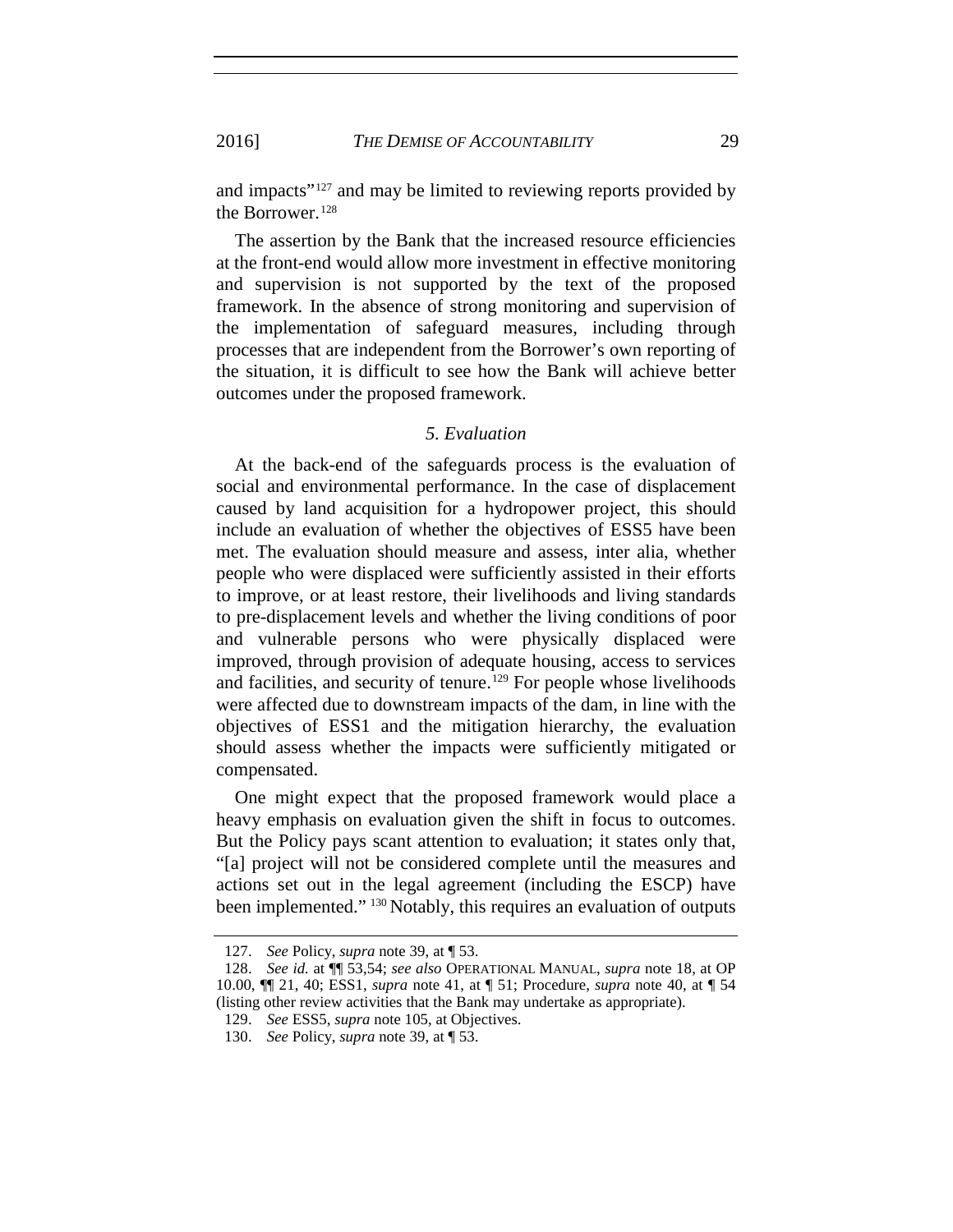2016] *THE DEMISE OF ACCOUNTABILITY* 29

and impacts<sup>"[127](#page-28-0)</sup> and may be limited to reviewing reports provided by the Borrower.<sup>[128](#page-28-1)</sup>

The assertion by the Bank that the increased resource efficiencies at the front-end would allow more investment in effective monitoring and supervision is not supported by the text of the proposed framework. In the absence of strong monitoring and supervision of the implementation of safeguard measures, including through processes that are independent from the Borrower's own reporting of the situation, it is difficult to see how the Bank will achieve better outcomes under the proposed framework.

#### *5. Evaluation*

At the back-end of the safeguards process is the evaluation of social and environmental performance. In the case of displacement caused by land acquisition for a hydropower project, this should include an evaluation of whether the objectives of ESS5 have been met. The evaluation should measure and assess, inter alia, whether people who were displaced were sufficiently assisted in their efforts to improve, or at least restore, their livelihoods and living standards to pre-displacement levels and whether the living conditions of poor and vulnerable persons who were physically displaced were improved, through provision of adequate housing, access to services and facilities, and security of tenure.<sup>[129](#page-28-2)</sup> For people whose livelihoods were affected due to downstream impacts of the dam, in line with the objectives of ESS1 and the mitigation hierarchy, the evaluation should assess whether the impacts were sufficiently mitigated or compensated.

One might expect that the proposed framework would place a heavy emphasis on evaluation given the shift in focus to outcomes. But the Policy pays scant attention to evaluation; it states only that, "[a] project will not be considered complete until the measures and actions set out in the legal agreement (including the ESCP) have been implemented." <sup>[130](#page-28-3)</sup> Notably, this requires an evaluation of outputs

<sup>127.</sup> *See* Policy, *supra* note [39,](#page-9-8) at ¶ 53.

<span id="page-28-2"></span><span id="page-28-1"></span><span id="page-28-0"></span><sup>128.</sup> *See id.* at ¶¶ 53,54; *see also* OPERATIONAL MANUAL, *supra* note 18, at OP 10.00, ¶¶ 21, 40; ESS1, *supra* note [41,](#page-10-4) at ¶ 51; Procedure, *supra* note [40,](#page-10-5) at ¶ 54 (listing other review activities that the Bank may undertake as appropriate).

<sup>129.</sup> *See* ESS5, *supra* note [105,](#page-23-0) at Objectives.

<span id="page-28-3"></span><sup>130.</sup> *See* Policy, *supra* note [39,](#page-9-8) at ¶ 53.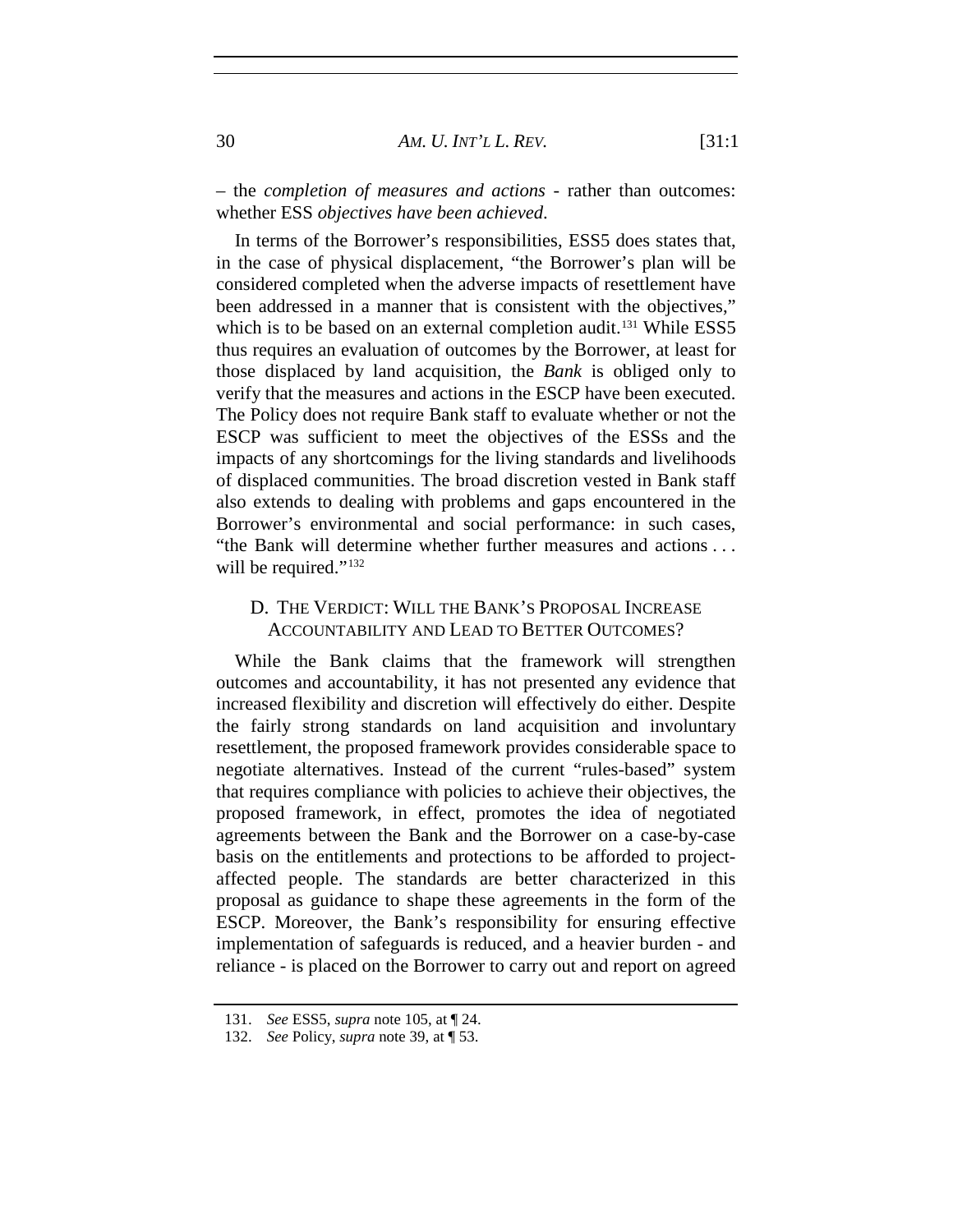– the *completion of measures and actions* - rather than outcomes: whether ESS *objectives have been achieved*.

In terms of the Borrower's responsibilities, ESS5 does states that, in the case of physical displacement, "the Borrower's plan will be considered completed when the adverse impacts of resettlement have been addressed in a manner that is consistent with the objectives," which is to be based on an external completion audit.<sup>131</sup> While ESS5 thus requires an evaluation of outcomes by the Borrower, at least for those displaced by land acquisition, the *Bank* is obliged only to verify that the measures and actions in the ESCP have been executed. The Policy does not require Bank staff to evaluate whether or not the ESCP was sufficient to meet the objectives of the ESSs and the impacts of any shortcomings for the living standards and livelihoods of displaced communities. The broad discretion vested in Bank staff also extends to dealing with problems and gaps encountered in the Borrower's environmental and social performance: in such cases, "the Bank will determine whether further measures and actions . . . will be required."<sup>[132](#page-29-1)</sup>

## D. THE VERDICT: WILL THE BANK'S PROPOSAL INCREASE ACCOUNTABILITY AND LEAD TO BETTER OUTCOMES?

While the Bank claims that the framework will strengthen outcomes and accountability, it has not presented any evidence that increased flexibility and discretion will effectively do either. Despite the fairly strong standards on land acquisition and involuntary resettlement, the proposed framework provides considerable space to negotiate alternatives. Instead of the current "rules-based" system that requires compliance with policies to achieve their objectives, the proposed framework, in effect, promotes the idea of negotiated agreements between the Bank and the Borrower on a case-by-case basis on the entitlements and protections to be afforded to projectaffected people. The standards are better characterized in this proposal as guidance to shape these agreements in the form of the ESCP. Moreover, the Bank's responsibility for ensuring effective implementation of safeguards is reduced, and a heavier burden - and reliance - is placed on the Borrower to carry out and report on agreed

<span id="page-29-0"></span><sup>131.</sup> *See* ESS5, *supra* note [105,](#page-23-0) at ¶ 24.

<span id="page-29-1"></span><sup>132.</sup> *See* Policy, *supra* note [39,](#page-9-8) at ¶ 53.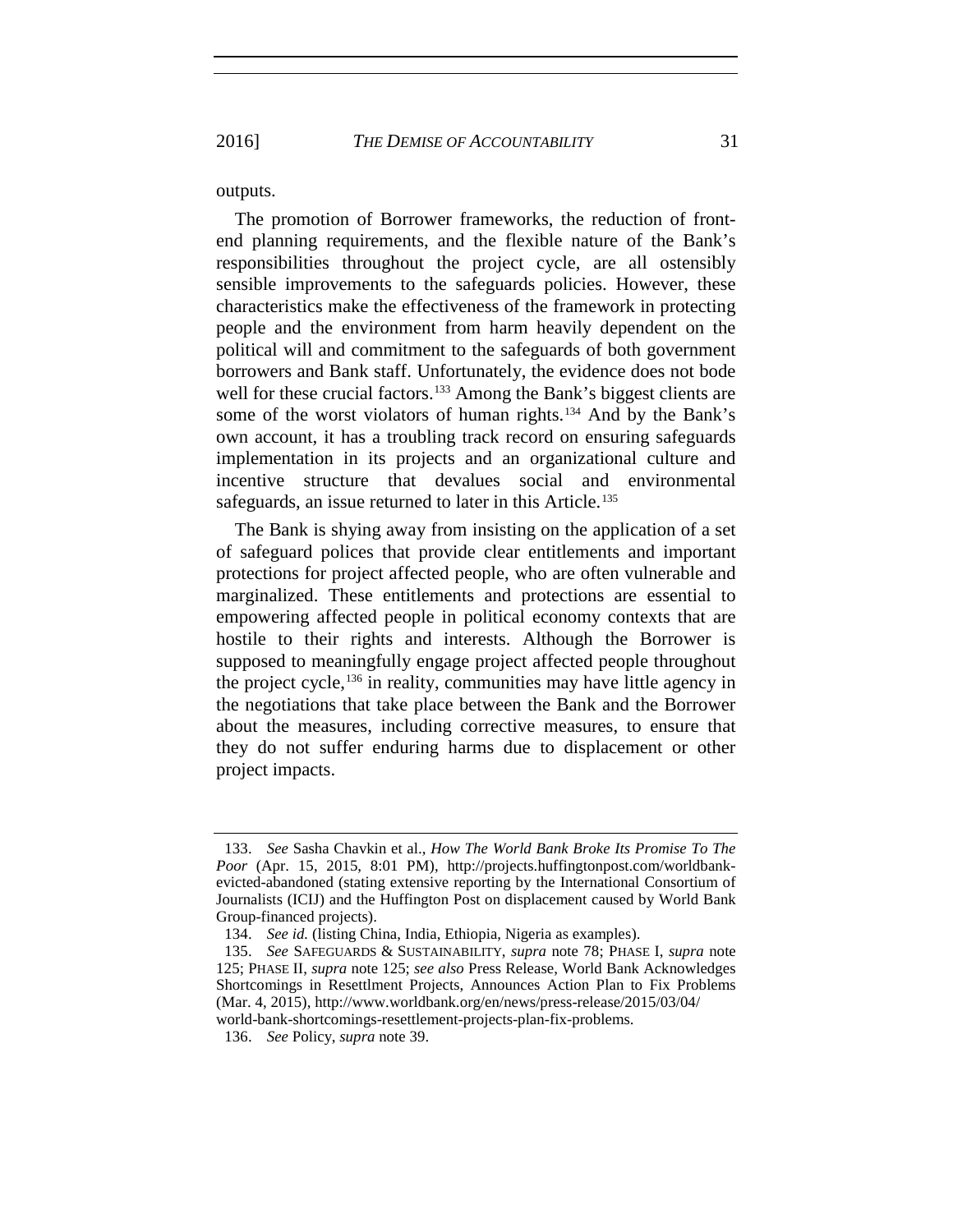outputs.

The promotion of Borrower frameworks, the reduction of frontend planning requirements, and the flexible nature of the Bank's responsibilities throughout the project cycle, are all ostensibly sensible improvements to the safeguards policies. However, these characteristics make the effectiveness of the framework in protecting people and the environment from harm heavily dependent on the political will and commitment to the safeguards of both government borrowers and Bank staff. Unfortunately, the evidence does not bode well for these crucial factors.<sup>[133](#page-30-0)</sup> Among the Bank's biggest clients are some of the worst violators of human rights.<sup>[134](#page-30-1)</sup> And by the Bank's own account, it has a troubling track record on ensuring safeguards implementation in its projects and an organizational culture and incentive structure that devalues social and environmental safeguards, an issue returned to later in this Article.<sup>[135](#page-30-2)</sup>

The Bank is shying away from insisting on the application of a set of safeguard polices that provide clear entitlements and important protections for project affected people, who are often vulnerable and marginalized. These entitlements and protections are essential to empowering affected people in political economy contexts that are hostile to their rights and interests. Although the Borrower is supposed to meaningfully engage project affected people throughout the project cycle,<sup>[136](#page-30-3)</sup> in reality, communities may have little agency in the negotiations that take place between the Bank and the Borrower about the measures, including corrective measures, to ensure that they do not suffer enduring harms due to displacement or other project impacts.

<span id="page-30-0"></span><sup>133.</sup> *See* Sasha Chavkin et al., *How The World Bank Broke Its Promise To The Poor* (Apr. 15, 2015, 8:01 PM), http://projects.huffingtonpost.com/worldbankevicted-abandoned (stating extensive reporting by the International Consortium of Journalists (ICIJ) and the Huffington Post on displacement caused by World Bank Group-financed projects).

<sup>134.</sup> *See id.* (listing China, India, Ethiopia, Nigeria as examples).

<span id="page-30-2"></span><span id="page-30-1"></span><sup>135.</sup> *See* SAFEGUARDS & SUSTAINABILITY, *supra* note 78; PHASE I, *supra* note 125; PHASE II, *supra* note 125; *see also* Press Release, World Bank Acknowledges Shortcomings in Resettlment Projects, Announces Action Plan to Fix Problems (Mar. 4, 2015), http://www.worldbank.org/en/news/press-release/2015/03/04/ world-bank-shortcomings-resettlement-projects-plan-fix-problems.

<span id="page-30-3"></span><sup>136.</sup> *See* Policy, *supra* note 39.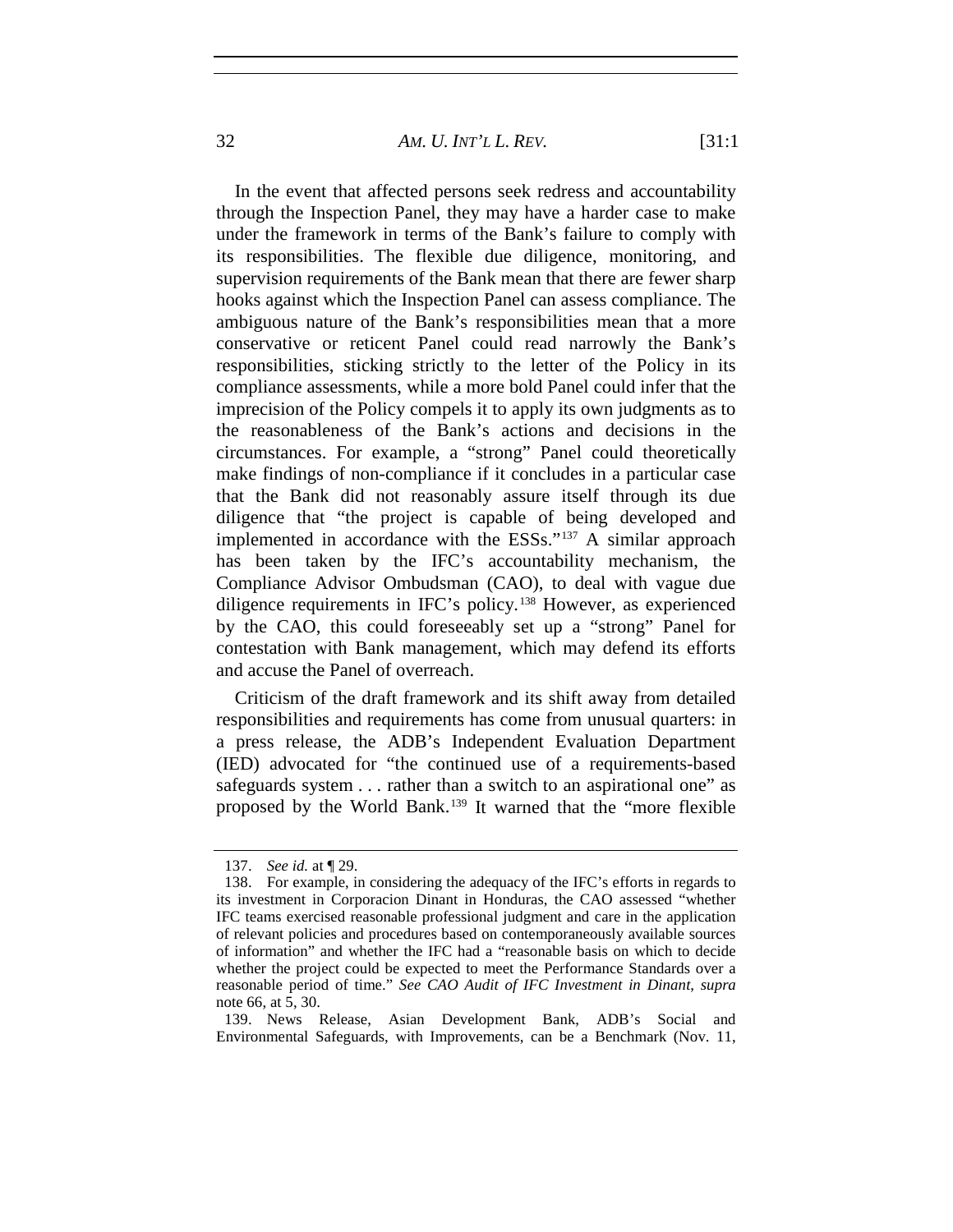32 *AM. U. INT'L L. REV.* [31:1

In the event that affected persons seek redress and accountability through the Inspection Panel, they may have a harder case to make under the framework in terms of the Bank's failure to comply with its responsibilities. The flexible due diligence, monitoring, and supervision requirements of the Bank mean that there are fewer sharp hooks against which the Inspection Panel can assess compliance. The ambiguous nature of the Bank's responsibilities mean that a more conservative or reticent Panel could read narrowly the Bank's responsibilities, sticking strictly to the letter of the Policy in its compliance assessments, while a more bold Panel could infer that the imprecision of the Policy compels it to apply its own judgments as to the reasonableness of the Bank's actions and decisions in the circumstances. For example, a "strong" Panel could theoretically make findings of non-compliance if it concludes in a particular case that the Bank did not reasonably assure itself through its due diligence that "the project is capable of being developed and implemented in accordance with the ESSs."[137](#page-31-0) A similar approach has been taken by the IFC's accountability mechanism, the Compliance Advisor Ombudsman (CAO), to deal with vague due diligence requirements in IFC's policy.[138](#page-31-1) However, as experienced by the CAO, this could foreseeably set up a "strong" Panel for contestation with Bank management, which may defend its efforts and accuse the Panel of overreach.

Criticism of the draft framework and its shift away from detailed responsibilities and requirements has come from unusual quarters: in a press release, the ADB's Independent Evaluation Department (IED) advocated for "the continued use of a requirements-based safeguards system . . . rather than a switch to an aspirational one" as proposed by the World Bank.[139](#page-31-2) It warned that the "more flexible

<sup>137.</sup> *See id.* at ¶ 29.

<span id="page-31-1"></span><span id="page-31-0"></span><sup>138.</sup> For example, in considering the adequacy of the IFC's efforts in regards to its investment in Corporacion Dinant in Honduras, the CAO assessed "whether IFC teams exercised reasonable professional judgment and care in the application of relevant policies and procedures based on contemporaneously available sources of information" and whether the IFC had a "reasonable basis on which to decide whether the project could be expected to meet the Performance Standards over a reasonable period of time." *See CAO Audit of IFC Investment in Dinant*, *supra* note 66, at 5, 30.

<span id="page-31-2"></span><sup>139.</sup> News Release, Asian Development Bank, ADB's Social and Environmental Safeguards, with Improvements, can be a Benchmark (Nov. 11,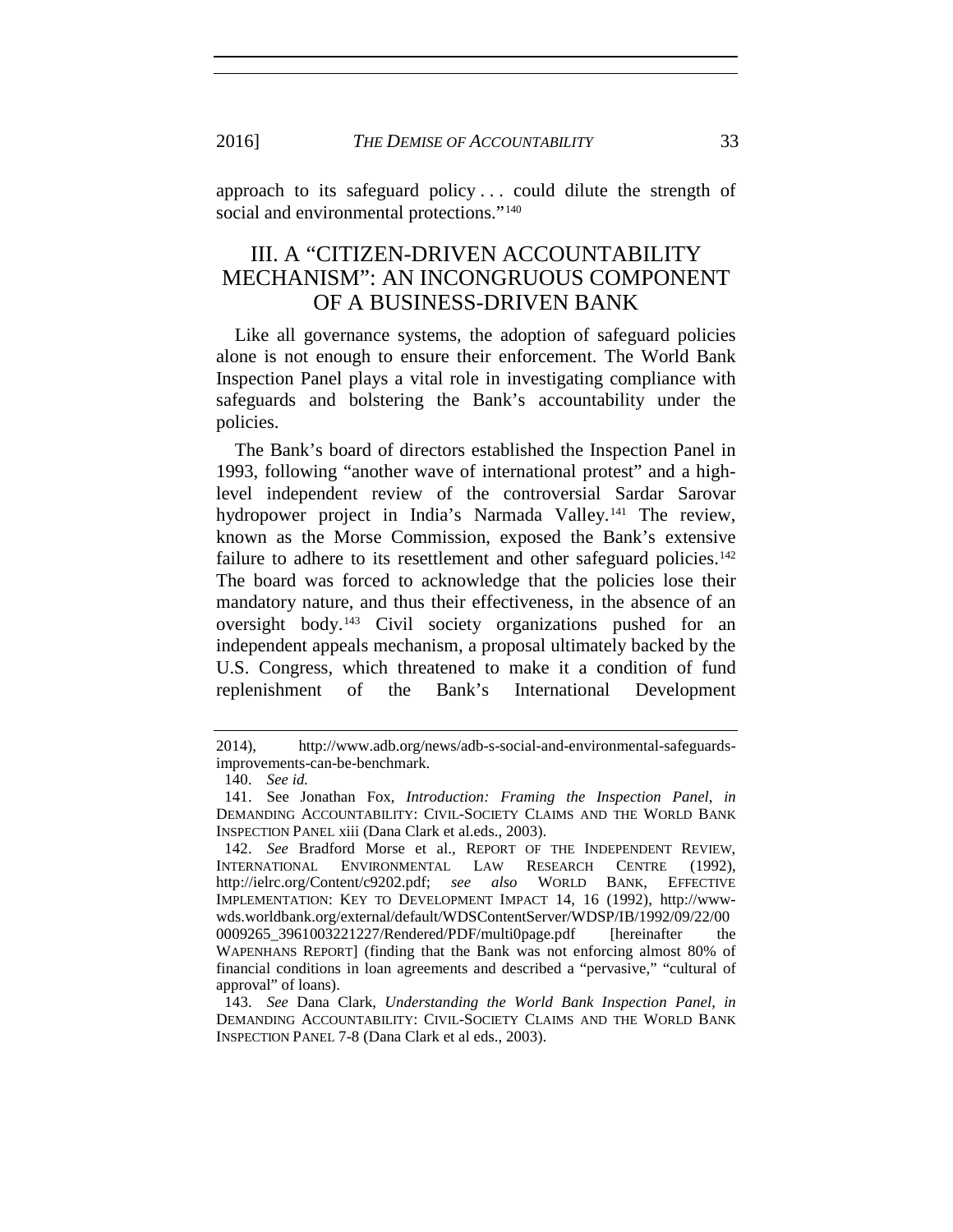approach to its safeguard policy . . . could dilute the strength of social and environmental protections."<sup>[140](#page-32-0)</sup>

# III. A "CITIZEN-DRIVEN ACCOUNTABILITY MECHANISM": AN INCONGRUOUS COMPONENT OF A BUSINESS-DRIVEN BANK

Like all governance systems, the adoption of safeguard policies alone is not enough to ensure their enforcement. The World Bank Inspection Panel plays a vital role in investigating compliance with safeguards and bolstering the Bank's accountability under the policies.

The Bank's board of directors established the Inspection Panel in 1993, following "another wave of international protest" and a highlevel independent review of the controversial Sardar Sarovar hydropower project in India's Narmada Valley.<sup>[141](#page-32-1)</sup> The review, known as the Morse Commission, exposed the Bank's extensive failure to adhere to its resettlement and other safeguard policies.<sup>[142](#page-32-2)</sup> The board was forced to acknowledge that the policies lose their mandatory nature, and thus their effectiveness, in the absence of an oversight body.[143](#page-32-3) Civil society organizations pushed for an independent appeals mechanism, a proposal ultimately backed by the U.S. Congress, which threatened to make it a condition of fund replenishment of the Bank's International Development

<sup>2014),</sup> http://www.adb.org/news/adb-s-social-and-environmental-safeguardsimprovements-can-be-benchmark.

<sup>140.</sup> *See id.*

<span id="page-32-1"></span><span id="page-32-0"></span><sup>141.</sup> See Jonathan Fox, *Introduction: Framing the Inspection Panel*, *in* DEMANDING ACCOUNTABILITY: CIVIL-SOCIETY CLAIMS AND THE WORLD BANK INSPECTION PANEL xiii (Dana Clark et al.eds., 2003).

<span id="page-32-2"></span><sup>142.</sup> *See* Bradford Morse et al., REPORT OF THE INDEPENDENT REVIEW, INTERNATIONAL ENVIRONMENTAL LAW RESEARCH CENTRE (1992), http://ielrc.org/Content/c9202.pdf; *see also* WORLD BANK, EFFECTIVE IMPLEMENTATION: KEY TO DEVELOPMENT IMPACT 14, 16 (1992), [http://www](http://www-wds.worldbank.org/external/default/WDSContentServer/WDSP/IB/1992/09/22/000009265_3961003221227/Rendered/PDF/multi0page.pdf)[wds.worldbank.org/external/default/WDSContentServer/WDSP/IB/1992/09/22/00](http://www-wds.worldbank.org/external/default/WDSContentServer/WDSP/IB/1992/09/22/000009265_3961003221227/Rendered/PDF/multi0page.pdf) 0009265 3961003221227/Rendered/PDF/multi0page.pdf [hereinafter the WAPENHANS REPORT] (finding that the Bank was not enforcing almost 80% of financial conditions in loan agreements and described a "pervasive," "cultural of approval" of loans).

<span id="page-32-3"></span><sup>143.</sup> *See* Dana Clark, *Understanding the World Bank Inspection Panel*, *in* DEMANDING ACCOUNTABILITY: CIVIL-SOCIETY CLAIMS AND THE WORLD BANK INSPECTION PANEL 7-8 (Dana Clark et al eds., 2003).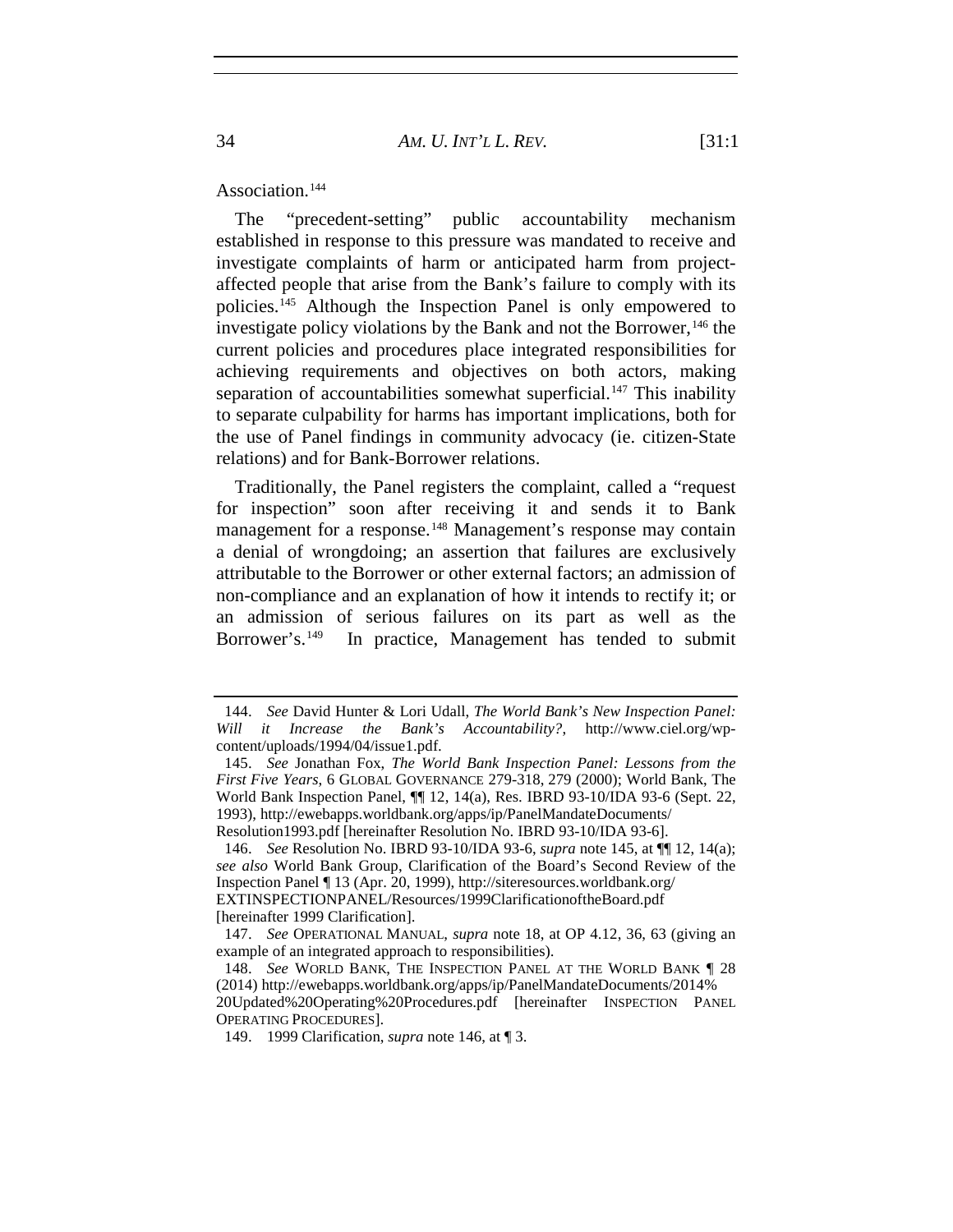Association.<sup>[144](#page-33-2)</sup>

<span id="page-33-1"></span><span id="page-33-0"></span>The "precedent-setting" public accountability mechanism established in response to this pressure was mandated to receive and investigate complaints of harm or anticipated harm from projectaffected people that arise from the Bank's failure to comply with its policies.[145](#page-33-3) Although the Inspection Panel is only empowered to investigate policy violations by the Bank and not the Borrower,  $146$  the current policies and procedures place integrated responsibilities for achieving requirements and objectives on both actors, making separation of accountabilities somewhat superficial.<sup>[147](#page-33-5)</sup> This inability to separate culpability for harms has important implications, both for the use of Panel findings in community advocacy (ie. citizen-State relations) and for Bank-Borrower relations.

<span id="page-33-8"></span>Traditionally, the Panel registers the complaint, called a "request for inspection" soon after receiving it and sends it to Bank management for a response.<sup>[148](#page-33-6)</sup> Management's response may contain a denial of wrongdoing; an assertion that failures are exclusively attributable to the Borrower or other external factors; an admission of non-compliance and an explanation of how it intends to rectify it; or an admission of serious failures on its part as well as the Borrower's.<sup>[149](#page-33-7)</sup> In practice, Management has tended to submit

<span id="page-33-2"></span><sup>144.</sup> *See* David Hunter & Lori Udall, *The World Bank's New Inspection Panel: Will it Increase the Bank's Accountability?*, http://www.ciel.org/wpcontent/uploads/1994/04/issue1.pdf.

<span id="page-33-3"></span><sup>145.</sup> *See* Jonathan Fox, *The World Bank Inspection Panel: Lessons from the First Five Years*, 6 GLOBAL GOVERNANCE 279-318, 279 (2000); World Bank, The World Bank Inspection Panel, ¶¶ 12, 14(a), Res. IBRD 93-10/IDA 93-6 (Sept. 22, 1993), http://ewebapps.worldbank.org/apps/ip/PanelMandateDocuments/ Resolution1993.pdf [hereinafter Resolution No. IBRD 93-10/IDA 93-6].

<span id="page-33-4"></span><sup>146.</sup> *See* Resolution No. IBRD 93-10/IDA 93-6, *supra* note [145,](#page-33-0) at ¶¶ 12, 14(a); *see also* World Bank Group, Clarification of the Board's Second Review of the Inspection Panel ¶ 13 (Apr. 20, 1999), http://siteresources.worldbank.org/ EXTINSPECTIONPANEL/Resources/1999ClarificationoftheBoard.pdf [hereinafter 1999 Clarification].

<span id="page-33-5"></span><sup>147.</sup> *See* OPERATIONAL MANUAL, *supra* note 18, at OP 4.12, 36, 63 (giving an example of an integrated approach to responsibilities).

<span id="page-33-6"></span><sup>148.</sup> *See* WORLD BANK, THE INSPECTION PANEL AT THE WORLD BANK ¶ 28 (2014) http://ewebapps.worldbank.org/apps/ip/PanelMandateDocuments/2014% 20Updated%20Operating%20Procedures.pdf [hereinafter INSPECTION PANEL OPERATING PROCEDURES].

<span id="page-33-7"></span><sup>149.</sup> 1999 Clarification, *supra* note [146,](#page-33-1) at ¶ 3.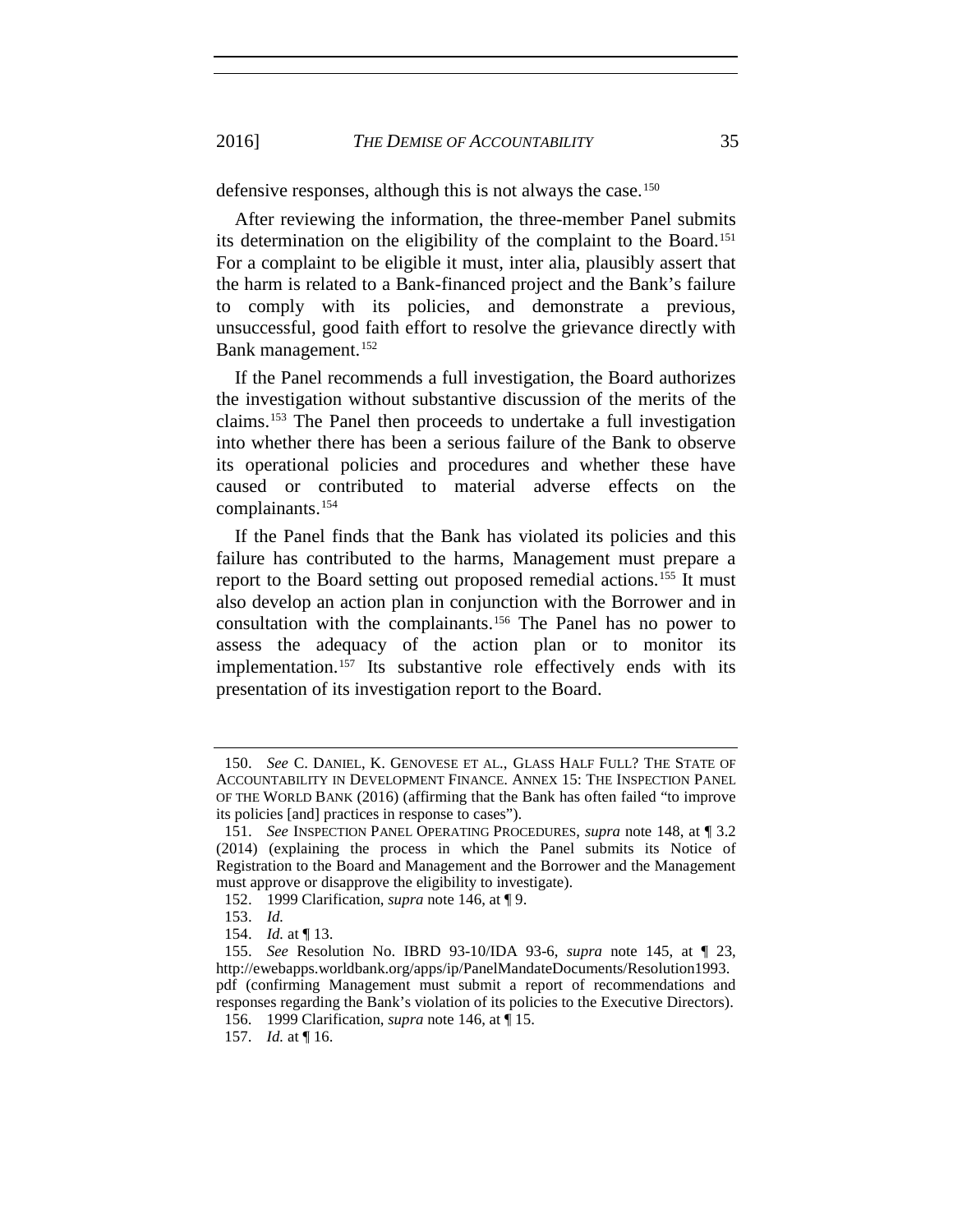2016] *THE DEMISE OF ACCOUNTABILITY* 35

defensive responses, although this is not always the case.<sup>[150](#page-34-0)</sup>

After reviewing the information, the three-member Panel submits its determination on the eligibility of the complaint to the Board.[151](#page-34-1) For a complaint to be eligible it must, inter alia, plausibly assert that the harm is related to a Bank-financed project and the Bank's failure to comply with its policies, and demonstrate a previous, unsuccessful, good faith effort to resolve the grievance directly with Bank management.<sup>[152](#page-34-2)</sup>

If the Panel recommends a full investigation, the Board authorizes the investigation without substantive discussion of the merits of the claims.[153](#page-34-3) The Panel then proceeds to undertake a full investigation into whether there has been a serious failure of the Bank to observe its operational policies and procedures and whether these have caused or contributed to material adverse effects on the complainants.[154](#page-34-4)

If the Panel finds that the Bank has violated its policies and this failure has contributed to the harms, Management must prepare a report to the Board setting out proposed remedial actions.<sup>[155](#page-34-5)</sup> It must also develop an action plan in conjunction with the Borrower and in consultation with the complainants.[156](#page-34-6) The Panel has no power to assess the adequacy of the action plan or to monitor its implementation.<sup>[157](#page-34-7)</sup> Its substantive role effectively ends with its presentation of its investigation report to the Board.

<span id="page-34-0"></span><sup>150.</sup> *See* C. DANIEL, K. GENOVESE ET AL., GLASS HALF FULL? THE STATE OF ACCOUNTABILITY IN DEVELOPMENT FINANCE. ANNEX 15: THE INSPECTION PANEL OF THE WORLD BANK (2016) (affirming that the Bank has often failed "to improve its policies [and] practices in response to cases").

<span id="page-34-1"></span><sup>151.</sup> *See* INSPECTION PANEL OPERATING PROCEDURES, *supra* note [148,](#page-33-8) at ¶ 3.2 (2014) (explaining the process in which the Panel submits its Notice of Registration to the Board and Management and the Borrower and the Management must approve or disapprove the eligibility to investigate).

<sup>152.</sup> 1999 Clarification, *supra* note [146,](#page-33-1) at ¶ 9.

<sup>153.</sup> *Id.*

<sup>154.</sup> *Id.* at ¶ 13.

<span id="page-34-5"></span><span id="page-34-4"></span><span id="page-34-3"></span><span id="page-34-2"></span><sup>155.</sup> *See* Resolution No. IBRD 93-10/IDA 93-6, *supra* note [145,](#page-33-0) at ¶ 23, http://ewebapps.worldbank.org/apps/ip/PanelMandateDocuments/Resolution1993. pdf (confirming Management must submit a report of recommendations and responses regarding the Bank's violation of its policies to the Executive Directors).

<span id="page-34-6"></span><sup>156.</sup> 1999 Clarification, *supra* note [146,](#page-33-1) at ¶ 15.

<span id="page-34-7"></span><sup>157.</sup> *Id.* at ¶ 16.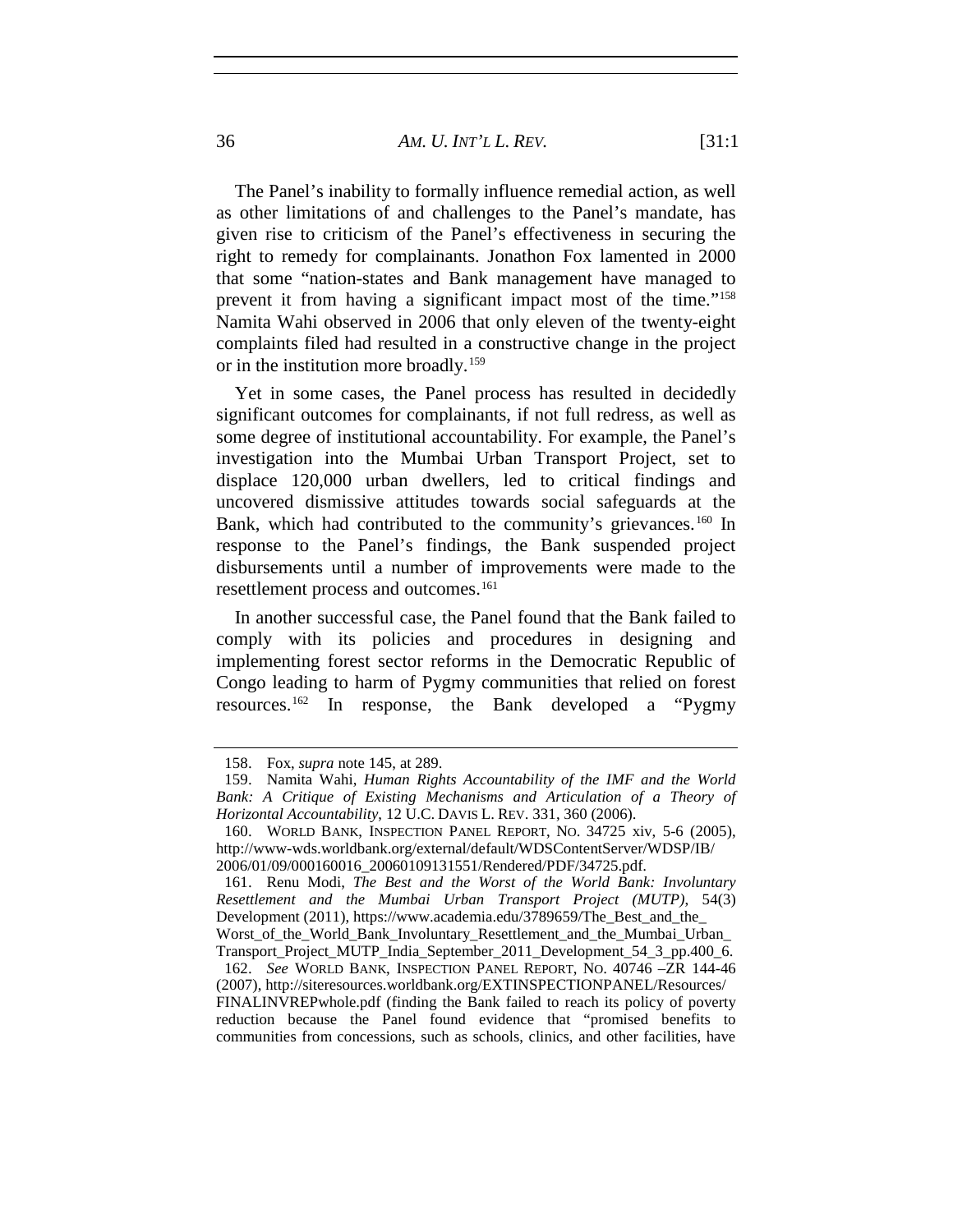36 *AM. U. INT'L L. REV.* [31:1

The Panel's inability to formally influence remedial action, as well as other limitations of and challenges to the Panel's mandate, has given rise to criticism of the Panel's effectiveness in securing the right to remedy for complainants. Jonathon Fox lamented in 2000 that some "nation-states and Bank management have managed to prevent it from having a significant impact most of the time.["158](#page-35-0) Namita Wahi observed in 2006 that only eleven of the twenty-eight complaints filed had resulted in a constructive change in the project or in the institution more broadly.<sup>[159](#page-35-1)</sup>

Yet in some cases, the Panel process has resulted in decidedly significant outcomes for complainants, if not full redress, as well as some degree of institutional accountability. For example, the Panel's investigation into the Mumbai Urban Transport Project, set to displace 120,000 urban dwellers, led to critical findings and uncovered dismissive attitudes towards social safeguards at the Bank, which had contributed to the community's grievances.<sup>[160](#page-35-2)</sup> In response to the Panel's findings, the Bank suspended project disbursements until a number of improvements were made to the resettlement process and outcomes.[161](#page-35-3)

In another successful case, the Panel found that the Bank failed to comply with its policies and procedures in designing and implementing forest sector reforms in the Democratic Republic of Congo leading to harm of Pygmy communities that relied on forest resources.[162](#page-35-4) In response, the Bank developed a "Pygmy

<sup>158.</sup> Fox, *supra* note [145,](#page-33-0) at 289.

<span id="page-35-1"></span><span id="page-35-0"></span><sup>159.</sup> Namita Wahi, *Human Rights Accountability of the IMF and the World*  Bank: A Critique of Existing Mechanisms and Articulation of a Theory of *Horizontal Accountability*, 12 U.C. DAVIS L. REV. 331, 360 (2006).

<span id="page-35-2"></span><sup>160.</sup> WORLD BANK, INSPECTION PANEL REPORT, NO. 34725 xiv, 5-6 (2005), http://www-wds.worldbank.org/external/default/WDSContentServer/WDSP/IB/ 2006/01/09/000160016\_20060109131551/Rendered/PDF/34725.pdf.

<span id="page-35-3"></span><sup>161.</sup> Renu Modi, *The Best and the Worst of the World Bank: Involuntary Resettlement and the Mumbai Urban Transport Project (MUTP)*, 54(3) Development (2011), https://www.academia.edu/3789659/The\_Best\_and\_the\_ Worst of the World Bank Involuntary Resettlement and the Mumbai Urban Transport\_Project\_MUTP\_India\_September\_2011\_Development\_54\_3\_pp.400\_6.

<span id="page-35-4"></span><sup>162.</sup> *See* WORLD BANK, INSPECTION PANEL REPORT, NO. 40746 –ZR 144-46 (2007), http://siteresources.worldbank.org/EXTINSPECTIONPANEL/Resources/ FINALINVREPwhole.pdf (finding the Bank failed to reach its policy of poverty reduction because the Panel found evidence that "promised benefits to communities from concessions, such as schools, clinics, and other facilities, have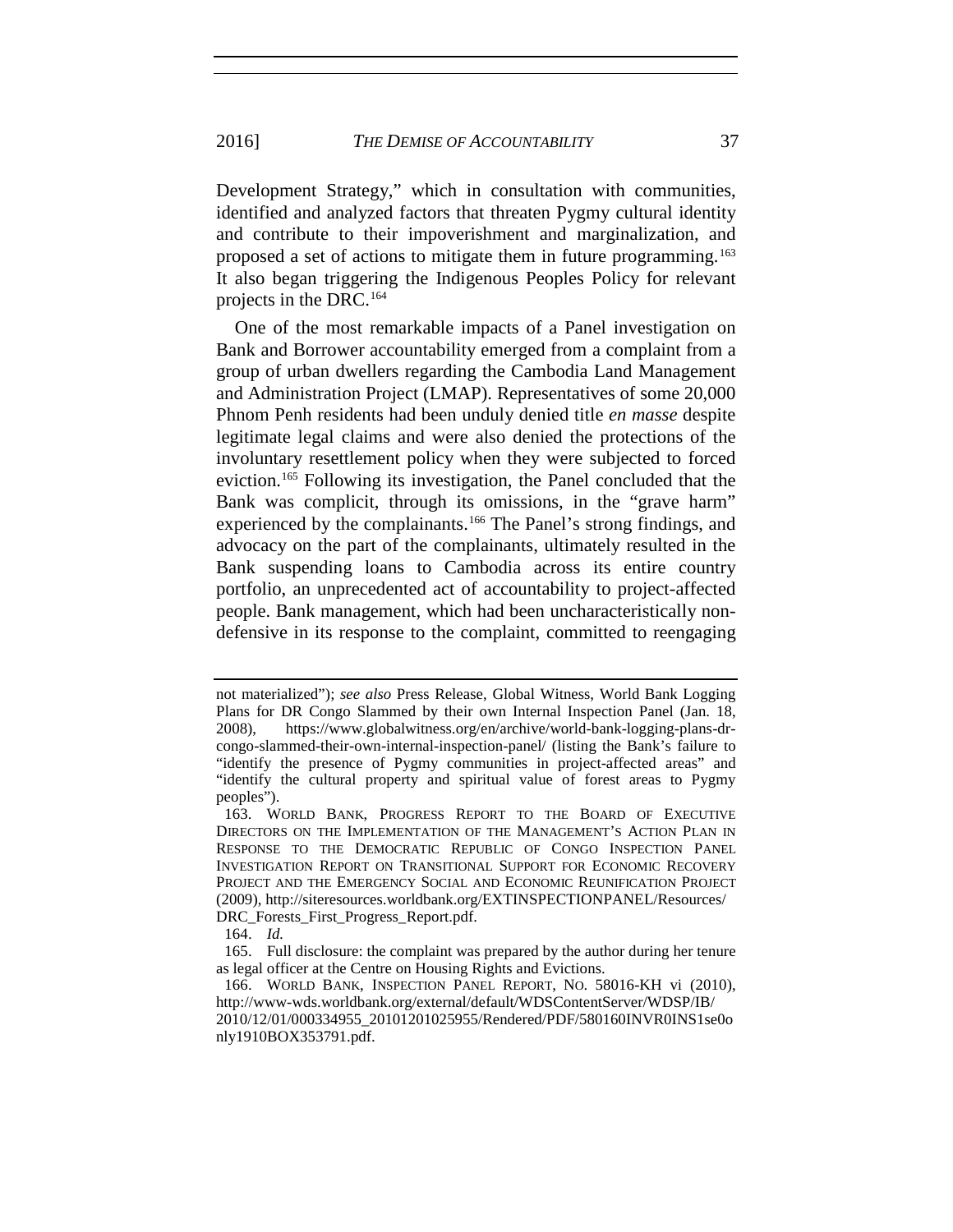2016] *THE DEMISE OF ACCOUNTABILITY* 37

Development Strategy," which in consultation with communities, identified and analyzed factors that threaten Pygmy cultural identity and contribute to their impoverishment and marginalization, and proposed a set of actions to mitigate them in future programming.<sup>[163](#page-36-0)</sup> It also began triggering the Indigenous Peoples Policy for relevant projects in the DRC.[164](#page-36-1)

One of the most remarkable impacts of a Panel investigation on Bank and Borrower accountability emerged from a complaint from a group of urban dwellers regarding the Cambodia Land Management and Administration Project (LMAP). Representatives of some 20,000 Phnom Penh residents had been unduly denied title *en masse* despite legitimate legal claims and were also denied the protections of the involuntary resettlement policy when they were subjected to forced eviction.[165](#page-36-2) Following its investigation, the Panel concluded that the Bank was complicit, through its omissions, in the "grave harm" experienced by the complainants.<sup>[166](#page-36-3)</sup> The Panel's strong findings, and advocacy on the part of the complainants, ultimately resulted in the Bank suspending loans to Cambodia across its entire country portfolio, an unprecedented act of accountability to project-affected people. Bank management, which had been uncharacteristically nondefensive in its response to the complaint, committed to reengaging

not materialized"); *see also* Press Release, Global Witness, World Bank Logging Plans for DR Congo Slammed by their own Internal Inspection Panel (Jan. 18, 2008), https://www.globalwitness.org/en/archive/world-bank-logging-plans-drcongo-slammed-their-own-internal-inspection-panel/ (listing the Bank's failure to "identify the presence of Pygmy communities in project-affected areas" and "identify the cultural property and spiritual value of forest areas to Pygmy peoples").

<span id="page-36-0"></span><sup>163.</sup> WORLD BANK, PROGRESS REPORT TO THE BOARD OF EXECUTIVE DIRECTORS ON THE IMPLEMENTATION OF THE MANAGEMENT'S ACTION PLAN IN RESPONSE TO THE DEMOCRATIC REPUBLIC OF CONGO INSPECTION PANEL INVESTIGATION REPORT ON TRANSITIONAL SUPPORT FOR ECONOMIC RECOVERY PROJECT AND THE EMERGENCY SOCIAL AND ECONOMIC REUNIFICATION PROJECT (2009), http://siteresources.worldbank.org/EXTINSPECTIONPANEL/Resources/ DRC\_Forests\_First\_Progress\_Report.pdf.

<sup>164.</sup> *Id.*

<span id="page-36-2"></span><span id="page-36-1"></span><sup>165.</sup> Full disclosure: the complaint was prepared by the author during her tenure as legal officer at the Centre on Housing Rights and Evictions.

<span id="page-36-3"></span><sup>166.</sup> WORLD BANK, INSPECTION PANEL REPORT, NO. 58016-KH vi (2010), http://www-wds.worldbank.org/external/default/WDSContentServer/WDSP/IB/ 2010/12/01/000334955\_20101201025955/Rendered/PDF/580160INVR0INS1se0o nly1910BOX353791.pdf.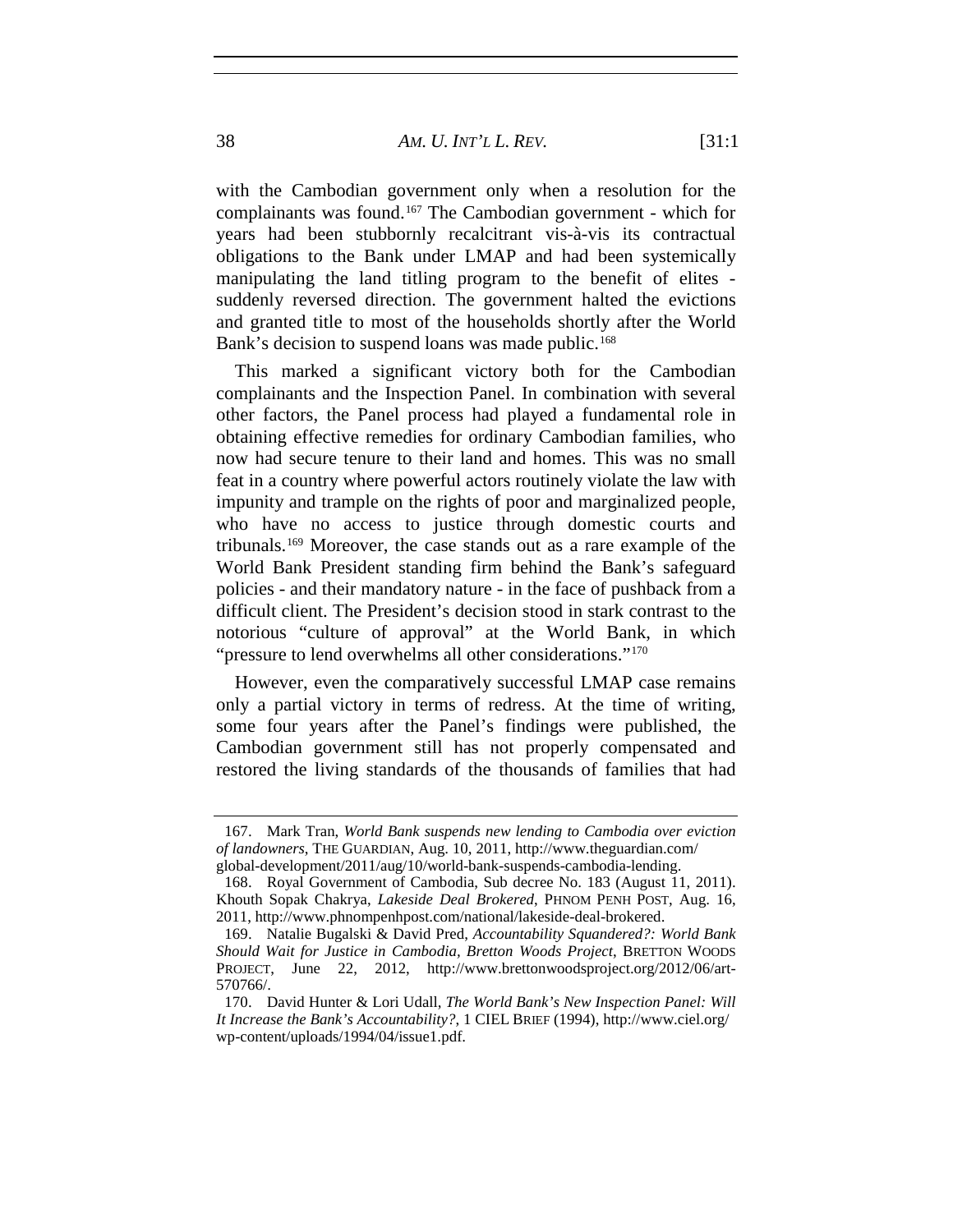#### 38 *AM. U. INT'L L. REV.* [31:1

with the Cambodian government only when a resolution for the complainants was found.[167](#page-37-0) The Cambodian government - which for years had been stubbornly recalcitrant vis-à-vis its contractual obligations to the Bank under LMAP and had been systemically manipulating the land titling program to the benefit of elites suddenly reversed direction. The government halted the evictions and granted title to most of the households shortly after the World Bank's decision to suspend loans was made public.<sup>[168](#page-37-1)</sup>

This marked a significant victory both for the Cambodian complainants and the Inspection Panel. In combination with several other factors, the Panel process had played a fundamental role in obtaining effective remedies for ordinary Cambodian families, who now had secure tenure to their land and homes. This was no small feat in a country where powerful actors routinely violate the law with impunity and trample on the rights of poor and marginalized people, who have no access to justice through domestic courts and tribunals.[169](#page-37-2) Moreover, the case stands out as a rare example of the World Bank President standing firm behind the Bank's safeguard policies - and their mandatory nature - in the face of pushback from a difficult client. The President's decision stood in stark contrast to the notorious "culture of approval" at the World Bank, in which "pressure to lend overwhelms all other considerations."[170](#page-37-3)

<span id="page-37-4"></span>However, even the comparatively successful LMAP case remains only a partial victory in terms of redress. At the time of writing, some four years after the Panel's findings were published, the Cambodian government still has not properly compensated and restored the living standards of the thousands of families that had

<span id="page-37-0"></span><sup>167.</sup> Mark Tran, *World Bank suspends new lending to Cambodia over eviction of landowners*, THE GUARDIAN, Aug. 10, 2011, http://www.theguardian.com/ global-development/2011/aug/10/world-bank-suspends-cambodia-lending.

<span id="page-37-1"></span><sup>168.</sup> Royal Government of Cambodia, Sub decree No. 183 (August 11, 2011). Khouth Sopak Chakrya, *Lakeside Deal Brokered*, PHNOM PENH POST, Aug. 16, 2011, http://www.phnompenhpost.com/national/lakeside-deal-brokered.

<span id="page-37-2"></span><sup>169.</sup> Natalie Bugalski & David Pred, *Accountability Squandered?: World Bank Should Wait for Justice in Cambodia, Bretton Woods Project*, BRETTON WOODS PROJECT, June 22, 2012, http://www.brettonwoodsproject.org/2012/06/art-570766/.

<span id="page-37-3"></span><sup>170.</sup> David Hunter & Lori Udall, *The World Bank's New Inspection Panel: Will It Increase the Bank's Accountability?*, 1 CIEL BRIEF (1994), http://www.ciel.org/ wp-content/uploads/1994/04/issue1.pdf.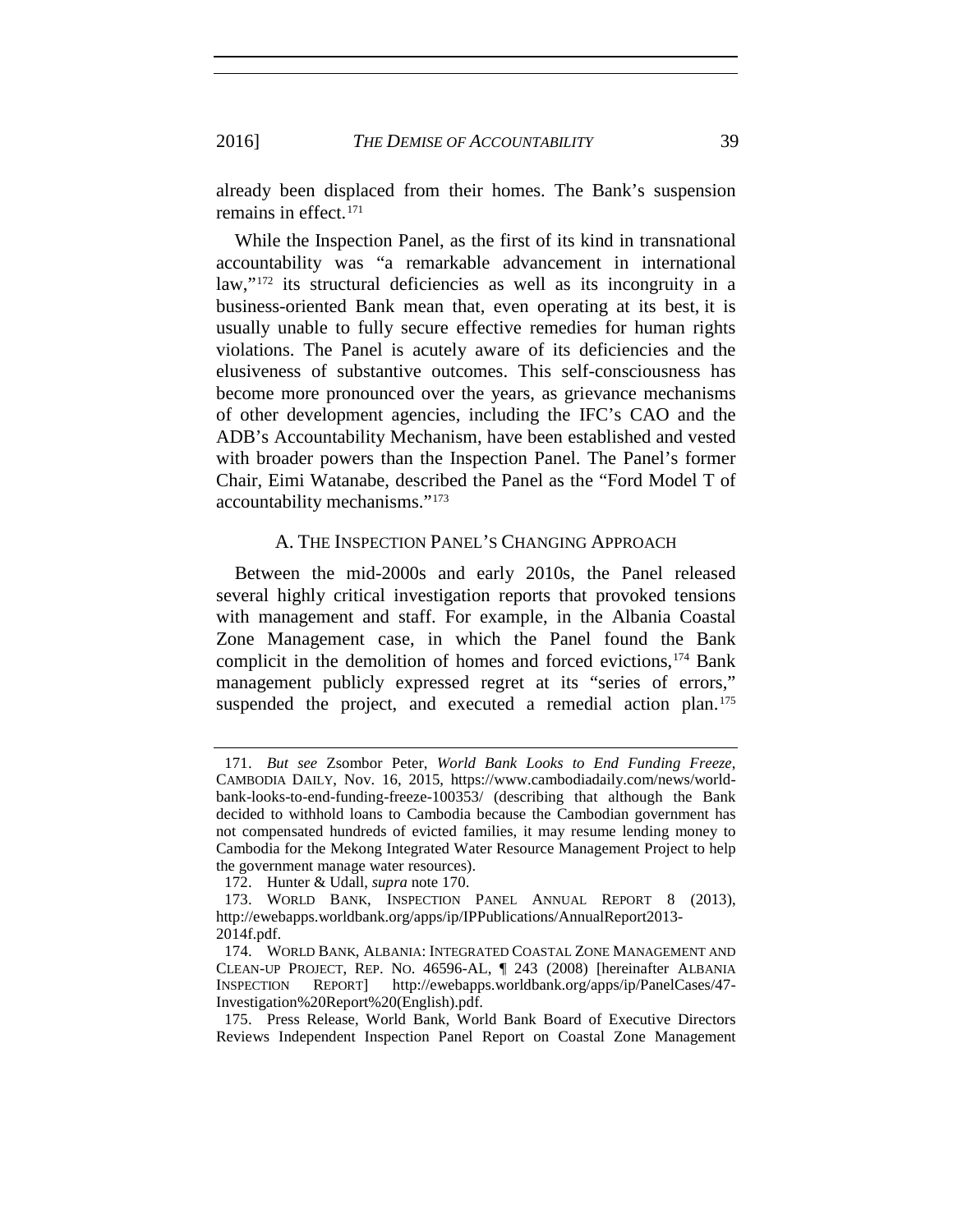already been displaced from their homes. The Bank's suspension remains in effect.<sup>[171](#page-38-0)</sup>

While the Inspection Panel, as the first of its kind in transnational accountability was "a remarkable advancement in international law,"[172](#page-38-1) its structural deficiencies as well as its incongruity in a business-oriented Bank mean that, even operating at its best, it is usually unable to fully secure effective remedies for human rights violations. The Panel is acutely aware of its deficiencies and the elusiveness of substantive outcomes. This self-consciousness has become more pronounced over the years, as grievance mechanisms of other development agencies, including the IFC's CAO and the ADB's Accountability Mechanism, have been established and vested with broader powers than the Inspection Panel. The Panel's former Chair, Eimi Watanabe, described the Panel as the "Ford Model T of accountability mechanisms."[173](#page-38-2)

## <span id="page-38-6"></span><span id="page-38-5"></span>A. THE INSPECTION PANEL'S CHANGING APPROACH

Between the mid-2000s and early 2010s, the Panel released several highly critical investigation reports that provoked tensions with management and staff. For example, in the Albania Coastal Zone Management case, in which the Panel found the Bank complicit in the demolition of homes and forced evictions,[174](#page-38-3) Bank management publicly expressed regret at its "series of errors," suspended the project, and executed a remedial action plan.<sup>[175](#page-38-4)</sup>

<span id="page-38-0"></span><sup>171.</sup> *But see* Zsombor Peter, *World Bank Looks to End Funding Freeze*, CAMBODIA DAILY, Nov. 16, 2015, https://www.cambodiadaily.com/news/worldbank-looks-to-end-funding-freeze-100353/ (describing that although the Bank decided to withhold loans to Cambodia because the Cambodian government has not compensated hundreds of evicted families, it may resume lending money to Cambodia for the Mekong Integrated Water Resource Management Project to help the government manage water resources).

<sup>172.</sup> Hunter & Udall, *supra* note [170.](#page-37-4)

<span id="page-38-2"></span><span id="page-38-1"></span><sup>173.</sup> WORLD BANK, INSPECTION PANEL ANNUAL REPORT 8 (2013), http://ewebapps.worldbank.org/apps/ip/IPPublications/AnnualReport2013- 2014f.pdf.

<span id="page-38-3"></span><sup>174.</sup> WORLD BANK, ALBANIA: INTEGRATED COASTAL ZONE MANAGEMENT AND CLEAN-UP PROJECT, REP. NO. 46596-AL, ¶ 243 (2008) [hereinafter ALBANIA INSPECTION REPORT] http://ewebapps.worldbank.org/apps/ip/PanelCases/47- Investigation%20Report%20(English).pdf.

<span id="page-38-4"></span><sup>175.</sup> Press Release, World Bank, World Bank Board of Executive Directors Reviews Independent Inspection Panel Report on Coastal Zone Management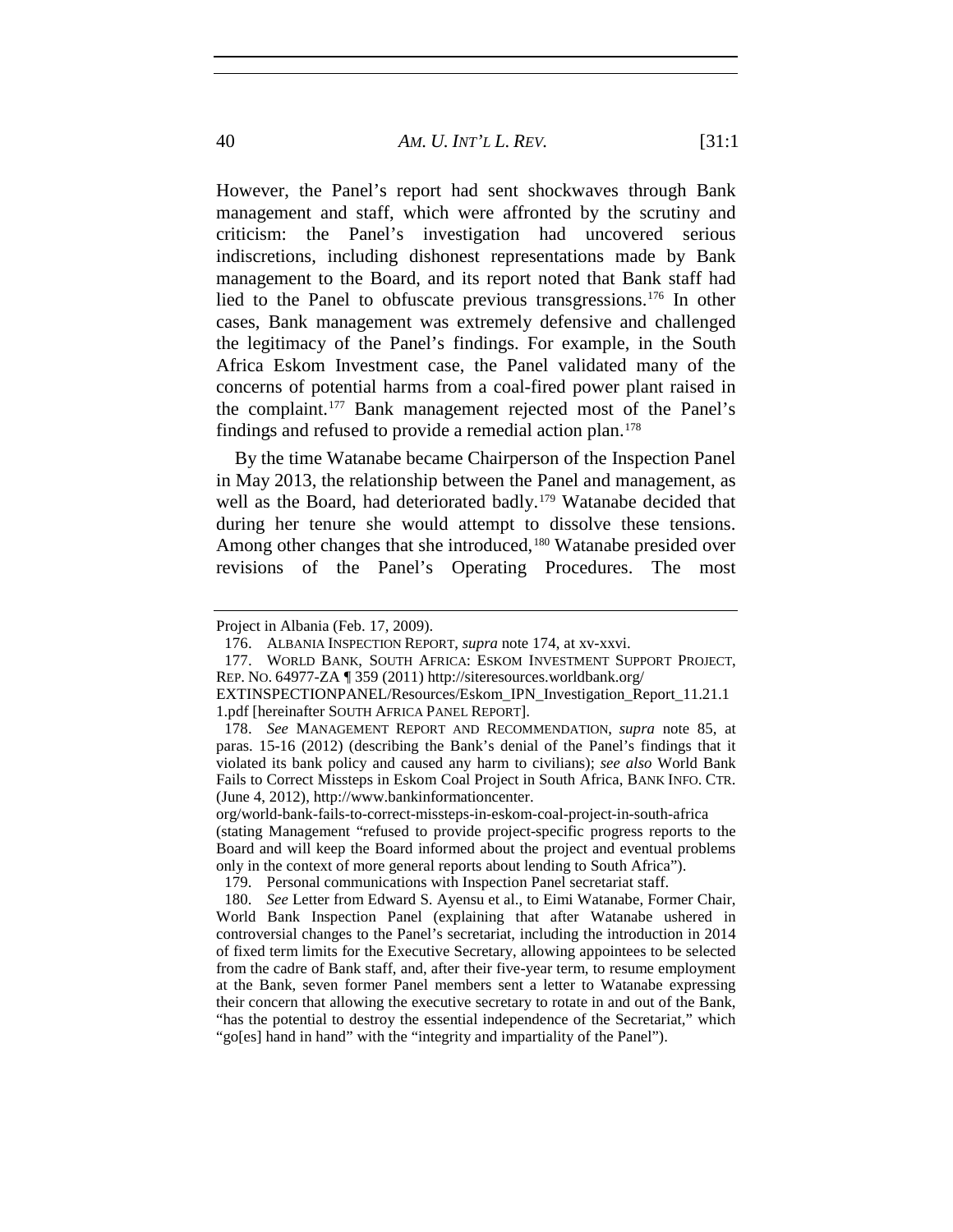However, the Panel's report had sent shockwaves through Bank management and staff, which were affronted by the scrutiny and criticism: the Panel's investigation had uncovered serious indiscretions, including dishonest representations made by Bank management to the Board, and its report noted that Bank staff had lied to the Panel to obfuscate previous transgressions.[176](#page-39-0) In other cases, Bank management was extremely defensive and challenged the legitimacy of the Panel's findings. For example, in the South Africa Eskom Investment case, the Panel validated many of the concerns of potential harms from a coal-fired power plant raised in the complaint.[177](#page-39-1) Bank management rejected most of the Panel's findings and refused to provide a remedial action plan.[178](#page-39-2)

By the time Watanabe became Chairperson of the Inspection Panel in May 2013, the relationship between the Panel and management, as well as the Board, had deteriorated badly.<sup>[179](#page-39-3)</sup> Watanabe decided that during her tenure she would attempt to dissolve these tensions. Among other changes that she introduced,<sup>[180](#page-39-4)</sup> Watanabe presided over revisions of the Panel's Operating Procedures. The most

<span id="page-39-0"></span>Project in Albania (Feb. 17, 2009).

<sup>176.</sup> ALBANIA INSPECTION REPORT, *supra* note [174,](#page-38-5) at xv-xxvi.

<span id="page-39-1"></span><sup>177.</sup> WORLD BANK, SOUTH AFRICA: ESKOM INVESTMENT SUPPORT PROJECT, REP. NO. 64977-ZA ¶ 359 (2011) http://siteresources.worldbank.org/

EXTINSPECTIONPANEL/Resources/Eskom\_IPN\_Investigation\_Report\_11.21.1 1.pdf [hereinafter SOUTH AFRICA PANEL REPORT].

<span id="page-39-2"></span><sup>178.</sup> *See* MANAGEMENT REPORT AND RECOMMENDATION, *supra* note 85, at paras. 15-16 (2012) (describing the Bank's denial of the Panel's findings that it violated its bank policy and caused any harm to civilians); *see also* World Bank Fails to Correct Missteps in Eskom Coal Project in South Africa, BANK INFO. CTR. (June 4, 2012), http://www.bankinformationcenter.

org/world-bank-fails-to-correct-missteps-in-eskom-coal-project-in-south-africa (stating Management "refused to provide project-specific progress reports to the Board and will keep the Board informed about the project and eventual problems only in the context of more general reports about lending to South Africa").

<sup>179.</sup> Personal communications with Inspection Panel secretariat staff.

<span id="page-39-4"></span><span id="page-39-3"></span><sup>180.</sup> *See* Letter from Edward S. Ayensu et al., to Eimi Watanabe, Former Chair, World Bank Inspection Panel (explaining that after Watanabe ushered in controversial changes to the Panel's secretariat, including the introduction in 2014 of fixed term limits for the Executive Secretary, allowing appointees to be selected from the cadre of Bank staff, and, after their five-year term, to resume employment at the Bank, seven former Panel members sent a letter to Watanabe expressing their concern that allowing the executive secretary to rotate in and out of the Bank, "has the potential to destroy the essential independence of the Secretariat," which "go[es] hand in hand" with the "integrity and impartiality of the Panel").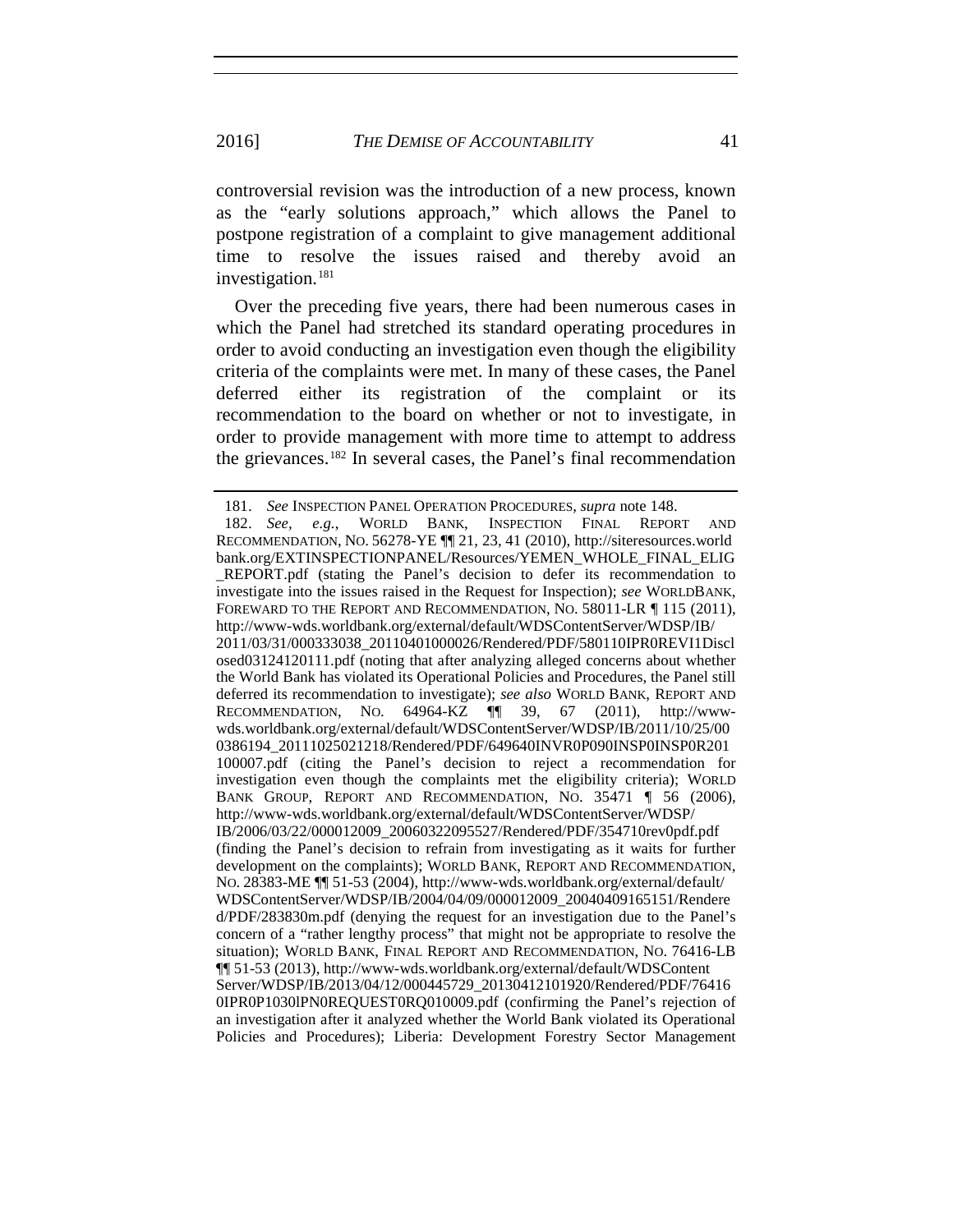controversial revision was the introduction of a new process, known as the "early solutions approach," which allows the Panel to postpone registration of a complaint to give management additional time to resolve the issues raised and thereby avoid an investigation.[181](#page-40-0)

Over the preceding five years, there had been numerous cases in which the Panel had stretched its standard operating procedures in order to avoid conducting an investigation even though the eligibility criteria of the complaints were met. In many of these cases, the Panel deferred either its registration of the complaint or its recommendation to the board on whether or not to investigate, in order to provide management with more time to attempt to address the grievances.[182](#page-40-1) In several cases, the Panel's final recommendation

<span id="page-40-1"></span><span id="page-40-0"></span><sup>181.</sup> *See* INSPECTION PANEL OPERATION PROCEDURES, *supra* note 148. 182. *See, e.g.*, WORLD BANK, INSPECTION FINAL REPORT AND RECOMMENDATION, NO. 56278-YE ¶¶ 21, 23, 41 (2010), http://siteresources.world bank.org/EXTINSPECTIONPANEL/Resources/YEMEN\_WHOLE\_FINAL\_ELIG \_REPORT.pdf (stating the Panel's decision to defer its recommendation to investigate into the issues raised in the Request for Inspection); *see* WORLDBANK, FOREWARD TO THE REPORT AND RECOMMENDATION, NO. 58011-LR 115 (2011), http://www-wds.worldbank.org/external/default/WDSContentServer/WDSP/IB/ 2011/03/31/000333038\_20110401000026/Rendered/PDF/580110IPR0REVI1Discl osed03124120111.pdf (noting that after analyzing alleged concerns about whether the World Bank has violated its Operational Policies and Procedures, the Panel still deferred its recommendation to investigate); *see also* WORLD BANK, REPORT AND RECOMMENDATION, NO. 64964-KZ ¶¶ 39, 67 (2011), http://wwwwds.worldbank.org/external/default/WDSContentServer/WDSP/IB/2011/10/25/00 0386194\_20111025021218/Rendered/PDF/649640INVR0P090INSP0INSP0R201 100007.pdf (citing the Panel's decision to reject a recommendation for investigation even though the complaints met the eligibility criteria); WORLD BANK GROUP, REPORT AND RECOMMENDATION, NO. 35471 | 56 (2006), http://www-wds.worldbank.org/external/default/WDSContentServer/WDSP/ IB/2006/03/22/000012009\_20060322095527/Rendered/PDF/354710rev0pdf.pdf (finding the Panel's decision to refrain from investigating as it waits for further development on the complaints); WORLD BANK, REPORT AND RECOMMENDATION, NO. 28383-ME ¶¶ 51-53 (2004), http://www-wds.worldbank.org/external/default/ WDSContentServer/WDSP/IB/2004/04/09/000012009\_20040409165151/Rendere d/PDF/283830m.pdf (denying the request for an investigation due to the Panel's concern of a "rather lengthy process" that might not be appropriate to resolve the situation); WORLD BANK, FINAL REPORT AND RECOMMENDATION, NO. 76416-LB ¶¶ 51-53 (2013), http://www-wds.worldbank.org/external/default/WDSContent Server/WDSP/IB/2013/04/12/000445729\_20130412101920/Rendered/PDF/76416 0IPR0P1030lPN0REQUEST0RQ010009.pdf (confirming the Panel's rejection of an investigation after it analyzed whether the World Bank violated its Operational Policies and Procedures); Liberia: Development Forestry Sector Management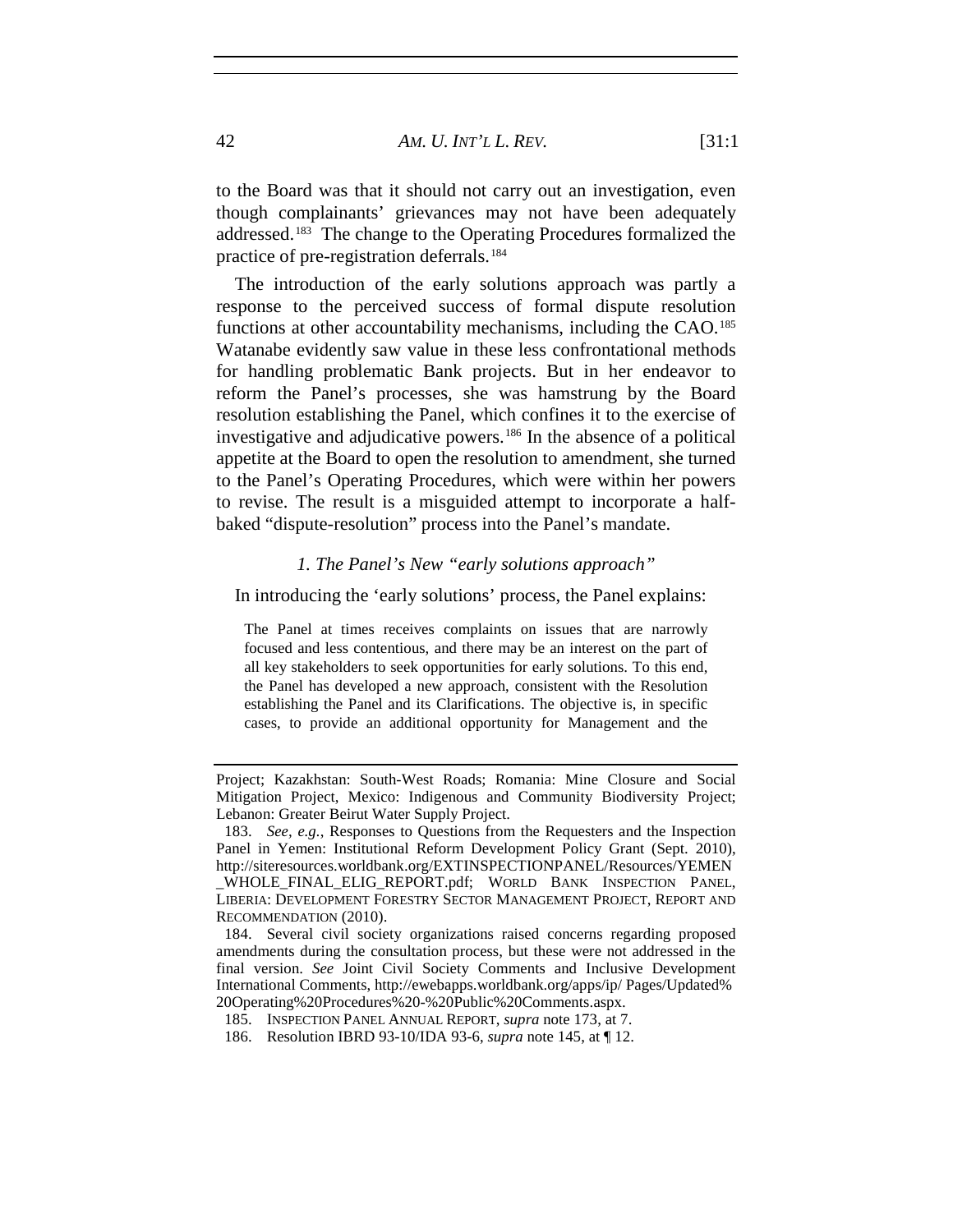to the Board was that it should not carry out an investigation, even though complainants' grievances may not have been adequately addressed.[183](#page-41-0) The change to the Operating Procedures formalized the practice of pre-registration deferrals.<sup>[184](#page-41-1)</sup>

The introduction of the early solutions approach was partly a response to the perceived success of formal dispute resolution functions at other accountability mechanisms, including the CAO.<sup>185</sup> Watanabe evidently saw value in these less confrontational methods for handling problematic Bank projects. But in her endeavor to reform the Panel's processes, she was hamstrung by the Board resolution establishing the Panel, which confines it to the exercise of investigative and adjudicative powers.[186](#page-41-3) In the absence of a political appetite at the Board to open the resolution to amendment, she turned to the Panel's Operating Procedures, which were within her powers to revise. The result is a misguided attempt to incorporate a halfbaked "dispute-resolution" process into the Panel's mandate.

## *1. The Panel's New "early solutions approach"*

In introducing the 'early solutions' process, the Panel explains:

The Panel at times receives complaints on issues that are narrowly focused and less contentious, and there may be an interest on the part of all key stakeholders to seek opportunities for early solutions. To this end, the Panel has developed a new approach, consistent with the Resolution establishing the Panel and its Clarifications. The objective is, in specific cases, to provide an additional opportunity for Management and the

Project; Kazakhstan: South-West Roads; Romania: Mine Closure and Social Mitigation Project, Mexico: Indigenous and Community Biodiversity Project; Lebanon: Greater Beirut Water Supply Project.

<span id="page-41-0"></span><sup>183.</sup> *See, e.g.*, Responses to Questions from the Requesters and the Inspection Panel in Yemen: Institutional Reform Development Policy Grant (Sept. 2010), http://siteresources.worldbank.org/EXTINSPECTIONPANEL/Resources/YEMEN WHOLE FINAL ELIG REPORT.pdf; WORLD BANK INSPECTION PANEL, LIBERIA: DEVELOPMENT FORESTRY SECTOR MANAGEMENT PROJECT, REPORT AND RECOMMENDATION (2010).

<span id="page-41-1"></span><sup>184.</sup> Several civil society organizations raised concerns regarding proposed amendments during the consultation process, but these were not addressed in the final version. *See* Joint Civil Society Comments and Inclusive Development International Comments, http://ewebapps.worldbank.org/apps/ip/ Pages/Updated% 20Operating%20Procedures%20-%20Public%20Comments.aspx.

<span id="page-41-2"></span><sup>185.</sup> INSPECTION PANEL ANNUAL REPORT, *supra* note [173,](#page-38-6) at 7.

<span id="page-41-3"></span><sup>186.</sup> Resolution IBRD 93-10/IDA 93-6, *supra* note [145,](#page-33-0) at ¶ 12.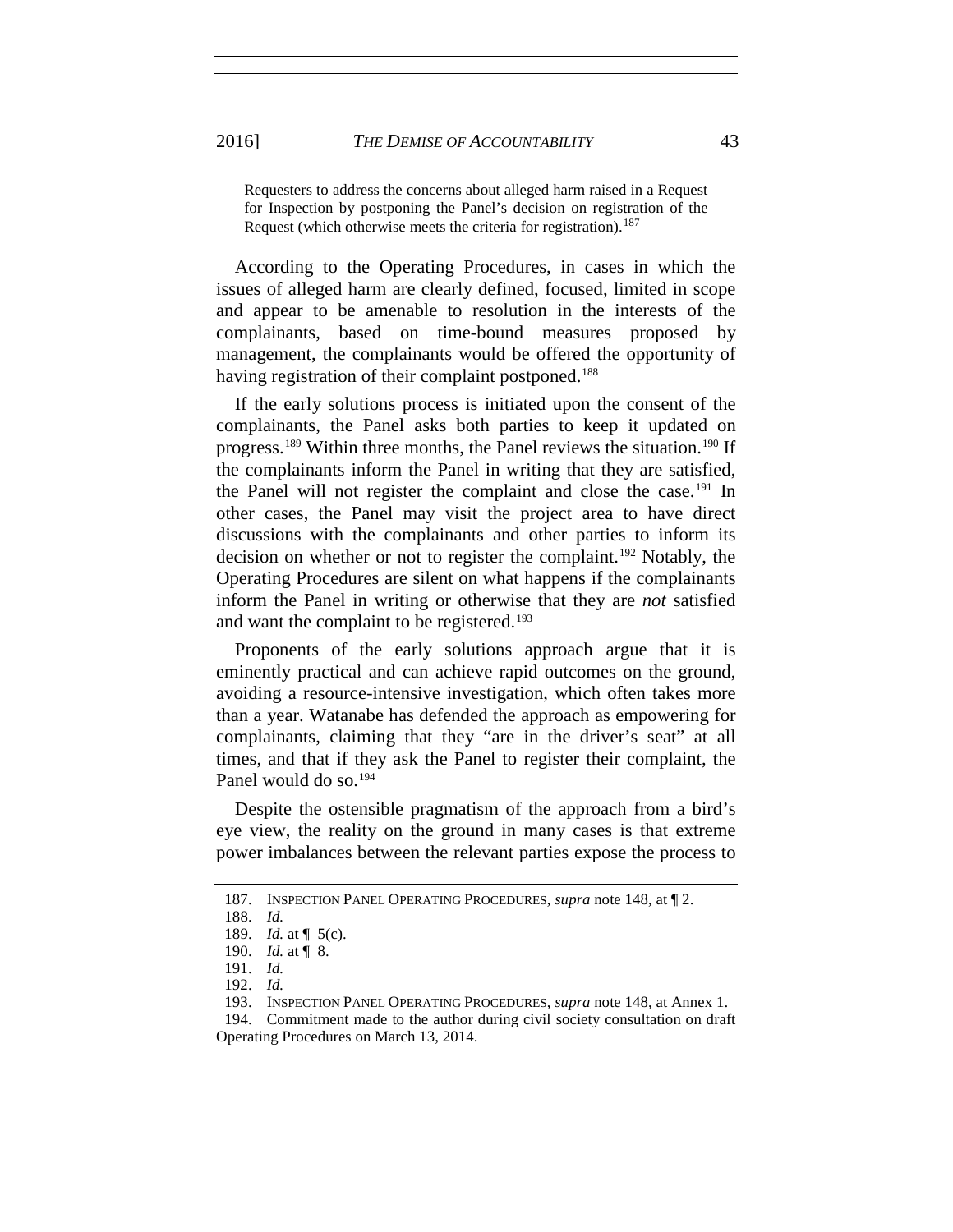Requesters to address the concerns about alleged harm raised in a Request for Inspection by postponing the Panel's decision on registration of the Request (which otherwise meets the criteria for registration).<sup>[187](#page-42-0)</sup>

According to the Operating Procedures, in cases in which the issues of alleged harm are clearly defined, focused, limited in scope and appear to be amenable to resolution in the interests of the complainants, based on time-bound measures proposed by management, the complainants would be offered the opportunity of having registration of their complaint postponed.<sup>[188](#page-42-1)</sup>

If the early solutions process is initiated upon the consent of the complainants, the Panel asks both parties to keep it updated on progress.[189](#page-42-2) Within three months, the Panel reviews the situation.[190](#page-42-3) If the complainants inform the Panel in writing that they are satisfied, the Panel will not register the complaint and close the case.[191](#page-42-4) In other cases, the Panel may visit the project area to have direct discussions with the complainants and other parties to inform its decision on whether or not to register the complaint.<sup>[192](#page-42-5)</sup> Notably, the Operating Procedures are silent on what happens if the complainants inform the Panel in writing or otherwise that they are *not* satisfied and want the complaint to be registered.<sup>[193](#page-42-6)</sup>

Proponents of the early solutions approach argue that it is eminently practical and can achieve rapid outcomes on the ground, avoiding a resource-intensive investigation, which often takes more than a year. Watanabe has defended the approach as empowering for complainants, claiming that they "are in the driver's seat" at all times, and that if they ask the Panel to register their complaint, the Panel would do so.<sup>[194](#page-42-7)</sup>

Despite the ostensible pragmatism of the approach from a bird's eye view, the reality on the ground in many cases is that extreme power imbalances between the relevant parties expose the process to

<span id="page-42-1"></span><span id="page-42-0"></span><sup>187.</sup> INSPECTION PANEL OPERATING PROCEDURES, *supra* note 148, at ¶ 2.

<sup>188.</sup> *Id.*

<span id="page-42-2"></span><sup>189.</sup> *Id.* at ¶ 5(c).

<span id="page-42-3"></span><sup>190.</sup> *Id.* at ¶ 8.

<sup>191.</sup> *Id.*

<sup>192.</sup> *Id.*

<sup>193.</sup> INSPECTION PANEL OPERATING PROCEDURES, *supra* note 148, at Annex 1.

<span id="page-42-7"></span><span id="page-42-6"></span><span id="page-42-5"></span><span id="page-42-4"></span><sup>194.</sup> Commitment made to the author during civil society consultation on draft Operating Procedures on March 13, 2014.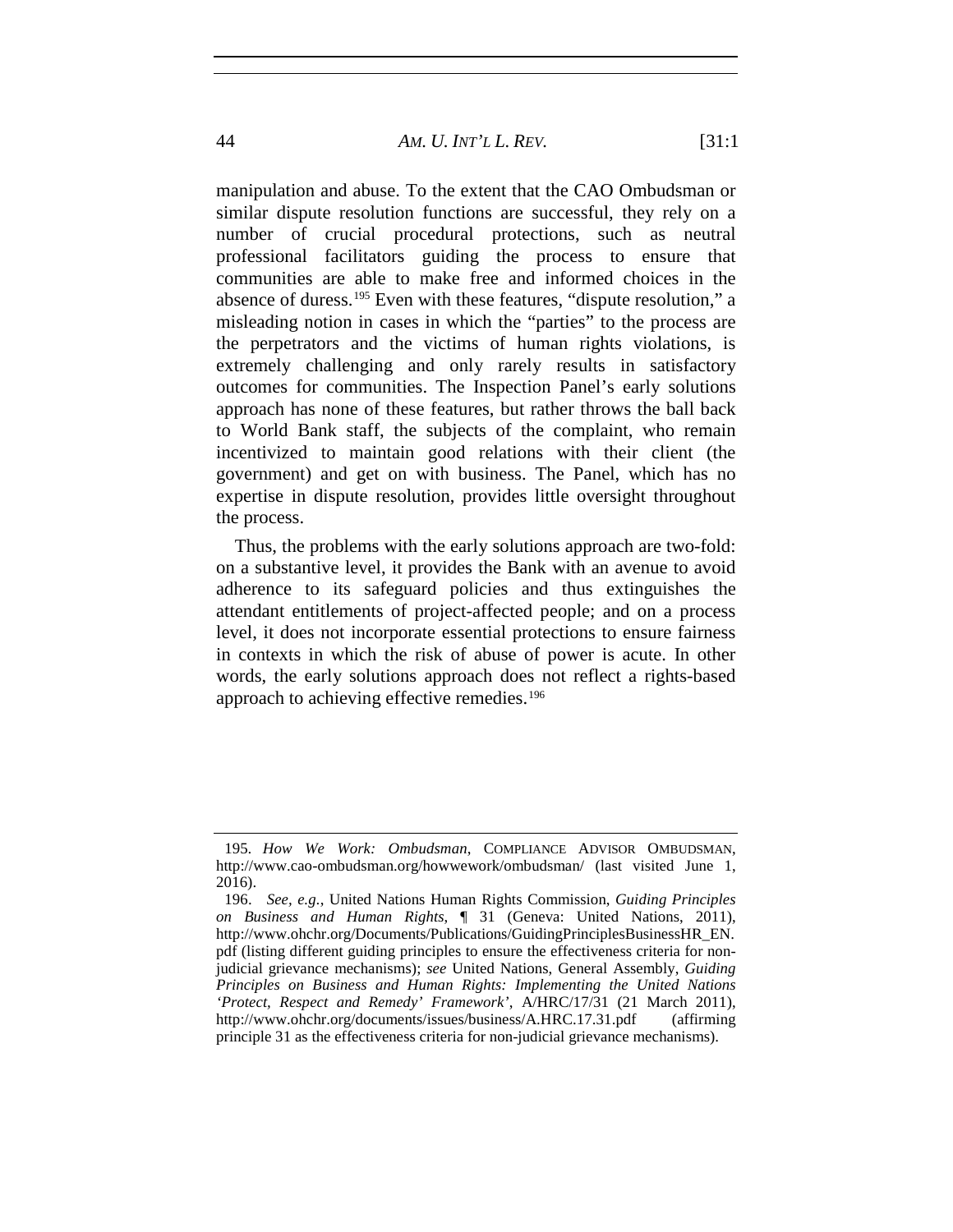### 44 *AM. U. INT'L L. REV.* [31:1

manipulation and abuse. To the extent that the CAO Ombudsman or similar dispute resolution functions are successful, they rely on a number of crucial procedural protections, such as neutral professional facilitators guiding the process to ensure that communities are able to make free and informed choices in the absence of duress.[195](#page-43-0) Even with these features, "dispute resolution," a misleading notion in cases in which the "parties" to the process are the perpetrators and the victims of human rights violations, is extremely challenging and only rarely results in satisfactory outcomes for communities. The Inspection Panel's early solutions approach has none of these features, but rather throws the ball back to World Bank staff, the subjects of the complaint, who remain incentivized to maintain good relations with their client (the government) and get on with business. The Panel, which has no expertise in dispute resolution, provides little oversight throughout the process.

Thus, the problems with the early solutions approach are two-fold: on a substantive level, it provides the Bank with an avenue to avoid adherence to its safeguard policies and thus extinguishes the attendant entitlements of project-affected people; and on a process level, it does not incorporate essential protections to ensure fairness in contexts in which the risk of abuse of power is acute. In other words, the early solutions approach does not reflect a rights-based approach to achieving effective remedies.[196](#page-43-1)

<span id="page-43-0"></span><sup>195</sup>*. How We Work: Ombudsman*, COMPLIANCE ADVISOR OMBUDSMAN, http://www.cao-ombudsman.org/howwework/ombudsman/ (last visited June 1, 2016).

<span id="page-43-1"></span><sup>196.</sup> *See, e.g.*, United Nations Human Rights Commission, *Guiding Principles on Business and Human Rights*, ¶ 31 (Geneva: United Nations, 2011), http://www.ohchr.org/Documents/Publications/GuidingPrinciplesBusinessHR\_EN. pdf (listing different guiding principles to ensure the effectiveness criteria for nonjudicial grievance mechanisms); *see* United Nations, General Assembly, *Guiding Principles on Business and Human Rights: Implementing the United Nations 'Protect, Respect and Remedy' Framework'*, A/HRC/17/31 (21 March 2011), http://www.ohchr.org/documents/issues/business/A.HRC.17.31.pdf (affirming principle 31 as the effectiveness criteria for non-judicial grievance mechanisms).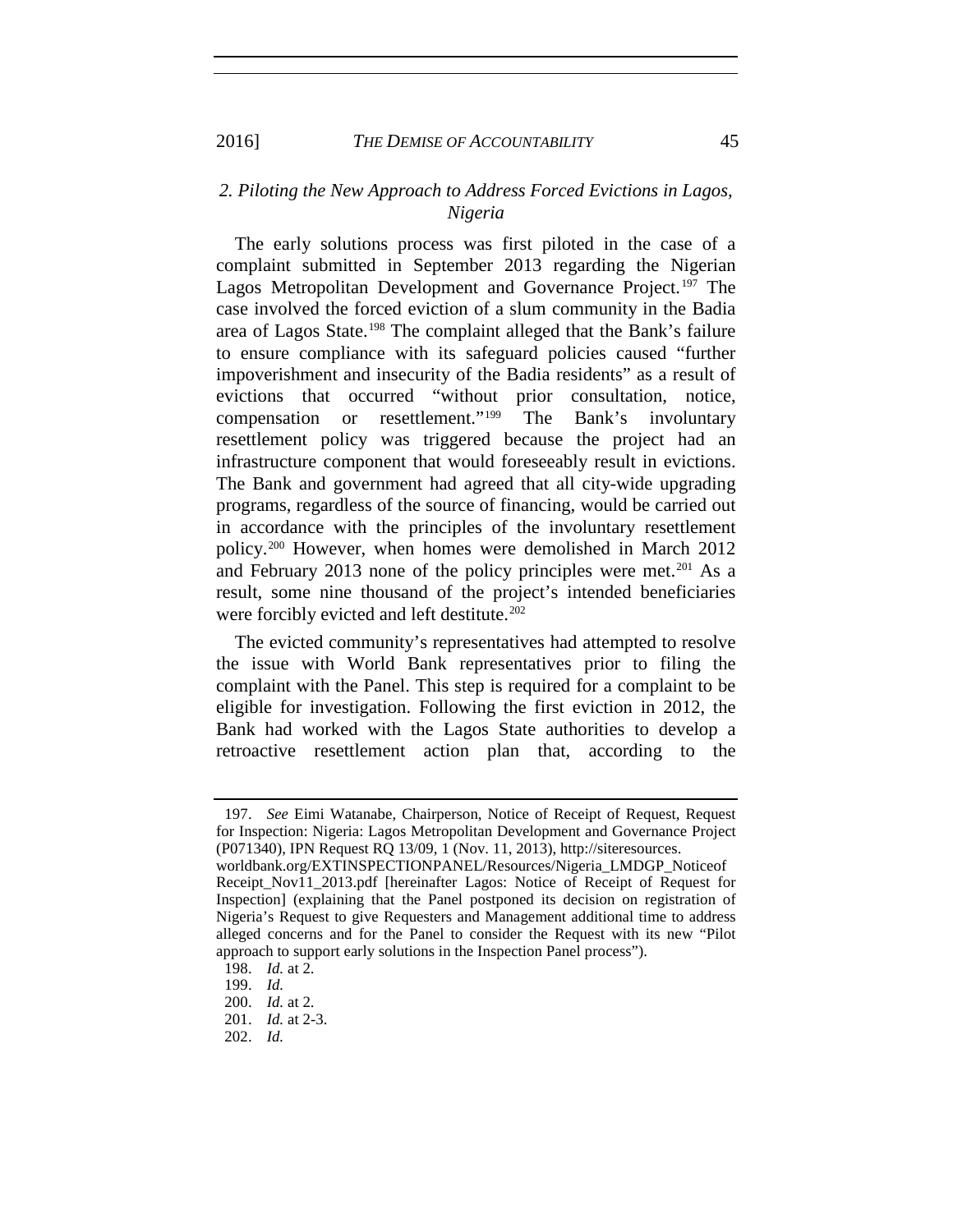2016] *THE DEMISE OF ACCOUNTABILITY* 45

## *2. Piloting the New Approach to Address Forced Evictions in Lagos, Nigeria*

The early solutions process was first piloted in the case of a complaint submitted in September 2013 regarding the Nigerian Lagos Metropolitan Development and Governance Project.<sup>[197](#page-44-0)</sup> The case involved the forced eviction of a slum community in the Badia area of Lagos State.[198](#page-44-1) The complaint alleged that the Bank's failure to ensure compliance with its safeguard policies caused "further impoverishment and insecurity of the Badia residents" as a result of evictions that occurred "without prior consultation, notice, compensation or resettlement."[199](#page-44-2) The Bank's involuntary resettlement policy was triggered because the project had an infrastructure component that would foreseeably result in evictions. The Bank and government had agreed that all city-wide upgrading programs, regardless of the source of financing, would be carried out in accordance with the principles of the involuntary resettlement policy.[200](#page-44-3) However, when homes were demolished in March 2012 and February [201](#page-44-4)3 none of the policy principles were met.<sup>201</sup> As a result, some nine thousand of the project's intended beneficiaries were forcibly evicted and left destitute.<sup>[202](#page-44-5)</sup>

The evicted community's representatives had attempted to resolve the issue with World Bank representatives prior to filing the complaint with the Panel. This step is required for a complaint to be eligible for investigation. Following the first eviction in 2012, the Bank had worked with the Lagos State authorities to develop a retroactive resettlement action plan that, according to the

<span id="page-44-0"></span><sup>197.</sup> *See* Eimi Watanabe, Chairperson, Notice of Receipt of Request, Request for Inspection: Nigeria: Lagos Metropolitan Development and Governance Project (P071340), IPN Request RQ 13/09, 1 (Nov. 11, 2013), http://siteresources.

worldbank.org/EXTINSPECTIONPANEL/Resources/Nigeria\_LMDGP\_Noticeof Receipt Nov11 2013.pdf [hereinafter Lagos: Notice of Receipt of Request for Inspection] (explaining that the Panel postponed its decision on registration of Nigeria's Request to give Requesters and Management additional time to address alleged concerns and for the Panel to consider the Request with its new "Pilot approach to support early solutions in the Inspection Panel process").

<span id="page-44-1"></span><sup>198.</sup> *Id.* at 2.

<span id="page-44-2"></span><sup>199.</sup> *Id.*

<span id="page-44-3"></span><sup>200.</sup> *Id.* at 2.

<span id="page-44-4"></span><sup>201.</sup> *Id.* at 2-3.

<span id="page-44-5"></span><sup>202.</sup> *Id.*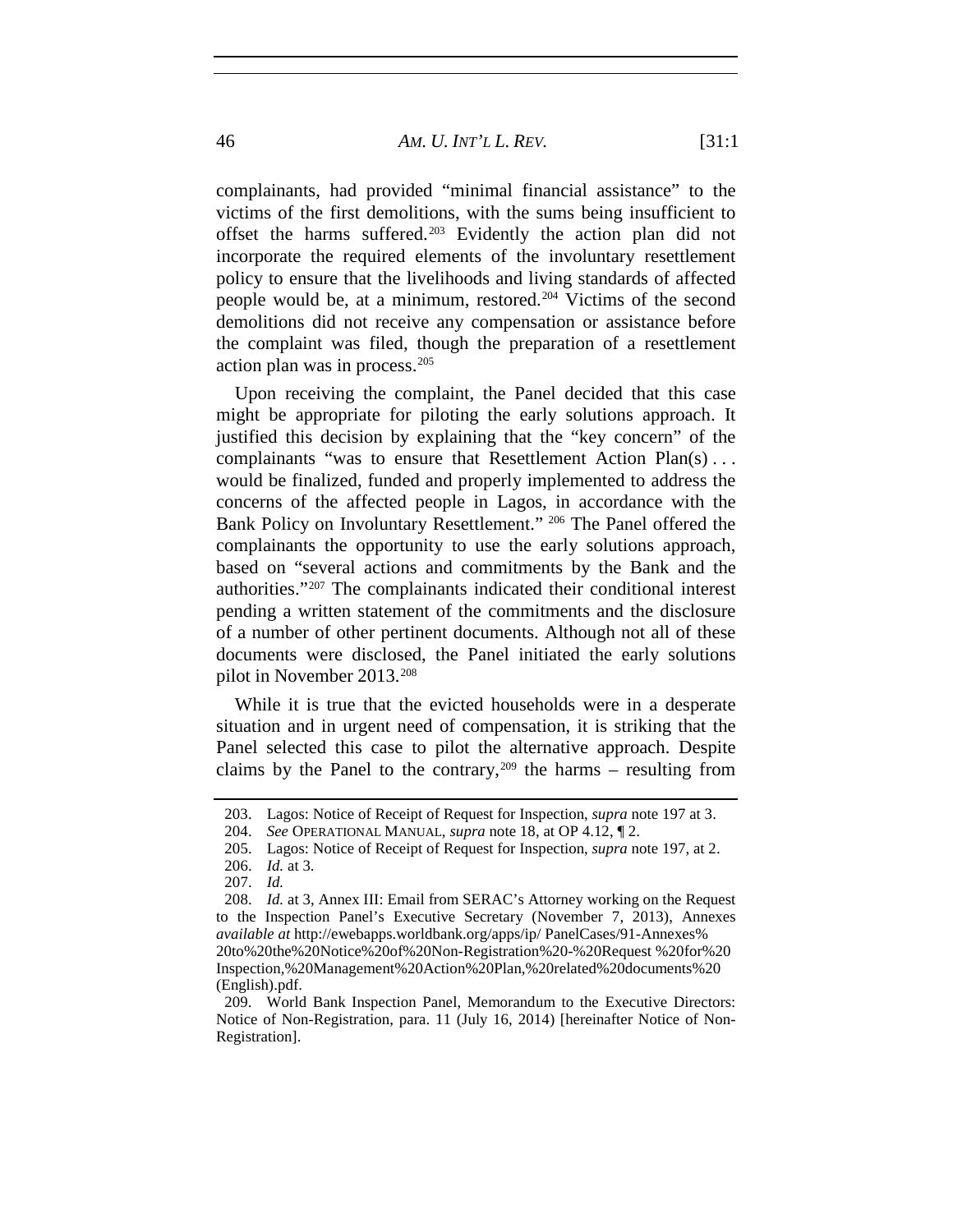complainants, had provided "minimal financial assistance" to the victims of the first demolitions, with the sums being insufficient to offset the harms suffered.[203](#page-45-0) Evidently the action plan did not incorporate the required elements of the involuntary resettlement policy to ensure that the livelihoods and living standards of affected people would be, at a minimum, restored.[204](#page-45-1) Victims of the second demolitions did not receive any compensation or assistance before the complaint was filed, though the preparation of a resettlement action plan was in process.[205](#page-45-2)

Upon receiving the complaint, the Panel decided that this case might be appropriate for piloting the early solutions approach. It justified this decision by explaining that the "key concern" of the complainants "was to ensure that Resettlement Action Plan(s) . . . would be finalized, funded and properly implemented to address the concerns of the affected people in Lagos, in accordance with the Bank Policy on Involuntary Resettlement." [206](#page-45-3) The Panel offered the complainants the opportunity to use the early solutions approach, based on "several actions and commitments by the Bank and the authorities."[207](#page-45-4) The complainants indicated their conditional interest pending a written statement of the commitments and the disclosure of a number of other pertinent documents. Although not all of these documents were disclosed, the Panel initiated the early solutions pilot in November 2013.[208](#page-45-5)

While it is true that the evicted households were in a desperate situation and in urgent need of compensation, it is striking that the Panel selected this case to pilot the alternative approach. Despite claims by the Panel to the contrary,  $209$  the harms – resulting from

<span id="page-45-7"></span><span id="page-45-0"></span><sup>203.</sup> Lagos: Notice of Receipt of Request for Inspection, *supra* note 197 at 3.

<span id="page-45-1"></span><sup>204.</sup> *See* OPERATIONAL MANUAL, *supra* note 18, at OP 4.12, ¶ 2.

<sup>205.</sup> Lagos: Notice of Receipt of Request for Inspection, *supra* note 197, at 2.

<sup>206.</sup> *Id.* at 3.

<sup>207.</sup> *Id.*

<span id="page-45-5"></span><span id="page-45-4"></span><span id="page-45-3"></span><span id="page-45-2"></span><sup>208.</sup> *Id.* at 3, Annex III: Email from SERAC's Attorney working on the Request to the Inspection Panel's Executive Secretary (November 7, 2013), Annexes *available at* http://ewebapps.worldbank.org/apps/ip/ PanelCases/91-Annexes% 20to%20the%20Notice%20of%20Non-Registration%20-%20Request %20for%20 Inspection,%20Management%20Action%20Plan,%20related%20documents%20 (English).pdf.

<span id="page-45-6"></span><sup>209.</sup> World Bank Inspection Panel, Memorandum to the Executive Directors: Notice of Non-Registration, para. 11 (July 16, 2014) [hereinafter Notice of Non-Registration].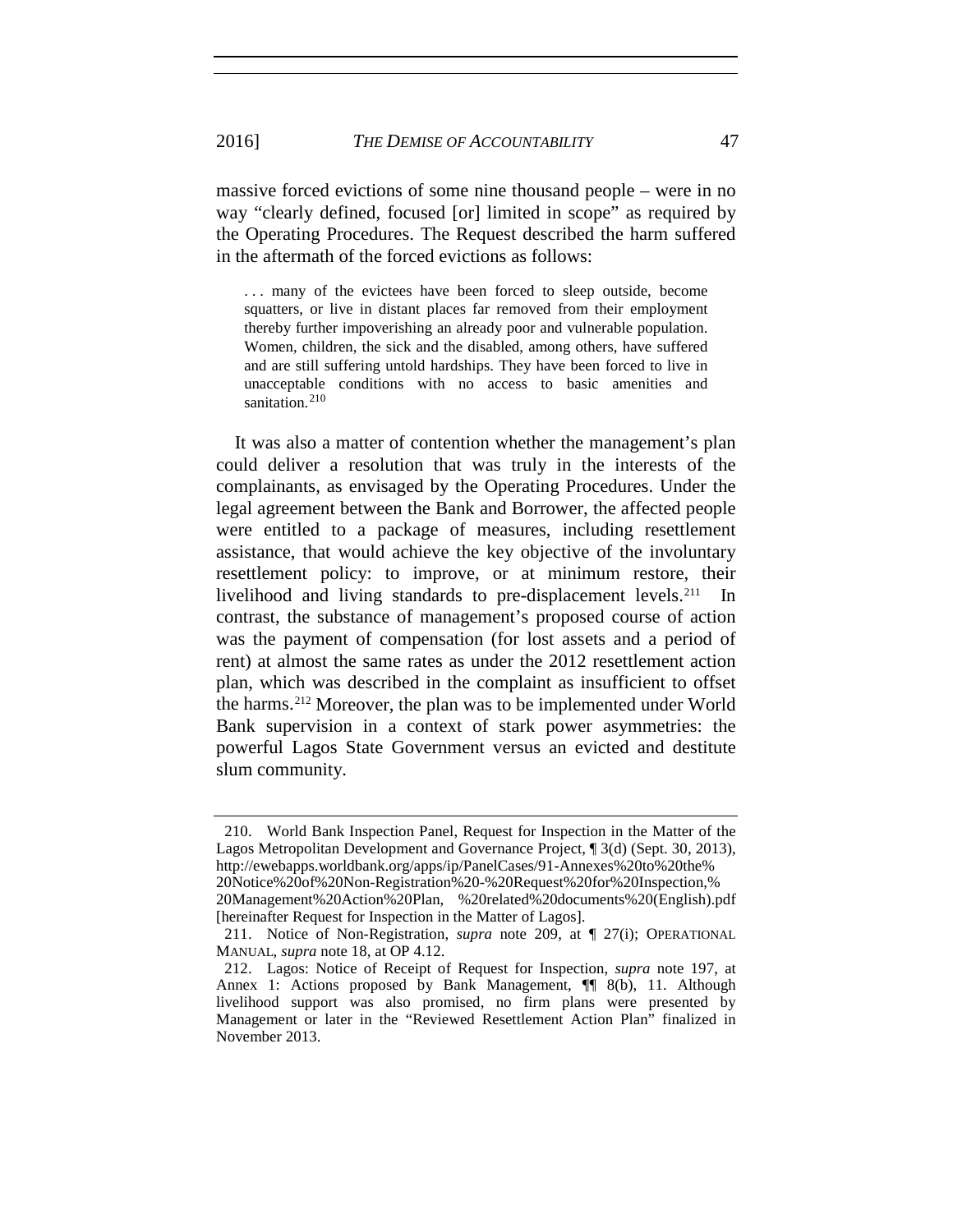massive forced evictions of some nine thousand people – were in no way "clearly defined, focused [or] limited in scope" as required by the Operating Procedures. The Request described the harm suffered in the aftermath of the forced evictions as follows:

... many of the evictees have been forced to sleep outside, become squatters, or live in distant places far removed from their employment thereby further impoverishing an already poor and vulnerable population. Women, children, the sick and the disabled, among others, have suffered and are still suffering untold hardships. They have been forced to live in unacceptable conditions with no access to basic amenities and sanitation.<sup>[210](#page-46-0)</sup>

It was also a matter of contention whether the management's plan could deliver a resolution that was truly in the interests of the complainants, as envisaged by the Operating Procedures. Under the legal agreement between the Bank and Borrower, the affected people were entitled to a package of measures, including resettlement assistance, that would achieve the key objective of the involuntary resettlement policy: to improve, or at minimum restore, their livelihood and living standards to pre-displacement levels.<sup>[211](#page-46-1)</sup> contrast, the substance of management's proposed course of action was the payment of compensation (for lost assets and a period of rent) at almost the same rates as under the 2012 resettlement action plan, which was described in the complaint as insufficient to offset the harms.[212](#page-46-2) Moreover, the plan was to be implemented under World Bank supervision in a context of stark power asymmetries: the powerful Lagos State Government versus an evicted and destitute slum community.

<span id="page-46-0"></span><sup>210.</sup> World Bank Inspection Panel, Request for Inspection in the Matter of the Lagos Metropolitan Development and Governance Project, ¶ 3(d) (Sept. 30, 2013), http://ewebapps.worldbank.org/apps/ip/PanelCases/91-Annexes%20to%20the%

<sup>20</sup>Notice%20of%20Non-Registration%20-%20Request%20for%20Inspection,% 20Management%20Action%20Plan, %20related%20documents%20(English).pdf [hereinafter Request for Inspection in the Matter of Lagos].

<span id="page-46-1"></span><sup>211.</sup> Notice of Non-Registration, *supra* note 209, at ¶ 27(i); OPERATIONAL MANUAL, *supra* note 18, at OP 4.12.

<span id="page-46-2"></span><sup>212.</sup> Lagos: Notice of Receipt of Request for Inspection, *supra* note 197, at Annex 1: Actions proposed by Bank Management,  $\P$  8(b), 11. Although livelihood support was also promised, no firm plans were presented by Management or later in the "Reviewed Resettlement Action Plan" finalized in November 2013.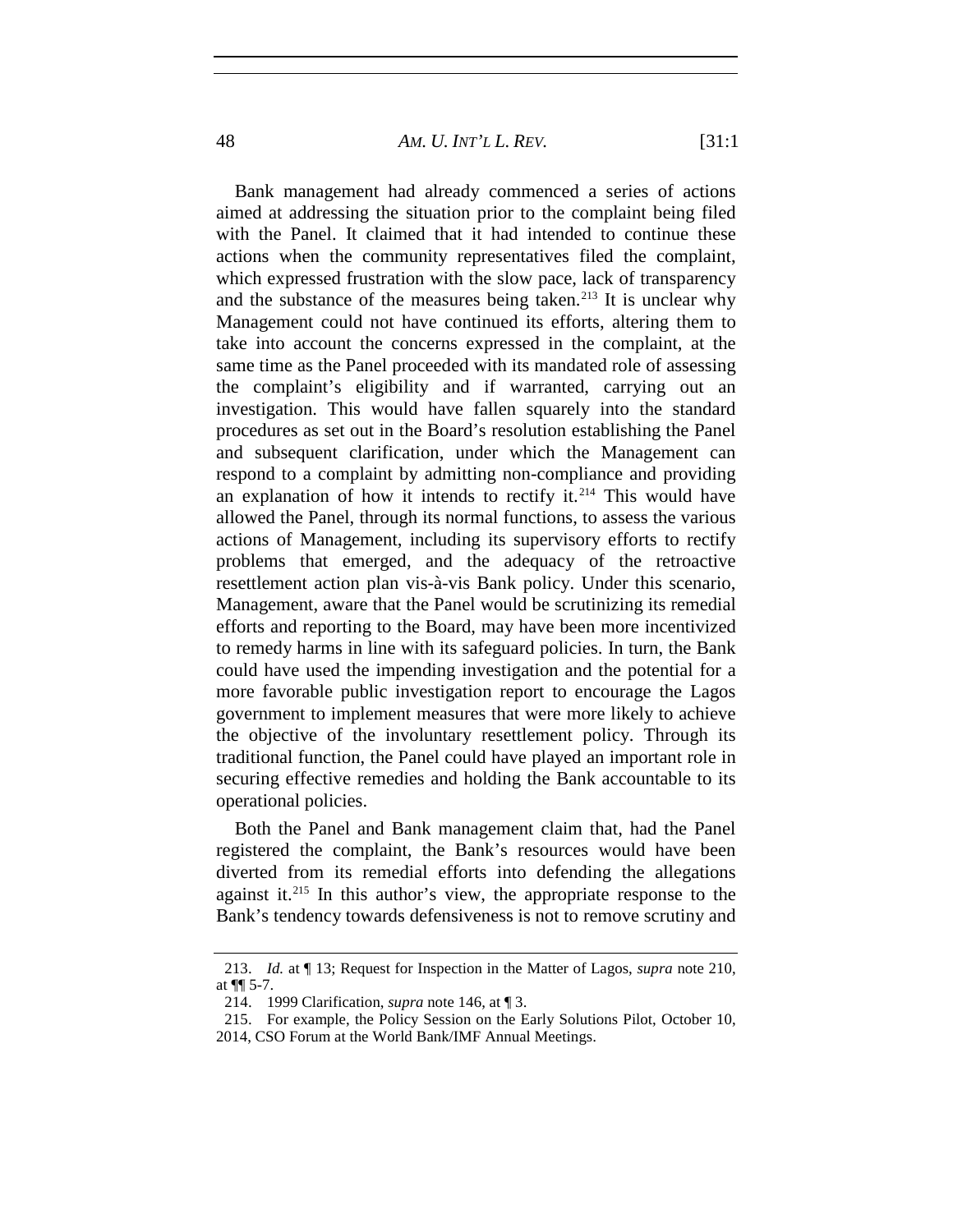48 *AM. U. INT'L L. REV.* [31:1

Bank management had already commenced a series of actions aimed at addressing the situation prior to the complaint being filed with the Panel. It claimed that it had intended to continue these actions when the community representatives filed the complaint, which expressed frustration with the slow pace, lack of transparency and the substance of the measures being taken.<sup>[213](#page-47-0)</sup> It is unclear why Management could not have continued its efforts, altering them to take into account the concerns expressed in the complaint, at the same time as the Panel proceeded with its mandated role of assessing the complaint's eligibility and if warranted, carrying out an investigation. This would have fallen squarely into the standard procedures as set out in the Board's resolution establishing the Panel and subsequent clarification, under which the Management can respond to a complaint by admitting non-compliance and providing an explanation of how it intends to rectify it. $214$  This would have allowed the Panel, through its normal functions, to assess the various actions of Management, including its supervisory efforts to rectify problems that emerged, and the adequacy of the retroactive resettlement action plan vis-à-vis Bank policy. Under this scenario, Management, aware that the Panel would be scrutinizing its remedial efforts and reporting to the Board, may have been more incentivized to remedy harms in line with its safeguard policies. In turn, the Bank could have used the impending investigation and the potential for a more favorable public investigation report to encourage the Lagos government to implement measures that were more likely to achieve the objective of the involuntary resettlement policy. Through its traditional function, the Panel could have played an important role in securing effective remedies and holding the Bank accountable to its operational policies.

Both the Panel and Bank management claim that, had the Panel registered the complaint, the Bank's resources would have been diverted from its remedial efforts into defending the allegations against it.[215](#page-47-2) In this author's view, the appropriate response to the Bank's tendency towards defensiveness is not to remove scrutiny and

<span id="page-47-1"></span><span id="page-47-0"></span><sup>213.</sup> *Id.* at ¶ 13; Request for Inspection in the Matter of Lagos, *supra* note 210, at ¶¶ 5-7.

<sup>214.</sup> 1999 Clarification, *supra* note 146, at ¶ 3.

<sup>215.</sup> For example, the Policy Session on the Early Solutions Pilot, October 10,

<span id="page-47-2"></span><sup>2014,</sup> CSO Forum at the World Bank/IMF Annual Meetings.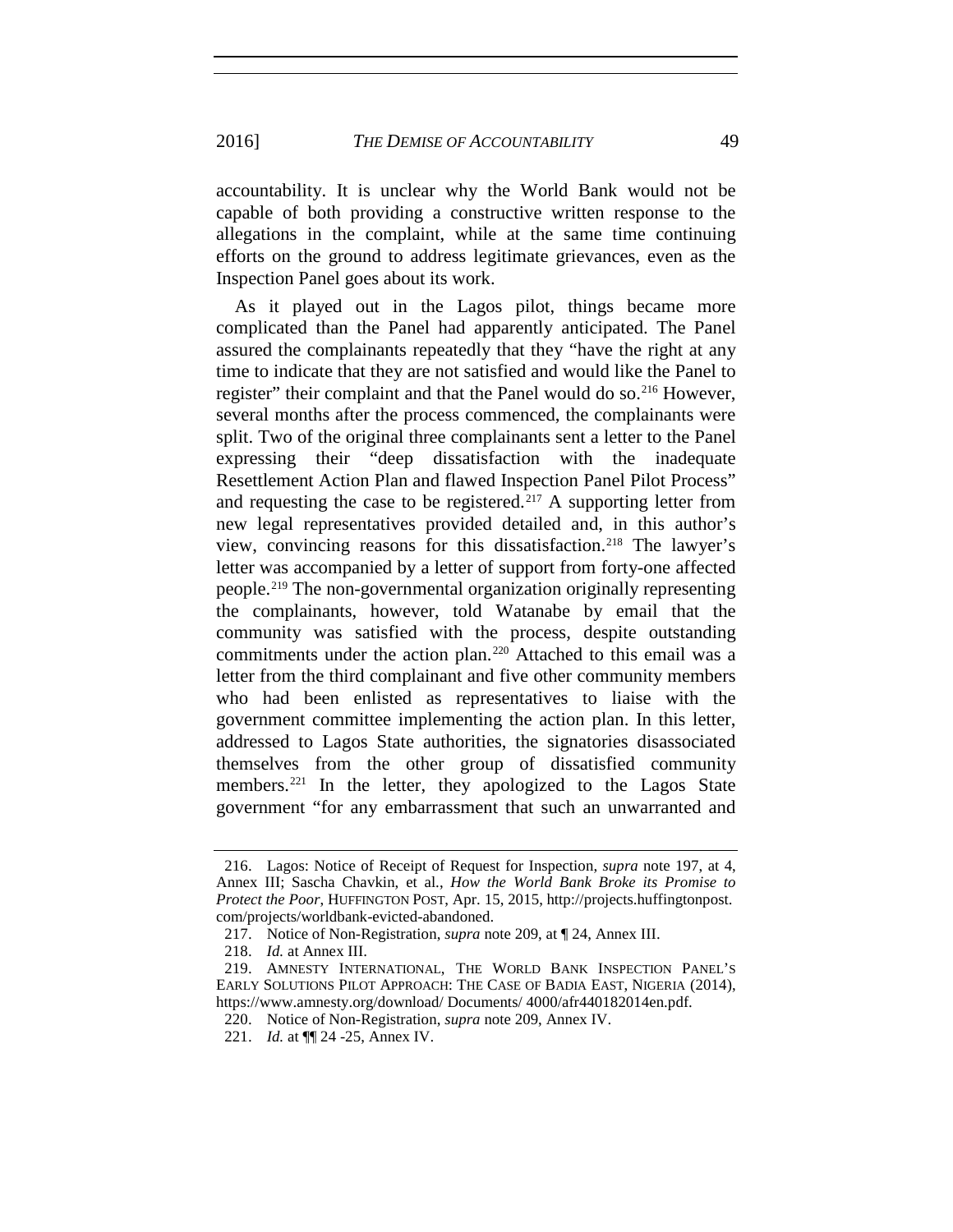2016] *THE DEMISE OF ACCOUNTABILITY* 49

accountability. It is unclear why the World Bank would not be capable of both providing a constructive written response to the allegations in the complaint, while at the same time continuing efforts on the ground to address legitimate grievances, even as the Inspection Panel goes about its work.

As it played out in the Lagos pilot, things became more complicated than the Panel had apparently anticipated. The Panel assured the complainants repeatedly that they "have the right at any time to indicate that they are not satisfied and would like the Panel to register" their complaint and that the Panel would do so.<sup>[216](#page-48-0)</sup> However, several months after the process commenced, the complainants were split. Two of the original three complainants sent a letter to the Panel expressing their "deep dissatisfaction with the inadequate Resettlement Action Plan and flawed Inspection Panel Pilot Process" and requesting the case to be registered.<sup>[217](#page-48-1)</sup> A supporting letter from new legal representatives provided detailed and, in this author's view, convincing reasons for this dissatisfaction.[218](#page-48-2) The lawyer's letter was accompanied by a letter of support from forty-one affected people.[219](#page-48-3) The non-governmental organization originally representing the complainants, however, told Watanabe by email that the community was satisfied with the process, despite outstanding commitments under the action plan.<sup>[220](#page-48-4)</sup> Attached to this email was a letter from the third complainant and five other community members who had been enlisted as representatives to liaise with the government committee implementing the action plan. In this letter, addressed to Lagos State authorities, the signatories disassociated themselves from the other group of dissatisfied community members.<sup>[221](#page-48-5)</sup> In the letter, they apologized to the Lagos State government "for any embarrassment that such an unwarranted and

<span id="page-48-0"></span><sup>216.</sup> Lagos: Notice of Receipt of Request for Inspection, *supra* note 197, at 4, Annex III; Sascha Chavkin, et al., *How the World Bank Broke its Promise to Protect the Poor*, HUFFINGTON POST, Apr. 15, 2015, http://projects.huffingtonpost. com/projects/worldbank-evicted-abandoned.

<sup>217.</sup> Notice of Non-Registration, *supra* note 209, at ¶ 24, Annex III.

<sup>218.</sup> *Id.* at Annex III.

<span id="page-48-4"></span><span id="page-48-3"></span><span id="page-48-2"></span><span id="page-48-1"></span><sup>219.</sup> AMNESTY INTERNATIONAL, THE WORLD BANK INSPECTION PANEL'S EARLY SOLUTIONS PILOT APPROACH: THE CASE OF BADIA EAST, NIGERIA (2014), https://www.amnesty.org/download/ Documents/ 4000/afr440182014en.pdf.

<sup>220.</sup> Notice of Non-Registration, *supra* note [209,](#page-45-7) Annex IV.

<span id="page-48-5"></span><sup>221.</sup> *Id.* at ¶¶ 24 -25, Annex IV.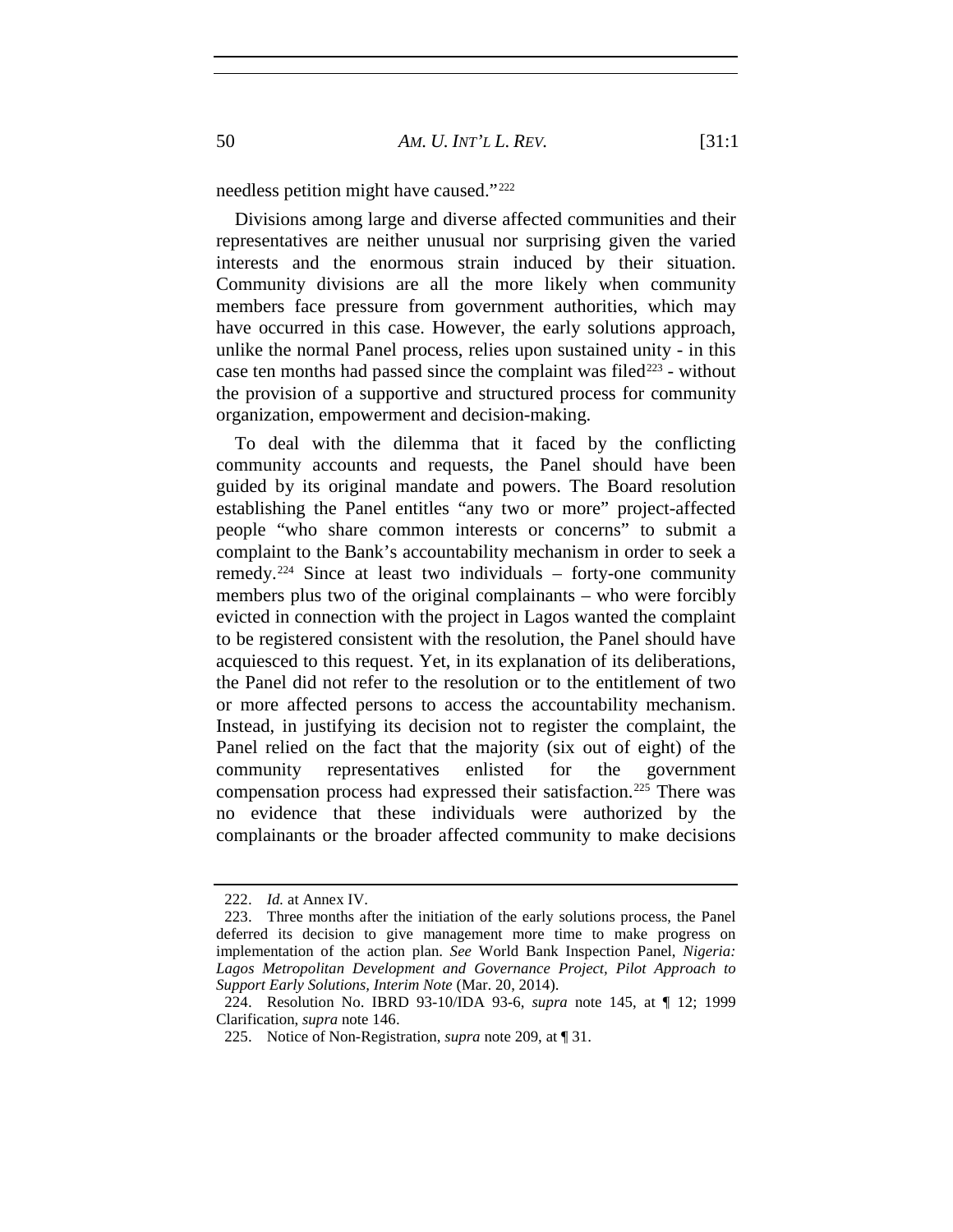needless petition might have caused."[222](#page-49-0)

Divisions among large and diverse affected communities and their representatives are neither unusual nor surprising given the varied interests and the enormous strain induced by their situation. Community divisions are all the more likely when community members face pressure from government authorities, which may have occurred in this case. However, the early solutions approach, unlike the normal Panel process, relies upon sustained unity - in this case ten months had passed since the complaint was filed<sup> $223$ </sup> - without the provision of a supportive and structured process for community organization, empowerment and decision-making.

To deal with the dilemma that it faced by the conflicting community accounts and requests, the Panel should have been guided by its original mandate and powers. The Board resolution establishing the Panel entitles "any two or more" project-affected people "who share common interests or concerns" to submit a complaint to the Bank's accountability mechanism in order to seek a remedy.<sup>[224](#page-49-2)</sup> Since at least two individuals – forty-one community members plus two of the original complainants – who were forcibly evicted in connection with the project in Lagos wanted the complaint to be registered consistent with the resolution, the Panel should have acquiesced to this request. Yet, in its explanation of its deliberations, the Panel did not refer to the resolution or to the entitlement of two or more affected persons to access the accountability mechanism. Instead, in justifying its decision not to register the complaint, the Panel relied on the fact that the majority (six out of eight) of the community representatives enlisted for the government compensation process had expressed their satisfaction.<sup>[225](#page-49-3)</sup> There was no evidence that these individuals were authorized by the complainants or the broader affected community to make decisions

<sup>222.</sup> *Id.* at Annex IV.

<span id="page-49-1"></span><span id="page-49-0"></span><sup>223.</sup> Three months after the initiation of the early solutions process, the Panel deferred its decision to give management more time to make progress on implementation of the action plan. *See* World Bank Inspection Panel, *Nigeria: Lagos Metropolitan Development and Governance Project, Pilot Approach to Support Early Solutions, Interim Note* (Mar. 20, 2014).

<span id="page-49-3"></span><span id="page-49-2"></span><sup>224.</sup> Resolution No. IBRD 93-10/IDA 93-6, *supra* note 145, at ¶ 12; 1999 Clarification, *supra* note 146.

<sup>225.</sup> Notice of Non-Registration, *supra* note 209, at ¶ 31.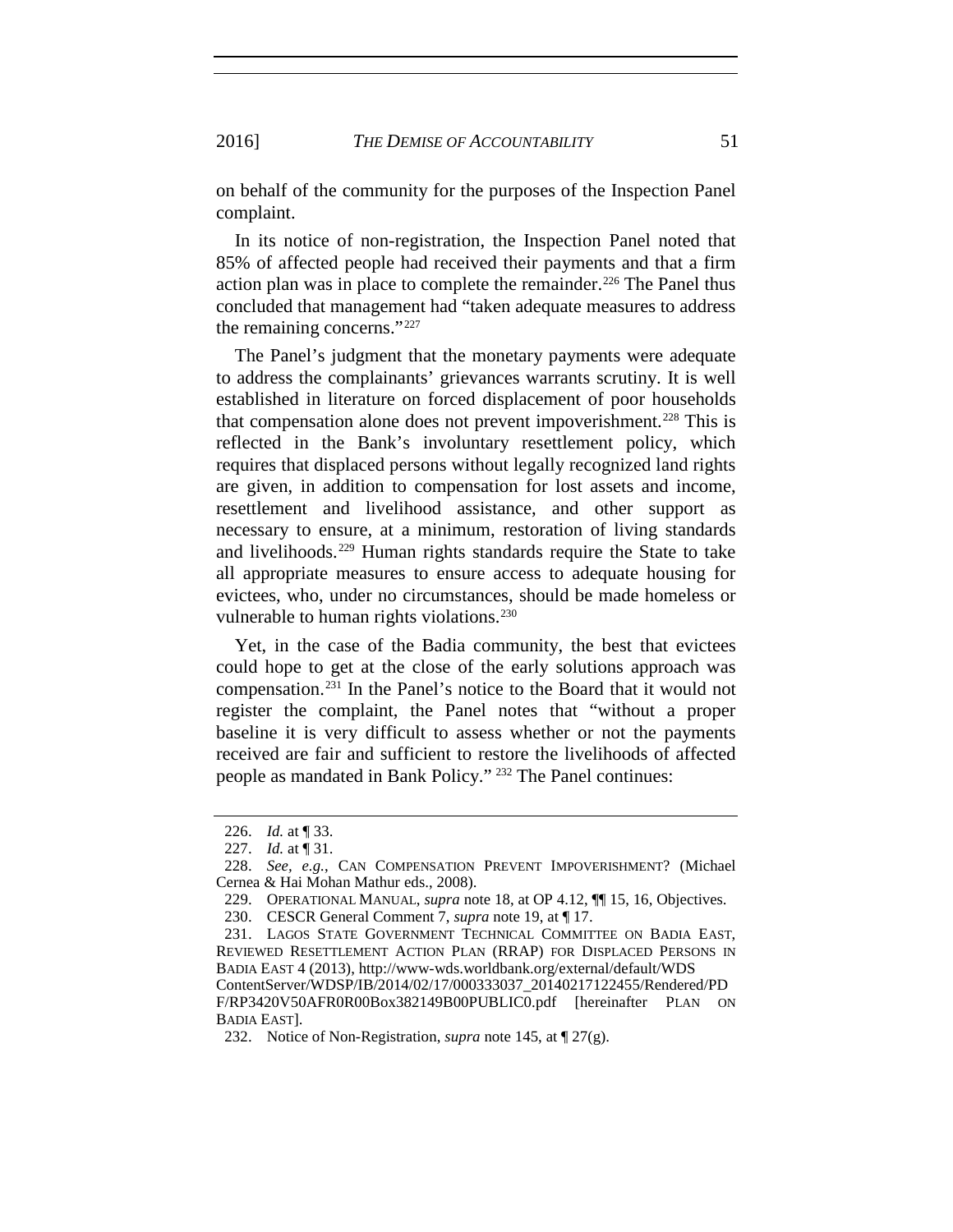on behalf of the community for the purposes of the Inspection Panel complaint.

In its notice of non-registration, the Inspection Panel noted that 85% of affected people had received their payments and that a firm action plan was in place to complete the remainder.<sup>[226](#page-50-0)</sup> The Panel thus concluded that management had "taken adequate measures to address the remaining concerns."[227](#page-50-1)

The Panel's judgment that the monetary payments were adequate to address the complainants' grievances warrants scrutiny. It is well established in literature on forced displacement of poor households that compensation alone does not prevent impoverishment.<sup>[228](#page-50-2)</sup> This is reflected in the Bank's involuntary resettlement policy, which requires that displaced persons without legally recognized land rights are given, in addition to compensation for lost assets and income, resettlement and livelihood assistance, and other support as necessary to ensure, at a minimum, restoration of living standards and livelihoods.[229](#page-50-3) Human rights standards require the State to take all appropriate measures to ensure access to adequate housing for evictees, who, under no circumstances, should be made homeless or vulnerable to human rights violations.<sup>[230](#page-50-4)</sup>

Yet, in the case of the Badia community, the best that evictees could hope to get at the close of the early solutions approach was compensation.[231](#page-50-5) In the Panel's notice to the Board that it would not register the complaint, the Panel notes that "without a proper baseline it is very difficult to assess whether or not the payments received are fair and sufficient to restore the livelihoods of affected people as mandated in Bank Policy." [232](#page-50-6) The Panel continues:

<sup>226.</sup> *Id.* at ¶ 33.

<sup>227.</sup> *Id.* at ¶ 31.

<span id="page-50-3"></span><span id="page-50-2"></span><span id="page-50-1"></span><span id="page-50-0"></span><sup>228.</sup> *See, e.g.*, CAN COMPENSATION PREVENT IMPOVERISHMENT? (Michael Cernea & Hai Mohan Mathur eds., 2008).

<sup>229.</sup> OPERATIONAL MANUAL, *supra* note 18, at OP 4.12, ¶¶ 15, 16, Objectives.

<sup>230.</sup> CESCR General Comment 7, *supra* note 19, at ¶ 17.

<span id="page-50-5"></span><span id="page-50-4"></span><sup>231.</sup> LAGOS STATE GOVERNMENT TECHNICAL COMMITTEE ON BADIA EAST, REVIEWED RESETTLEMENT ACTION PLAN (RRAP) FOR DISPLACED PERSONS IN BADIA EAST 4 (2013), http://www-wds.worldbank.org/external/default/WDS ContentServer/WDSP/IB/2014/02/17/000333037\_20140217122455/Rendered/PD F/RP3420V50AFR0R00Box382149B00PUBLIC0.pdf [hereinafter PLAN ON BADIA EAST].

<span id="page-50-6"></span><sup>232.</sup> Notice of Non-Registration, *supra* note 145, at ¶ 27(g).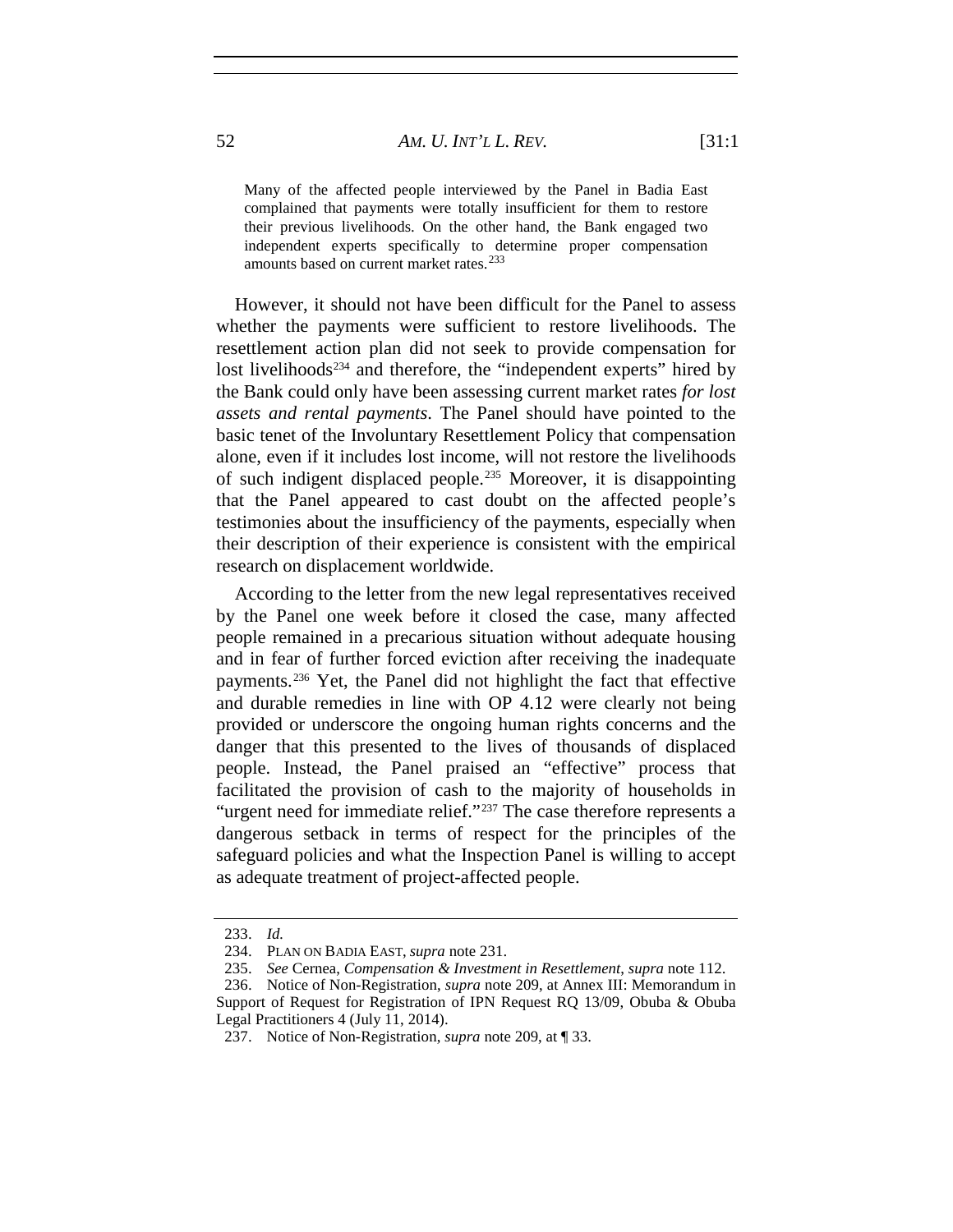Many of the affected people interviewed by the Panel in Badia East complained that payments were totally insufficient for them to restore their previous livelihoods. On the other hand, the Bank engaged two independent experts specifically to determine proper compensation amounts based on current market rates.<sup>[233](#page-51-0)</sup>

However, it should not have been difficult for the Panel to assess whether the payments were sufficient to restore livelihoods. The resettlement action plan did not seek to provide compensation for lost livelihoods<sup>[234](#page-51-1)</sup> and therefore, the "independent experts" hired by the Bank could only have been assessing current market rates *for lost assets and rental payments*. The Panel should have pointed to the basic tenet of the Involuntary Resettlement Policy that compensation alone, even if it includes lost income, will not restore the livelihoods of such indigent displaced people.[235](#page-51-2) Moreover, it is disappointing that the Panel appeared to cast doubt on the affected people's testimonies about the insufficiency of the payments, especially when their description of their experience is consistent with the empirical research on displacement worldwide.

According to the letter from the new legal representatives received by the Panel one week before it closed the case, many affected people remained in a precarious situation without adequate housing and in fear of further forced eviction after receiving the inadequate payments.[236](#page-51-3) Yet, the Panel did not highlight the fact that effective and durable remedies in line with OP 4.12 were clearly not being provided or underscore the ongoing human rights concerns and the danger that this presented to the lives of thousands of displaced people. Instead, the Panel praised an "effective" process that facilitated the provision of cash to the majority of households in "urgent need for immediate relief."<sup>[237](#page-51-4)</sup> The case therefore represents a dangerous setback in terms of respect for the principles of the safeguard policies and what the Inspection Panel is willing to accept as adequate treatment of project-affected people.

<sup>233.</sup> *Id.*

<sup>234.</sup> PLAN ON BADIA EAST, *supra* note 231.

<sup>235.</sup> *See* Cernea, *Compensation & Investment in Resettlement*, *supra* note 112.

<span id="page-51-4"></span><span id="page-51-3"></span><span id="page-51-2"></span><span id="page-51-1"></span><span id="page-51-0"></span><sup>236.</sup> Notice of Non-Registration, *supra* note 209, at Annex III: Memorandum in Support of Request for Registration of IPN Request RQ 13/09, Obuba & Obuba Legal Practitioners 4 (July 11, 2014).

<sup>237.</sup> Notice of Non-Registration, *supra* note 209, at ¶ 33.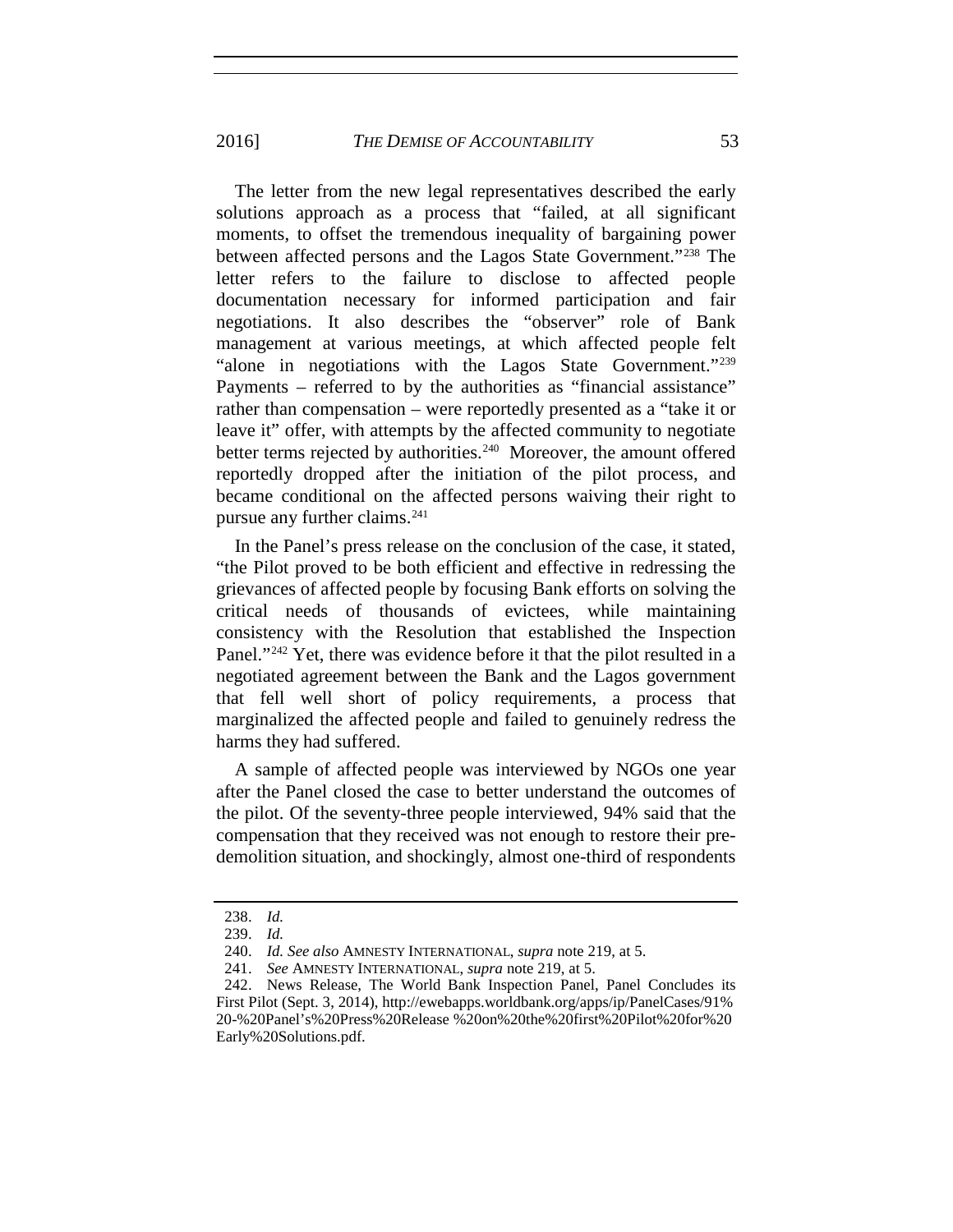2016] *THE DEMISE OF ACCOUNTABILITY* 53

The letter from the new legal representatives described the early solutions approach as a process that "failed, at all significant moments, to offset the tremendous inequality of bargaining power between affected persons and the Lagos State Government."<sup>[238](#page-52-0)</sup> The letter refers to the failure to disclose to affected people documentation necessary for informed participation and fair negotiations. It also describes the "observer" role of Bank management at various meetings, at which affected people felt "alone in negotiations with the Lagos State Government."<sup>[239](#page-52-1)</sup> Payments – referred to by the authorities as "financial assistance" rather than compensation – were reportedly presented as a "take it or leave it" offer, with attempts by the affected community to negotiate better terms rejected by authorities.<sup>240</sup> Moreover, the amount offered reportedly dropped after the initiation of the pilot process, and became conditional on the affected persons waiving their right to pursue any further claims.[241](#page-52-3)

In the Panel's press release on the conclusion of the case, it stated, "the Pilot proved to be both efficient and effective in redressing the grievances of affected people by focusing Bank efforts on solving the critical needs of thousands of evictees, while maintaining consistency with the Resolution that established the Inspection Panel."<sup>[242](#page-52-4)</sup> Yet, there was evidence before it that the pilot resulted in a negotiated agreement between the Bank and the Lagos government that fell well short of policy requirements, a process that marginalized the affected people and failed to genuinely redress the harms they had suffered.

A sample of affected people was interviewed by NGOs one year after the Panel closed the case to better understand the outcomes of the pilot. Of the seventy-three people interviewed, 94% said that the compensation that they received was not enough to restore their predemolition situation, and shockingly, almost one-third of respondents

<span id="page-52-0"></span><sup>238.</sup> *Id.*

<sup>239.</sup> *Id.*

<sup>240.</sup> *Id. See also* AMNESTY INTERNATIONAL, *supra* note 219, at 5.

<sup>241.</sup> *See* AMNESTY INTERNATIONAL, *supra* note 219, at 5.

<span id="page-52-4"></span><span id="page-52-3"></span><span id="page-52-2"></span><span id="page-52-1"></span><sup>242.</sup> News Release, The World Bank Inspection Panel, Panel Concludes its First Pilot (Sept. 3, 2014), http://ewebapps.worldbank.org/apps/ip/PanelCases/91% 20-%20Panel's%20Press%20Release %20on%20the%20first%20Pilot%20for%20 Early%20Solutions.pdf.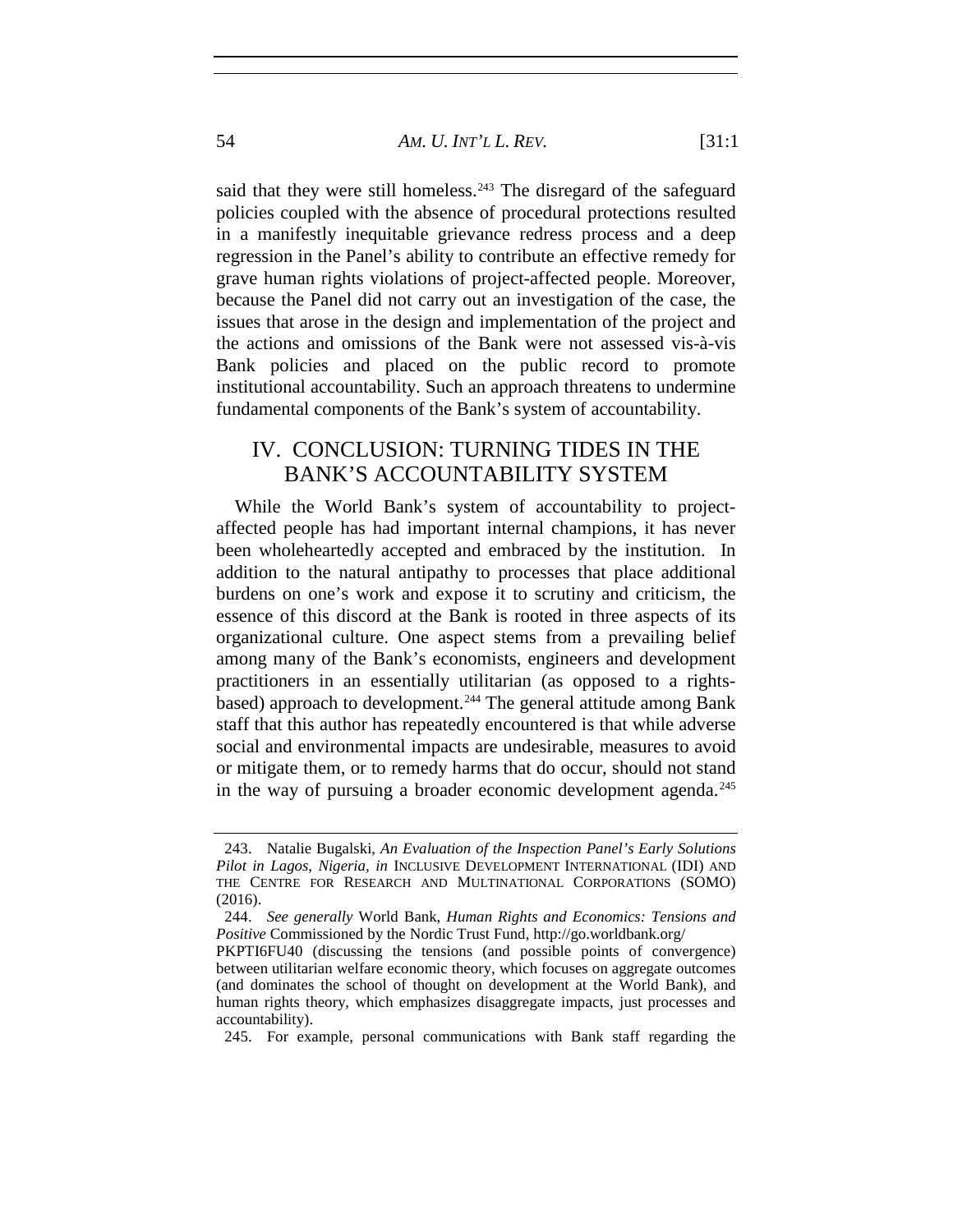said that they were still homeless.<sup>[243](#page-53-0)</sup> The disregard of the safeguard policies coupled with the absence of procedural protections resulted in a manifestly inequitable grievance redress process and a deep regression in the Panel's ability to contribute an effective remedy for grave human rights violations of project-affected people. Moreover, because the Panel did not carry out an investigation of the case, the issues that arose in the design and implementation of the project and the actions and omissions of the Bank were not assessed vis-à-vis Bank policies and placed on the public record to promote institutional accountability. Such an approach threatens to undermine fundamental components of the Bank's system of accountability.

## IV. CONCLUSION: TURNING TIDES IN THE BANK'S ACCOUNTABILITY SYSTEM

While the World Bank's system of accountability to projectaffected people has had important internal champions, it has never been wholeheartedly accepted and embraced by the institution. In addition to the natural antipathy to processes that place additional burdens on one's work and expose it to scrutiny and criticism, the essence of this discord at the Bank is rooted in three aspects of its organizational culture. One aspect stems from a prevailing belief among many of the Bank's economists, engineers and development practitioners in an essentially utilitarian (as opposed to a rights-based) approach to development.<sup>[244](#page-53-1)</sup> The general attitude among Bank staff that this author has repeatedly encountered is that while adverse social and environmental impacts are undesirable, measures to avoid or mitigate them, or to remedy harms that do occur, should not stand in the way of pursuing a broader economic development agenda.<sup>[245](#page-53-2)</sup>

<span id="page-53-2"></span>245. For example, personal communications with Bank staff regarding the

<span id="page-53-0"></span><sup>243.</sup> Natalie Bugalski, *An Evaluation of the Inspection Panel's Early Solutions Pilot in Lagos*, *Nigeria, in* INCLUSIVE DEVELOPMENT INTERNATIONAL (IDI) AND THE CENTRE FOR RESEARCH AND MULTINATIONAL CORPORATIONS (SOMO) (2016).

<span id="page-53-1"></span><sup>244.</sup> *See generally* World Bank, *Human Rights and Economics: Tensions and Positive* Commissioned by the Nordic Trust Fund, http://go.worldbank.org/

PKPTI6FU40 (discussing the tensions (and possible points of convergence) between utilitarian welfare economic theory, which focuses on aggregate outcomes (and dominates the school of thought on development at the World Bank), and human rights theory, which emphasizes disaggregate impacts, just processes and accountability).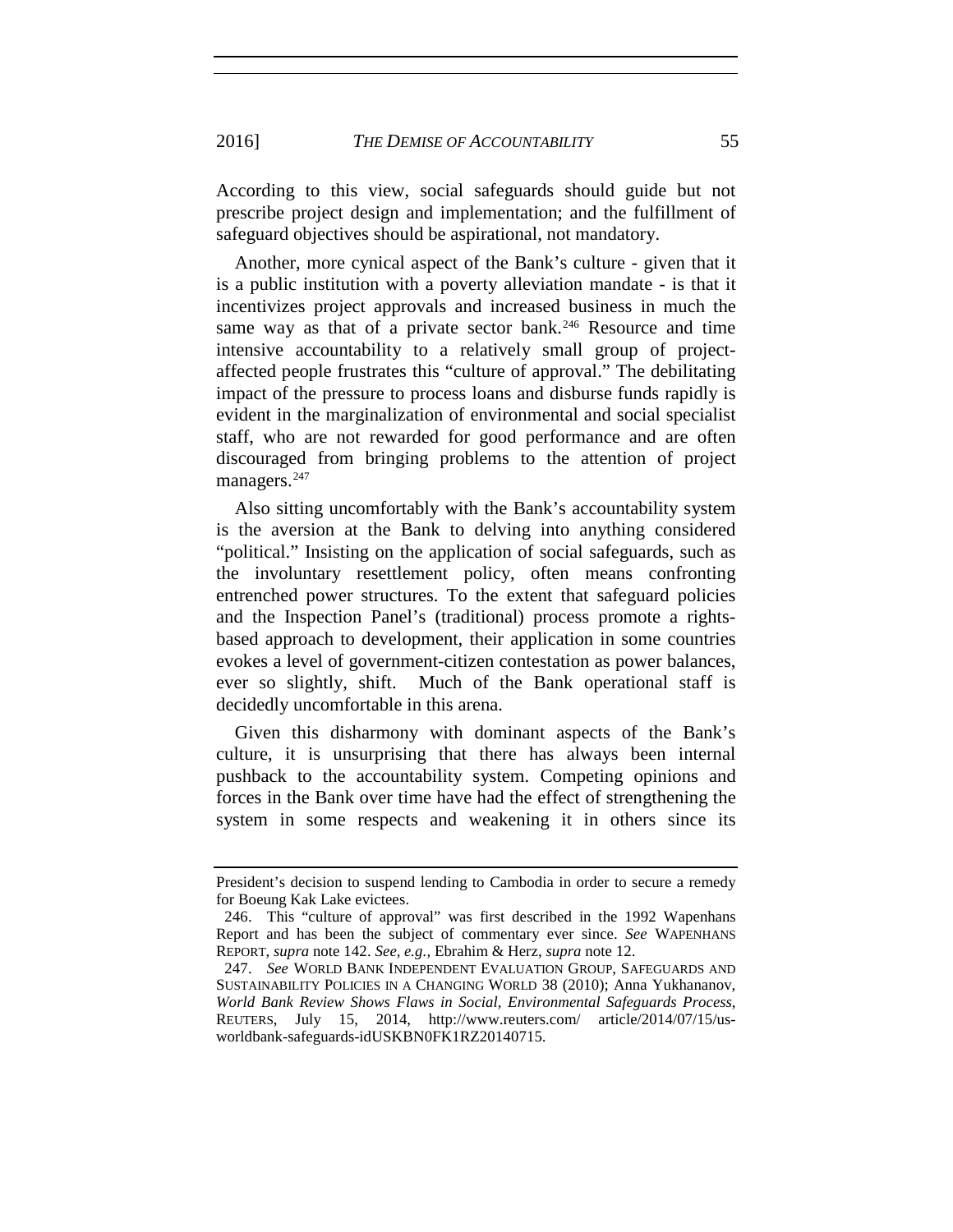According to this view, social safeguards should guide but not prescribe project design and implementation; and the fulfillment of safeguard objectives should be aspirational, not mandatory.

Another, more cynical aspect of the Bank's culture - given that it is a public institution with a poverty alleviation mandate - is that it incentivizes project approvals and increased business in much the same way as that of a private sector bank.<sup>[246](#page-54-0)</sup> Resource and time intensive accountability to a relatively small group of projectaffected people frustrates this "culture of approval." The debilitating impact of the pressure to process loans and disburse funds rapidly is evident in the marginalization of environmental and social specialist staff, who are not rewarded for good performance and are often discouraged from bringing problems to the attention of project managers.<sup>[247](#page-54-1)</sup>

Also sitting uncomfortably with the Bank's accountability system is the aversion at the Bank to delving into anything considered "political." Insisting on the application of social safeguards, such as the involuntary resettlement policy, often means confronting entrenched power structures. To the extent that safeguard policies and the Inspection Panel's (traditional) process promote a rightsbased approach to development, their application in some countries evokes a level of government-citizen contestation as power balances, ever so slightly, shift. Much of the Bank operational staff is decidedly uncomfortable in this arena.

Given this disharmony with dominant aspects of the Bank's culture, it is unsurprising that there has always been internal pushback to the accountability system. Competing opinions and forces in the Bank over time have had the effect of strengthening the system in some respects and weakening it in others since its

President's decision to suspend lending to Cambodia in order to secure a remedy for Boeung Kak Lake evictees.

<span id="page-54-0"></span><sup>246.</sup> This "culture of approval" was first described in the 1992 Wapenhans Report and has been the subject of commentary ever since. *See* WAPENHANS REPORT, *supra* note 142. *See, e.g.,* Ebrahim & Herz, *supra* note 12.

<span id="page-54-1"></span><sup>247.</sup> *See* WORLD BANK INDEPENDENT EVALUATION GROUP, SAFEGUARDS AND SUSTAINABILITY POLICIES IN A CHANGING WORLD 38 (2010); Anna Yukhananov, *World Bank Review Shows Flaws in Social, Environmental Safeguards Process*, REUTERS, July 15, 2014, http://www.reuters.com/ article/2014/07/15/usworldbank-safeguards-idUSKBN0FK1RZ20140715.